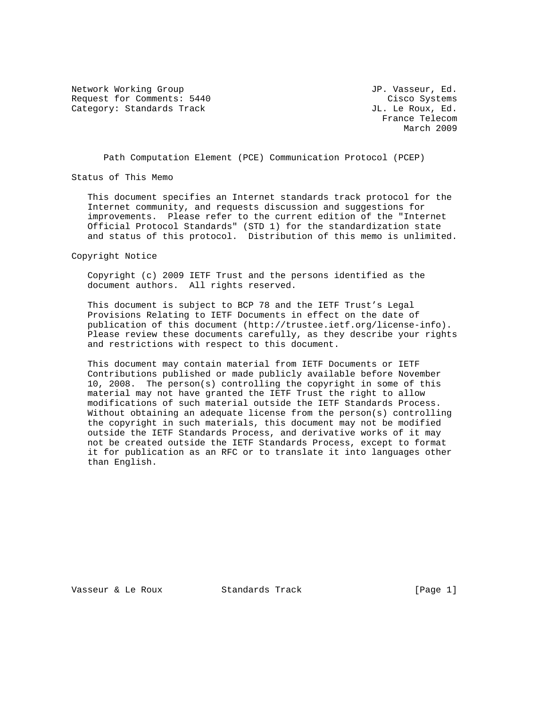Network Working Group and Month of the U.S. of the U.S. of the U.S. of the U.S. of the U.S. of the U.S. of the U.S. of the U.S. of the U.S. of the U.S. of the U.S. of the U.S. of the U.S. of the U.S. of the U.S. of the U.S Request for Comments: 5440 Cisco Systems Category: Standards Track Gategory: Standards Track JL. Le Roux, Ed.

 France Telecom March 2009

Path Computation Element (PCE) Communication Protocol (PCEP)

Status of This Memo

 This document specifies an Internet standards track protocol for the Internet community, and requests discussion and suggestions for improvements. Please refer to the current edition of the "Internet Official Protocol Standards" (STD 1) for the standardization state and status of this protocol. Distribution of this memo is unlimited.

Copyright Notice

 Copyright (c) 2009 IETF Trust and the persons identified as the document authors. All rights reserved.

 This document is subject to BCP 78 and the IETF Trust's Legal Provisions Relating to IETF Documents in effect on the date of publication of this document (http://trustee.ietf.org/license-info). Please review these documents carefully, as they describe your rights and restrictions with respect to this document.

 This document may contain material from IETF Documents or IETF Contributions published or made publicly available before November 10, 2008. The person(s) controlling the copyright in some of this material may not have granted the IETF Trust the right to allow modifications of such material outside the IETF Standards Process. Without obtaining an adequate license from the person(s) controlling the copyright in such materials, this document may not be modified outside the IETF Standards Process, and derivative works of it may not be created outside the IETF Standards Process, except to format it for publication as an RFC or to translate it into languages other than English.

Vasseur & Le Roux Standards Track [Page 1]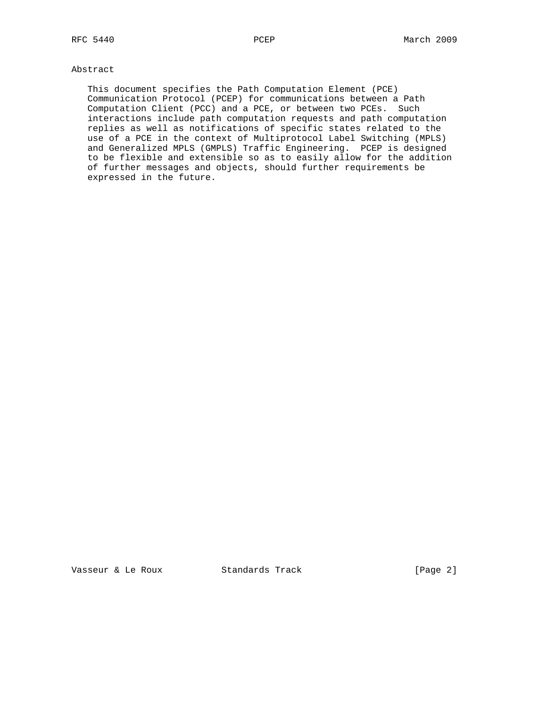# Abstract

 This document specifies the Path Computation Element (PCE) Communication Protocol (PCEP) for communications between a Path Computation Client (PCC) and a PCE, or between two PCEs. Such interactions include path computation requests and path computation replies as well as notifications of specific states related to the use of a PCE in the context of Multiprotocol Label Switching (MPLS) and Generalized MPLS (GMPLS) Traffic Engineering. PCEP is designed to be flexible and extensible so as to easily allow for the addition of further messages and objects, should further requirements be expressed in the future.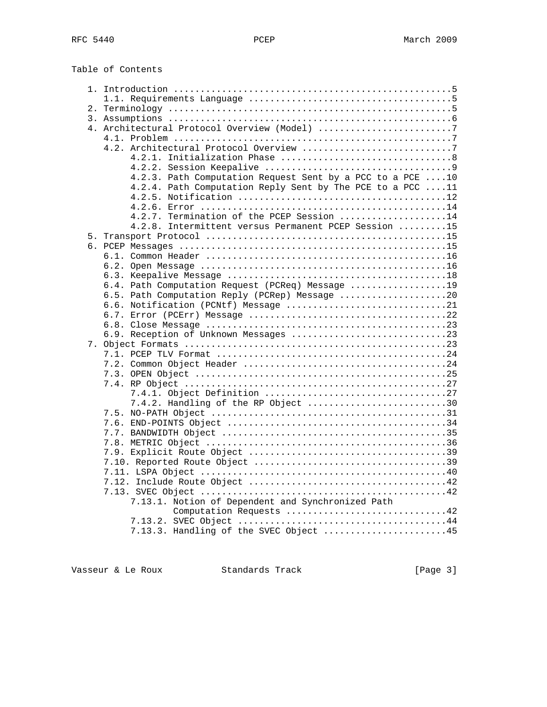Table of Contents

| 4. Architectural Protocol Overview (Model) 7              |  |
|-----------------------------------------------------------|--|
|                                                           |  |
|                                                           |  |
|                                                           |  |
|                                                           |  |
| 4.2.3. Path Computation Request Sent by a PCC to a PCE 10 |  |
| 4.2.4. Path Computation Reply Sent by The PCE to a PCC 11 |  |
|                                                           |  |
|                                                           |  |
| 4.2.7. Termination of the PCEP Session 14                 |  |
| 4.2.8. Intermittent versus Permanent PCEP Session 15      |  |
|                                                           |  |
|                                                           |  |
|                                                           |  |
|                                                           |  |
|                                                           |  |
| 6.4. Path Computation Request (PCReq) Message 19          |  |
| 6.5. Path Computation Reply (PCRep) Message 20            |  |
| 6.6. Notification (PCNtf) Message 21                      |  |
|                                                           |  |
|                                                           |  |
| 6.9. Reception of Unknown Messages 23                     |  |
|                                                           |  |
|                                                           |  |
|                                                           |  |
|                                                           |  |
|                                                           |  |
|                                                           |  |
| 7.4.2. Handling of the RP Object 30                       |  |
|                                                           |  |
|                                                           |  |
|                                                           |  |
|                                                           |  |
|                                                           |  |
|                                                           |  |
|                                                           |  |
|                                                           |  |
|                                                           |  |
| 7.13.1. Notion of Dependent and Synchronized Path         |  |
| Computation Requests 42                                   |  |
|                                                           |  |
| 7.13.3. Handling of the SVEC Object 45                    |  |

Vasseur & Le Roux Standards Track [Page 3]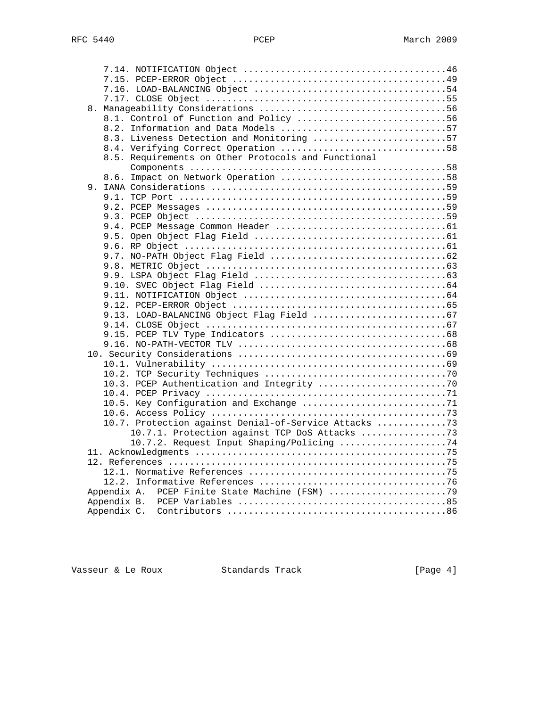| 8.1. Control of Function and Policy 56                |  |
|-------------------------------------------------------|--|
| 8.2. Information and Data Models 57                   |  |
| 8.3. Liveness Detection and Monitoring 57             |  |
| 8.4. Verifying Correct Operation 58                   |  |
| 8.5. Requirements on Other Protocols and Functional   |  |
|                                                       |  |
| 8.6. Impact on Network Operation 58                   |  |
|                                                       |  |
|                                                       |  |
|                                                       |  |
|                                                       |  |
|                                                       |  |
|                                                       |  |
|                                                       |  |
|                                                       |  |
|                                                       |  |
|                                                       |  |
|                                                       |  |
|                                                       |  |
|                                                       |  |
|                                                       |  |
|                                                       |  |
|                                                       |  |
|                                                       |  |
|                                                       |  |
|                                                       |  |
|                                                       |  |
|                                                       |  |
|                                                       |  |
|                                                       |  |
|                                                       |  |
|                                                       |  |
| 10.7. Protection against Denial-of-Service Attacks 73 |  |
| 10.7.1. Protection against TCP DoS Attacks 73         |  |
| 10.7.2. Request Input Shaping/Policing 74             |  |
|                                                       |  |
|                                                       |  |
|                                                       |  |
|                                                       |  |
|                                                       |  |
|                                                       |  |
|                                                       |  |

Vasseur & Le Roux Standards Track [Page 4]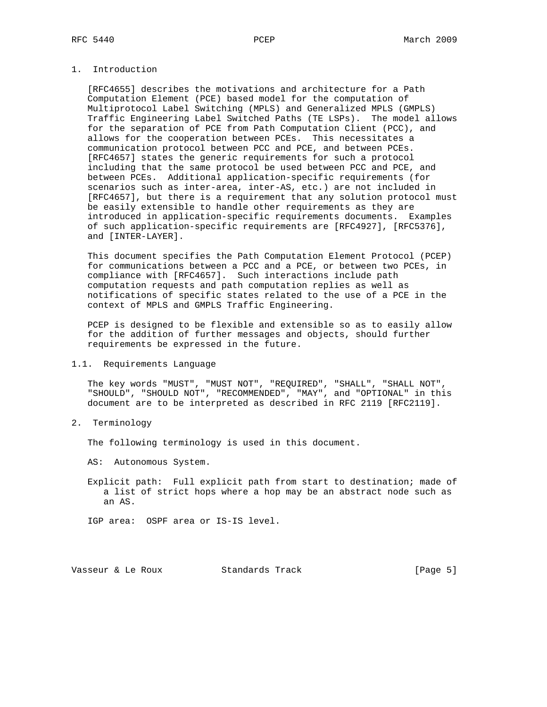# 1. Introduction

 [RFC4655] describes the motivations and architecture for a Path Computation Element (PCE) based model for the computation of Multiprotocol Label Switching (MPLS) and Generalized MPLS (GMPLS) Traffic Engineering Label Switched Paths (TE LSPs). The model allows for the separation of PCE from Path Computation Client (PCC), and allows for the cooperation between PCEs. This necessitates a communication protocol between PCC and PCE, and between PCEs. [RFC4657] states the generic requirements for such a protocol including that the same protocol be used between PCC and PCE, and between PCEs. Additional application-specific requirements (for scenarios such as inter-area, inter-AS, etc.) are not included in [RFC4657], but there is a requirement that any solution protocol must be easily extensible to handle other requirements as they are introduced in application-specific requirements documents. Examples of such application-specific requirements are [RFC4927], [RFC5376], and [INTER-LAYER].

 This document specifies the Path Computation Element Protocol (PCEP) for communications between a PCC and a PCE, or between two PCEs, in compliance with [RFC4657]. Such interactions include path computation requests and path computation replies as well as notifications of specific states related to the use of a PCE in the context of MPLS and GMPLS Traffic Engineering.

 PCEP is designed to be flexible and extensible so as to easily allow for the addition of further messages and objects, should further requirements be expressed in the future.

#### 1.1. Requirements Language

 The key words "MUST", "MUST NOT", "REQUIRED", "SHALL", "SHALL NOT", "SHOULD", "SHOULD NOT", "RECOMMENDED", "MAY", and "OPTIONAL" in this document are to be interpreted as described in RFC 2119 [RFC2119].

2. Terminology

The following terminology is used in this document.

AS: Autonomous System.

 Explicit path: Full explicit path from start to destination; made of a list of strict hops where a hop may be an abstract node such as an AS.

IGP area: OSPF area or IS-IS level.

Vasseur & Le Roux Standards Track [Page 5]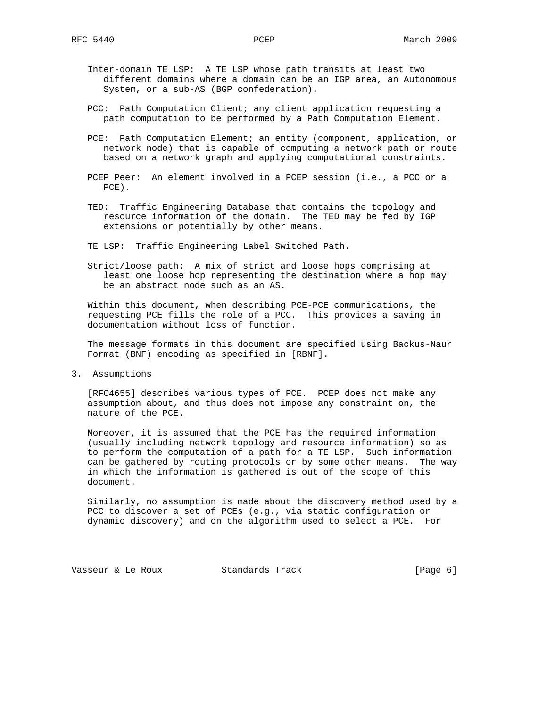- Inter-domain TE LSP: A TE LSP whose path transits at least two different domains where a domain can be an IGP area, an Autonomous System, or a sub-AS (BGP confederation).
- PCC: Path Computation Client; any client application requesting a path computation to be performed by a Path Computation Element.
- PCE: Path Computation Element; an entity (component, application, or network node) that is capable of computing a network path or route based on a network graph and applying computational constraints.
- PCEP Peer: An element involved in a PCEP session (i.e., a PCC or a PCE).
- TED: Traffic Engineering Database that contains the topology and resource information of the domain. The TED may be fed by IGP extensions or potentially by other means.
- TE LSP: Traffic Engineering Label Switched Path.
- Strict/loose path: A mix of strict and loose hops comprising at least one loose hop representing the destination where a hop may be an abstract node such as an AS.

 Within this document, when describing PCE-PCE communications, the requesting PCE fills the role of a PCC. This provides a saving in documentation without loss of function.

 The message formats in this document are specified using Backus-Naur Format (BNF) encoding as specified in [RBNF].

3. Assumptions

 [RFC4655] describes various types of PCE. PCEP does not make any assumption about, and thus does not impose any constraint on, the nature of the PCE.

 Moreover, it is assumed that the PCE has the required information (usually including network topology and resource information) so as to perform the computation of a path for a TE LSP. Such information can be gathered by routing protocols or by some other means. The way in which the information is gathered is out of the scope of this document.

 Similarly, no assumption is made about the discovery method used by a PCC to discover a set of PCEs (e.g., via static configuration or dynamic discovery) and on the algorithm used to select a PCE. For

Vasseur & Le Roux Standards Track [Page 6]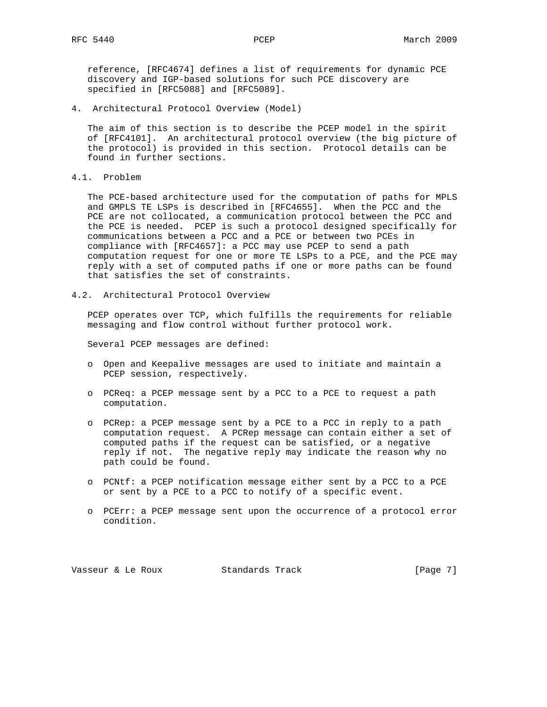reference, [RFC4674] defines a list of requirements for dynamic PCE discovery and IGP-based solutions for such PCE discovery are specified in [RFC5088] and [RFC5089].

4. Architectural Protocol Overview (Model)

 The aim of this section is to describe the PCEP model in the spirit of [RFC4101]. An architectural protocol overview (the big picture of the protocol) is provided in this section. Protocol details can be found in further sections.

4.1. Problem

 The PCE-based architecture used for the computation of paths for MPLS and GMPLS TE LSPs is described in [RFC4655]. When the PCC and the PCE are not collocated, a communication protocol between the PCC and the PCE is needed. PCEP is such a protocol designed specifically for communications between a PCC and a PCE or between two PCEs in compliance with [RFC4657]: a PCC may use PCEP to send a path computation request for one or more TE LSPs to a PCE, and the PCE may reply with a set of computed paths if one or more paths can be found that satisfies the set of constraints.

4.2. Architectural Protocol Overview

 PCEP operates over TCP, which fulfills the requirements for reliable messaging and flow control without further protocol work.

Several PCEP messages are defined:

- o Open and Keepalive messages are used to initiate and maintain a PCEP session, respectively.
- o PCReq: a PCEP message sent by a PCC to a PCE to request a path computation.
- o PCRep: a PCEP message sent by a PCE to a PCC in reply to a path computation request. A PCRep message can contain either a set of computed paths if the request can be satisfied, or a negative reply if not. The negative reply may indicate the reason why no path could be found.
- o PCNtf: a PCEP notification message either sent by a PCC to a PCE or sent by a PCE to a PCC to notify of a specific event.
- o PCErr: a PCEP message sent upon the occurrence of a protocol error condition.

Vasseur & Le Roux Standards Track [Page 7]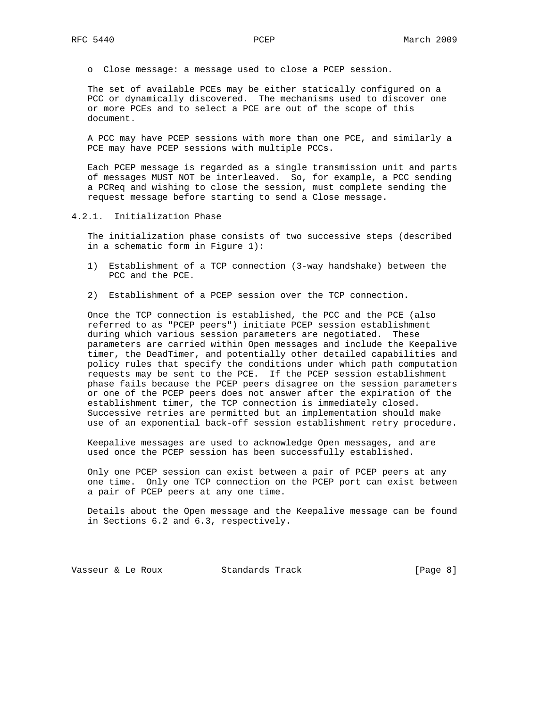o Close message: a message used to close a PCEP session.

 The set of available PCEs may be either statically configured on a PCC or dynamically discovered. The mechanisms used to discover one or more PCEs and to select a PCE are out of the scope of this document.

 A PCC may have PCEP sessions with more than one PCE, and similarly a PCE may have PCEP sessions with multiple PCCs.

 Each PCEP message is regarded as a single transmission unit and parts of messages MUST NOT be interleaved. So, for example, a PCC sending a PCReq and wishing to close the session, must complete sending the request message before starting to send a Close message.

4.2.1. Initialization Phase

 The initialization phase consists of two successive steps (described in a schematic form in Figure 1):

- 1) Establishment of a TCP connection (3-way handshake) between the PCC and the PCE.
- 2) Establishment of a PCEP session over the TCP connection.

 Once the TCP connection is established, the PCC and the PCE (also referred to as "PCEP peers") initiate PCEP session establishment during which various session parameters are negotiated. These parameters are carried within Open messages and include the Keepalive timer, the DeadTimer, and potentially other detailed capabilities and policy rules that specify the conditions under which path computation requests may be sent to the PCE. If the PCEP session establishment phase fails because the PCEP peers disagree on the session parameters or one of the PCEP peers does not answer after the expiration of the establishment timer, the TCP connection is immediately closed. Successive retries are permitted but an implementation should make use of an exponential back-off session establishment retry procedure.

 Keepalive messages are used to acknowledge Open messages, and are used once the PCEP session has been successfully established.

 Only one PCEP session can exist between a pair of PCEP peers at any one time. Only one TCP connection on the PCEP port can exist between a pair of PCEP peers at any one time.

 Details about the Open message and the Keepalive message can be found in Sections 6.2 and 6.3, respectively.

Vasseur & Le Roux Standards Track (Page 8)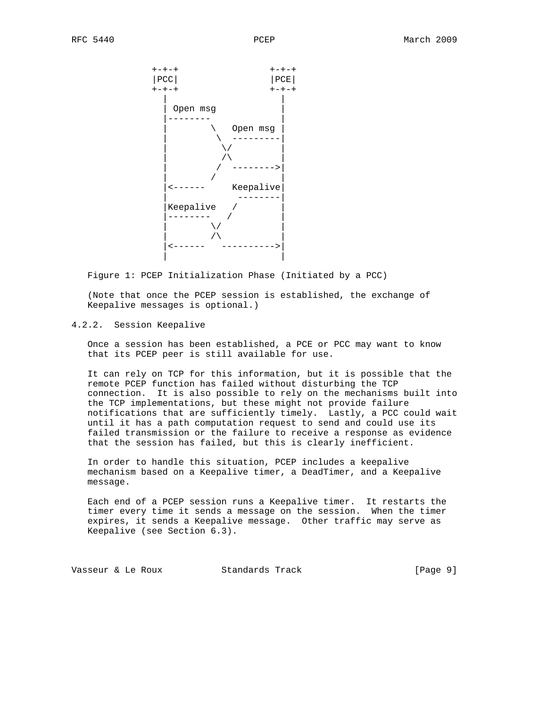

Figure 1: PCEP Initialization Phase (Initiated by a PCC)

 (Note that once the PCEP session is established, the exchange of Keepalive messages is optional.)

# 4.2.2. Session Keepalive

 Once a session has been established, a PCE or PCC may want to know that its PCEP peer is still available for use.

 It can rely on TCP for this information, but it is possible that the remote PCEP function has failed without disturbing the TCP connection. It is also possible to rely on the mechanisms built into the TCP implementations, but these might not provide failure notifications that are sufficiently timely. Lastly, a PCC could wait until it has a path computation request to send and could use its failed transmission or the failure to receive a response as evidence that the session has failed, but this is clearly inefficient.

 In order to handle this situation, PCEP includes a keepalive mechanism based on a Keepalive timer, a DeadTimer, and a Keepalive message.

 Each end of a PCEP session runs a Keepalive timer. It restarts the timer every time it sends a message on the session. When the timer expires, it sends a Keepalive message. Other traffic may serve as Keepalive (see Section 6.3).

Vasseur & Le Roux Standards Track [Page 9]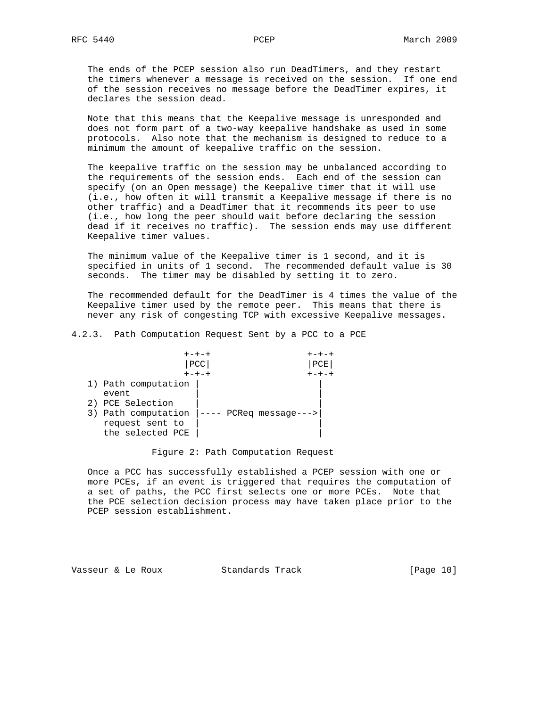The ends of the PCEP session also run DeadTimers, and they restart the timers whenever a message is received on the session. If one end of the session receives no message before the DeadTimer expires, it declares the session dead.

 Note that this means that the Keepalive message is unresponded and does not form part of a two-way keepalive handshake as used in some protocols. Also note that the mechanism is designed to reduce to a minimum the amount of keepalive traffic on the session.

 The keepalive traffic on the session may be unbalanced according to the requirements of the session ends. Each end of the session can specify (on an Open message) the Keepalive timer that it will use (i.e., how often it will transmit a Keepalive message if there is no other traffic) and a DeadTimer that it recommends its peer to use (i.e., how long the peer should wait before declaring the session dead if it receives no traffic). The session ends may use different Keepalive timer values.

 The minimum value of the Keepalive timer is 1 second, and it is specified in units of 1 second. The recommended default value is 30 seconds. The timer may be disabled by setting it to zero.

 The recommended default for the DeadTimer is 4 times the value of the Keepalive timer used by the remote peer. This means that there is never any risk of congesting TCP with excessive Keepalive messages.

4.2.3. Path Computation Request Sent by a PCC to a PCE

|                                                                                                                | $+ - + - +$<br>$+ - + - +$ |  |
|----------------------------------------------------------------------------------------------------------------|----------------------------|--|
|                                                                                                                | PCC<br>PCE'                |  |
|                                                                                                                | $+ - + - +$                |  |
| 1) Path computation<br>event<br>2) PCE Selection<br>3) Path computation<br>request sent to<br>the selected PCE | $PC$ Req messaqe--->       |  |

## Figure 2: Path Computation Request

 Once a PCC has successfully established a PCEP session with one or more PCEs, if an event is triggered that requires the computation of a set of paths, the PCC first selects one or more PCEs. Note that the PCE selection decision process may have taken place prior to the PCEP session establishment.

Vasseur & Le Roux Standards Track [Page 10]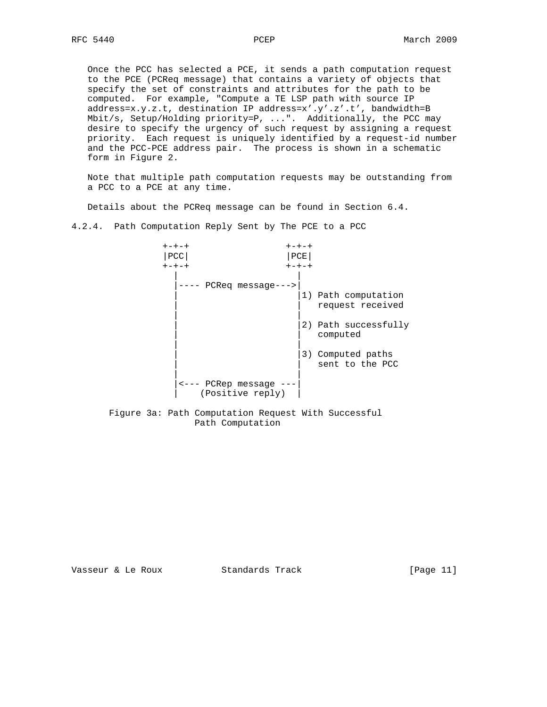Once the PCC has selected a PCE, it sends a path computation request to the PCE (PCReq message) that contains a variety of objects that specify the set of constraints and attributes for the path to be computed. For example, "Compute a TE LSP path with source IP address=x.y.z.t, destination IP address=x'.y'.z'.t', bandwidth=B Mbit/s, Setup/Holding priority=P, ...". Additionally, the PCC may desire to specify the urgency of such request by assigning a request priority. Each request is uniquely identified by a request-id number and the PCC-PCE address pair. The process is shown in a schematic form in Figure 2.

 Note that multiple path computation requests may be outstanding from a PCC to a PCE at any time.

Details about the PCReq message can be found in Section 6.4.

4.2.4. Path Computation Reply Sent by The PCE to a PCC



Path Computation

Vasseur & Le Roux Standards Track [Page 11]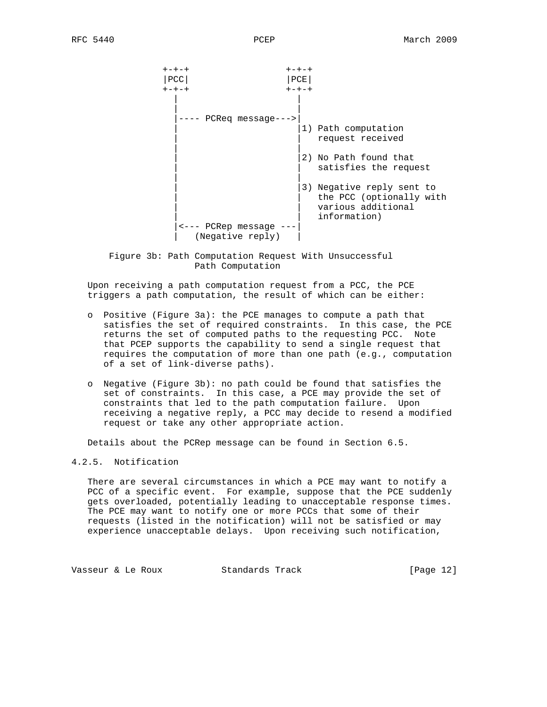

 Figure 3b: Path Computation Request With Unsuccessful Path Computation

 Upon receiving a path computation request from a PCC, the PCE triggers a path computation, the result of which can be either:

- o Positive (Figure 3a): the PCE manages to compute a path that satisfies the set of required constraints. In this case, the PCE returns the set of computed paths to the requesting PCC. Note that PCEP supports the capability to send a single request that requires the computation of more than one path (e.g., computation of a set of link-diverse paths).
- o Negative (Figure 3b): no path could be found that satisfies the set of constraints. In this case, a PCE may provide the set of constraints that led to the path computation failure. Upon receiving a negative reply, a PCC may decide to resend a modified request or take any other appropriate action.

Details about the PCRep message can be found in Section 6.5.

## 4.2.5. Notification

 There are several circumstances in which a PCE may want to notify a PCC of a specific event. For example, suppose that the PCE suddenly gets overloaded, potentially leading to unacceptable response times. The PCE may want to notify one or more PCCs that some of their requests (listed in the notification) will not be satisfied or may experience unacceptable delays. Upon receiving such notification,

Vasseur & Le Roux Standards Track [Page 12]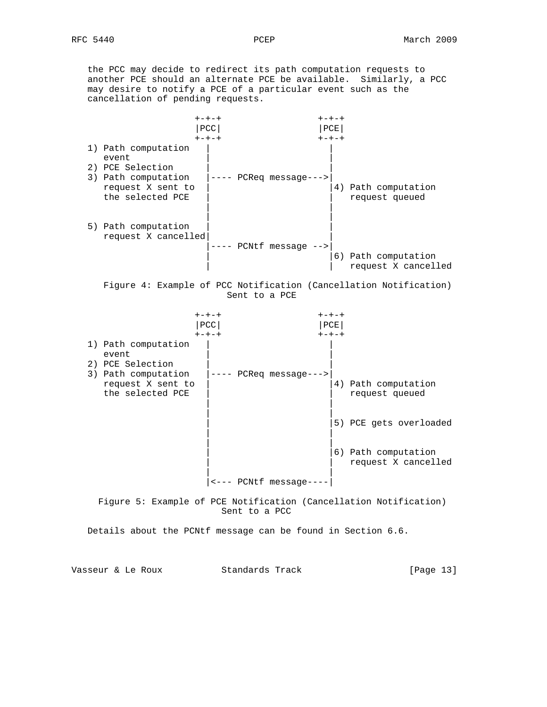the PCC may decide to redirect its path computation requests to another PCE should an alternate PCE be available. Similarly, a PCC may desire to notify a PCE of a particular event such as the cancellation of pending requests.



Details about the PCNtf message can be found in Section 6.6.

Vasseur & Le Roux Standards Track [Page 13]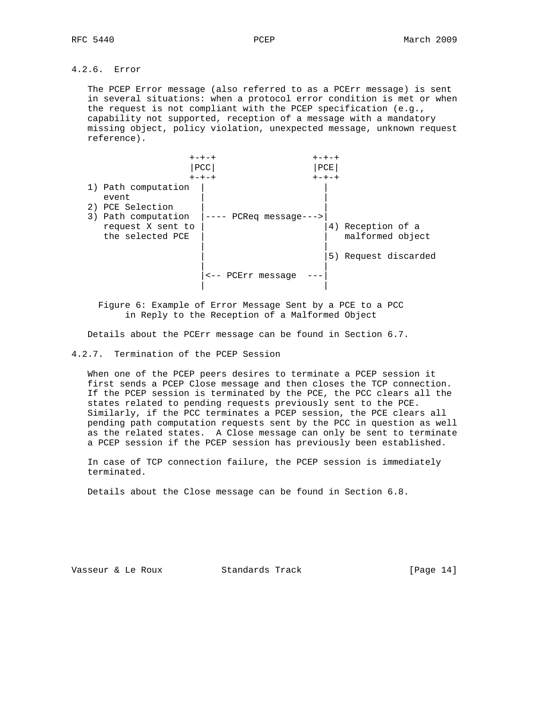# 4.2.6. Error

 The PCEP Error message (also referred to as a PCErr message) is sent in several situations: when a protocol error condition is met or when the request is not compliant with the PCEP specification (e.g., capability not supported, reception of a message with a mandatory missing object, policy violation, unexpected message, unknown request reference).

|                                                                                                                  | $+ - + - +$<br><b>PCC</b><br>$+ - + - +$ | $+ - + - +$<br>PCE<br>$+ - + - +$ |                                                            |
|------------------------------------------------------------------------------------------------------------------|------------------------------------------|-----------------------------------|------------------------------------------------------------|
| 1) Path computation<br>event<br>2) PCE Selection<br>3) Path computation<br>request X sent to<br>the selected PCE | $PC$ Req message--->                     | 5)                                | 4) Reception of a<br>malformed object<br>Request discarded |
|                                                                                                                  | PCErr message                            |                                   |                                                            |

 Figure 6: Example of Error Message Sent by a PCE to a PCC in Reply to the Reception of a Malformed Object

Details about the PCErr message can be found in Section 6.7.

4.2.7. Termination of the PCEP Session

 When one of the PCEP peers desires to terminate a PCEP session it first sends a PCEP Close message and then closes the TCP connection. If the PCEP session is terminated by the PCE, the PCC clears all the states related to pending requests previously sent to the PCE. Similarly, if the PCC terminates a PCEP session, the PCE clears all pending path computation requests sent by the PCC in question as well as the related states. A Close message can only be sent to terminate a PCEP session if the PCEP session has previously been established.

 In case of TCP connection failure, the PCEP session is immediately terminated.

Details about the Close message can be found in Section 6.8.

Vasseur & Le Roux Standards Track [Page 14]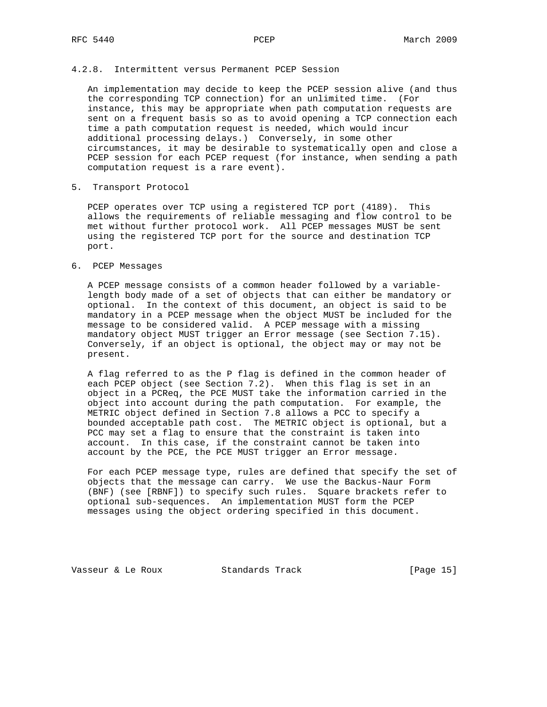### 4.2.8. Intermittent versus Permanent PCEP Session

 An implementation may decide to keep the PCEP session alive (and thus the corresponding TCP connection) for an unlimited time. (For instance, this may be appropriate when path computation requests are sent on a frequent basis so as to avoid opening a TCP connection each time a path computation request is needed, which would incur additional processing delays.) Conversely, in some other circumstances, it may be desirable to systematically open and close a PCEP session for each PCEP request (for instance, when sending a path computation request is a rare event).

#### 5. Transport Protocol

 PCEP operates over TCP using a registered TCP port (4189). This allows the requirements of reliable messaging and flow control to be met without further protocol work. All PCEP messages MUST be sent using the registered TCP port for the source and destination TCP port.

## 6. PCEP Messages

 A PCEP message consists of a common header followed by a variable length body made of a set of objects that can either be mandatory or optional. In the context of this document, an object is said to be mandatory in a PCEP message when the object MUST be included for the message to be considered valid. A PCEP message with a missing mandatory object MUST trigger an Error message (see Section 7.15). Conversely, if an object is optional, the object may or may not be present.

 A flag referred to as the P flag is defined in the common header of each PCEP object (see Section 7.2). When this flag is set in an object in a PCReq, the PCE MUST take the information carried in the object into account during the path computation. For example, the METRIC object defined in Section 7.8 allows a PCC to specify a bounded acceptable path cost. The METRIC object is optional, but a PCC may set a flag to ensure that the constraint is taken into account. In this case, if the constraint cannot be taken into account by the PCE, the PCE MUST trigger an Error message.

 For each PCEP message type, rules are defined that specify the set of objects that the message can carry. We use the Backus-Naur Form (BNF) (see [RBNF]) to specify such rules. Square brackets refer to optional sub-sequences. An implementation MUST form the PCEP messages using the object ordering specified in this document.

Vasseur & Le Roux Standards Track [Page 15]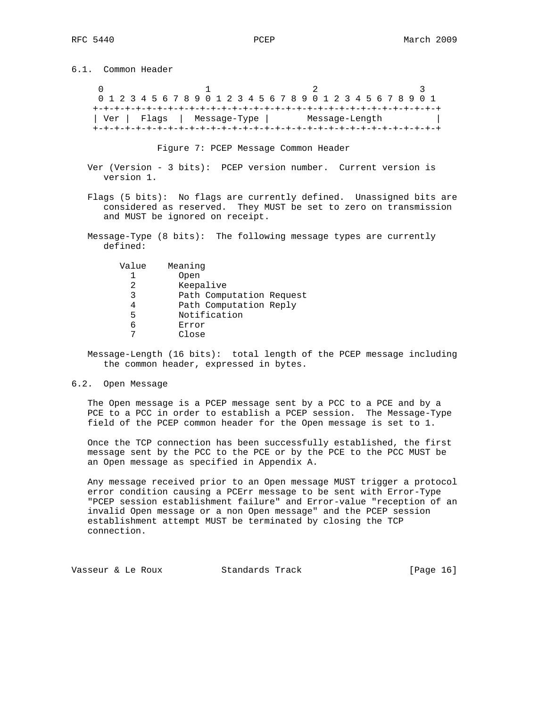6.1. Common Header

 $0$  and  $1$  and  $2$  3 0 1 2 3 4 5 6 7 8 9 0 1 2 3 4 5 6 7 8 9 0 1 2 3 4 5 6 7 8 9 0 1 +-+-+-+-+-+-+-+-+-+-+-+-+-+-+-+-+-+-+-+-+-+-+-+-+-+-+-+-+-+-+-+-+ | Ver | Flags | Message-Type | Message-Length | +-+-+-+-+-+-+-+-+-+-+-+-+-+-+-+-+-+-+-+-+-+-+-+-+-+-+-+-+-+-+-+-+

Figure 7: PCEP Message Common Header

- Ver (Version 3 bits): PCEP version number. Current version is version 1.
- Flags (5 bits): No flags are currently defined. Unassigned bits are considered as reserved. They MUST be set to zero on transmission and MUST be ignored on receipt.
- Message-Type (8 bits): The following message types are currently defined:

| Value | Meaning   |                          |  |
|-------|-----------|--------------------------|--|
|       | Open      |                          |  |
|       | Keepalive |                          |  |
| ર     |           | Path Computation Request |  |
|       |           | Path Computation Reply   |  |
| 5     |           | Notification             |  |
|       | Error     |                          |  |
|       | Close     |                          |  |

 Message-Length (16 bits): total length of the PCEP message including the common header, expressed in bytes.

### 6.2. Open Message

 The Open message is a PCEP message sent by a PCC to a PCE and by a PCE to a PCC in order to establish a PCEP session. The Message-Type field of the PCEP common header for the Open message is set to 1.

 Once the TCP connection has been successfully established, the first message sent by the PCC to the PCE or by the PCE to the PCC MUST be an Open message as specified in Appendix A.

 Any message received prior to an Open message MUST trigger a protocol error condition causing a PCErr message to be sent with Error-Type "PCEP session establishment failure" and Error-value "reception of an invalid Open message or a non Open message" and the PCEP session establishment attempt MUST be terminated by closing the TCP connection.

Vasseur & Le Roux Standards Track [Page 16]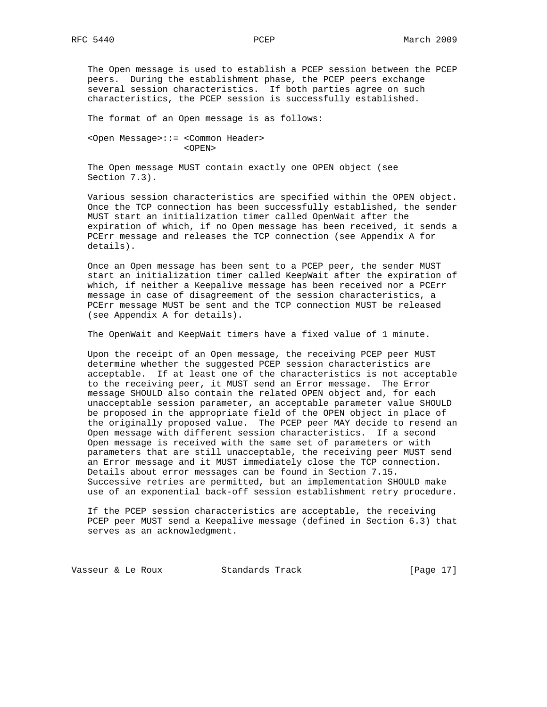The Open message is used to establish a PCEP session between the PCEP peers. During the establishment phase, the PCEP peers exchange several session characteristics. If both parties agree on such characteristics, the PCEP session is successfully established.

The format of an Open message is as follows:

 <Open Message>::= <Common Header> <OPEN>

 The Open message MUST contain exactly one OPEN object (see Section 7.3).

 Various session characteristics are specified within the OPEN object. Once the TCP connection has been successfully established, the sender MUST start an initialization timer called OpenWait after the expiration of which, if no Open message has been received, it sends a PCErr message and releases the TCP connection (see Appendix A for details).

 Once an Open message has been sent to a PCEP peer, the sender MUST start an initialization timer called KeepWait after the expiration of which, if neither a Keepalive message has been received nor a PCErr message in case of disagreement of the session characteristics, a PCErr message MUST be sent and the TCP connection MUST be released (see Appendix A for details).

The OpenWait and KeepWait timers have a fixed value of 1 minute.

 Upon the receipt of an Open message, the receiving PCEP peer MUST determine whether the suggested PCEP session characteristics are acceptable. If at least one of the characteristics is not acceptable to the receiving peer, it MUST send an Error message. The Error message SHOULD also contain the related OPEN object and, for each unacceptable session parameter, an acceptable parameter value SHOULD be proposed in the appropriate field of the OPEN object in place of the originally proposed value. The PCEP peer MAY decide to resend an Open message with different session characteristics. If a second Open message is received with the same set of parameters or with parameters that are still unacceptable, the receiving peer MUST send an Error message and it MUST immediately close the TCP connection. Details about error messages can be found in Section 7.15. Successive retries are permitted, but an implementation SHOULD make use of an exponential back-off session establishment retry procedure.

 If the PCEP session characteristics are acceptable, the receiving PCEP peer MUST send a Keepalive message (defined in Section 6.3) that serves as an acknowledgment.

Vasseur & Le Roux Standards Track [Page 17]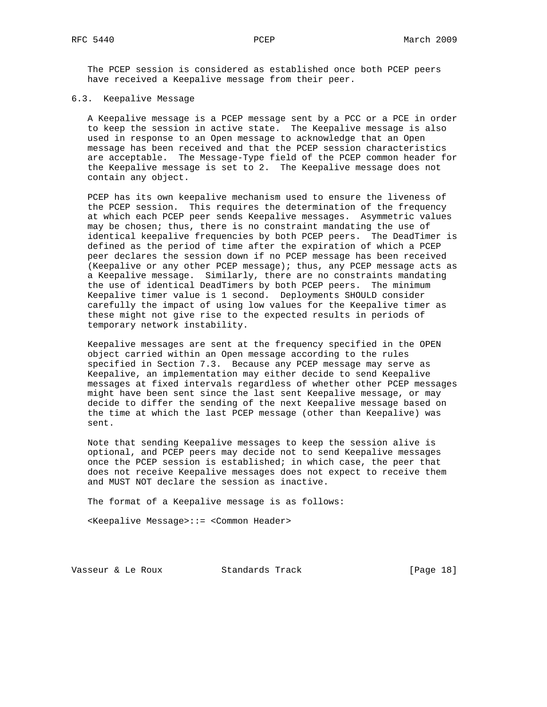The PCEP session is considered as established once both PCEP peers have received a Keepalive message from their peer.

#### 6.3. Keepalive Message

 A Keepalive message is a PCEP message sent by a PCC or a PCE in order to keep the session in active state. The Keepalive message is also used in response to an Open message to acknowledge that an Open message has been received and that the PCEP session characteristics are acceptable. The Message-Type field of the PCEP common header for the Keepalive message is set to 2. The Keepalive message does not contain any object.

 PCEP has its own keepalive mechanism used to ensure the liveness of the PCEP session. This requires the determination of the frequency at which each PCEP peer sends Keepalive messages. Asymmetric values may be chosen; thus, there is no constraint mandating the use of identical keepalive frequencies by both PCEP peers. The DeadTimer is defined as the period of time after the expiration of which a PCEP peer declares the session down if no PCEP message has been received (Keepalive or any other PCEP message); thus, any PCEP message acts as a Keepalive message. Similarly, there are no constraints mandating the use of identical DeadTimers by both PCEP peers. The minimum Keepalive timer value is 1 second. Deployments SHOULD consider carefully the impact of using low values for the Keepalive timer as these might not give rise to the expected results in periods of temporary network instability.

 Keepalive messages are sent at the frequency specified in the OPEN object carried within an Open message according to the rules specified in Section 7.3. Because any PCEP message may serve as Keepalive, an implementation may either decide to send Keepalive messages at fixed intervals regardless of whether other PCEP messages might have been sent since the last sent Keepalive message, or may decide to differ the sending of the next Keepalive message based on the time at which the last PCEP message (other than Keepalive) was sent.

 Note that sending Keepalive messages to keep the session alive is optional, and PCEP peers may decide not to send Keepalive messages once the PCEP session is established; in which case, the peer that does not receive Keepalive messages does not expect to receive them and MUST NOT declare the session as inactive.

The format of a Keepalive message is as follows:

<Keepalive Message>::= <Common Header>

Vasseur & Le Roux Standards Track [Page 18]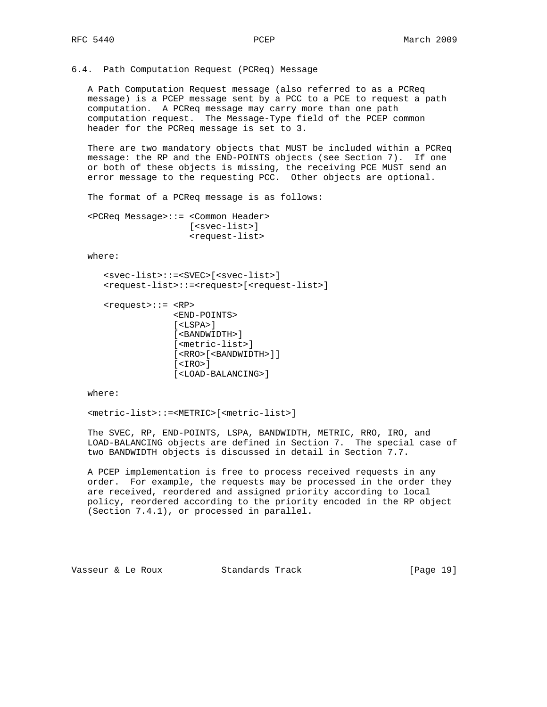6.4. Path Computation Request (PCReq) Message

 A Path Computation Request message (also referred to as a PCReq message) is a PCEP message sent by a PCC to a PCE to request a path computation. A PCReq message may carry more than one path computation request. The Message-Type field of the PCEP common header for the PCReq message is set to 3.

 There are two mandatory objects that MUST be included within a PCReq message: the RP and the END-POINTS objects (see Section 7). If one or both of these objects is missing, the receiving PCE MUST send an error message to the requesting PCC. Other objects are optional.

The format of a PCReq message is as follows:

 <PCReq Message>::= <Common Header> [<svec-list>] <request-list>

where:

```
 <svec-list>::=<SVEC>[<svec-list>]
 <request-list>::=<request>[<request-list>]
```

```
 <request>::= <RP>
               <END-POINTS>
               [<LSPA>]
               [<BANDWIDTH>]
               [<metric-list>]
               [<RRO>[<BANDWIDTH>]]
               [<IRO>]
               [<LOAD-BALANCING>]
```
where:

<metric-list>::=<METRIC>[<metric-list>]

 The SVEC, RP, END-POINTS, LSPA, BANDWIDTH, METRIC, RRO, IRO, and LOAD-BALANCING objects are defined in Section 7. The special case of two BANDWIDTH objects is discussed in detail in Section 7.7.

 A PCEP implementation is free to process received requests in any order. For example, the requests may be processed in the order they are received, reordered and assigned priority according to local policy, reordered according to the priority encoded in the RP object (Section 7.4.1), or processed in parallel.

Vasseur & Le Roux Standards Track [Page 19]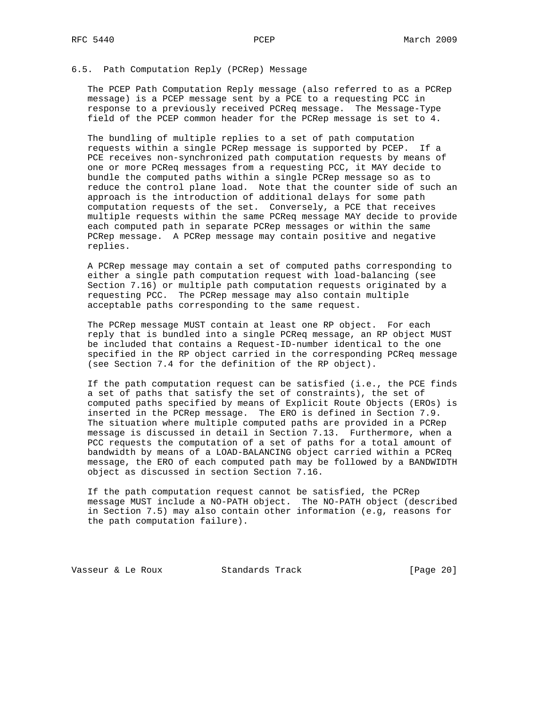### 6.5. Path Computation Reply (PCRep) Message

 The PCEP Path Computation Reply message (also referred to as a PCRep message) is a PCEP message sent by a PCE to a requesting PCC in response to a previously received PCReq message. The Message-Type field of the PCEP common header for the PCRep message is set to 4.

 The bundling of multiple replies to a set of path computation requests within a single PCRep message is supported by PCEP. If a PCE receives non-synchronized path computation requests by means of one or more PCReq messages from a requesting PCC, it MAY decide to bundle the computed paths within a single PCRep message so as to reduce the control plane load. Note that the counter side of such an approach is the introduction of additional delays for some path computation requests of the set. Conversely, a PCE that receives multiple requests within the same PCReq message MAY decide to provide each computed path in separate PCRep messages or within the same PCRep message. A PCRep message may contain positive and negative replies.

 A PCRep message may contain a set of computed paths corresponding to either a single path computation request with load-balancing (see Section 7.16) or multiple path computation requests originated by a requesting PCC. The PCRep message may also contain multiple acceptable paths corresponding to the same request.

 The PCRep message MUST contain at least one RP object. For each reply that is bundled into a single PCReq message, an RP object MUST be included that contains a Request-ID-number identical to the one specified in the RP object carried in the corresponding PCReq message (see Section 7.4 for the definition of the RP object).

 If the path computation request can be satisfied (i.e., the PCE finds a set of paths that satisfy the set of constraints), the set of computed paths specified by means of Explicit Route Objects (EROs) is inserted in the PCRep message. The ERO is defined in Section 7.9. The situation where multiple computed paths are provided in a PCRep message is discussed in detail in Section 7.13. Furthermore, when a PCC requests the computation of a set of paths for a total amount of bandwidth by means of a LOAD-BALANCING object carried within a PCReq message, the ERO of each computed path may be followed by a BANDWIDTH object as discussed in section Section 7.16.

 If the path computation request cannot be satisfied, the PCRep message MUST include a NO-PATH object. The NO-PATH object (described in Section 7.5) may also contain other information (e.g, reasons for the path computation failure).

Vasseur & Le Roux Standards Track [Page 20]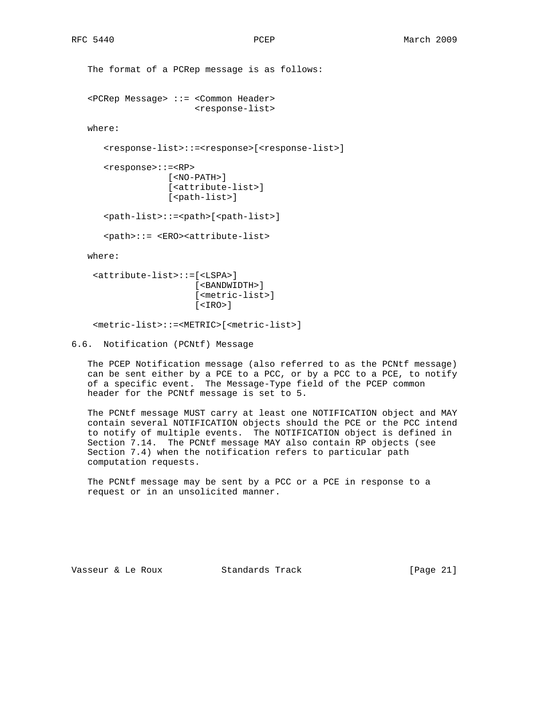```
 The format of a PCRep message is as follows:
 <PCRep Message> ::= <Common Header>
                     <response-list>
 where:
    <response-list>::=<response>[<response-list>]
    <response>::=<RP>
                [<NO-PATH>]
                [<attribute-list>]
               [<path-list>]
    <path-list>::=<path>[<path-list>]
    <path>::= <ERO><attribute-list>
```
where:

```
 <attribute-list>::=[<LSPA>]
                     [<BANDWIDTH>]
                     [<metric-list>]
                     [<IRO>]
```
<metric-list>::=<METRIC>[<metric-list>]

6.6. Notification (PCNtf) Message

 The PCEP Notification message (also referred to as the PCNtf message) can be sent either by a PCE to a PCC, or by a PCC to a PCE, to notify of a specific event. The Message-Type field of the PCEP common header for the PCNtf message is set to 5.

 The PCNtf message MUST carry at least one NOTIFICATION object and MAY contain several NOTIFICATION objects should the PCE or the PCC intend to notify of multiple events. The NOTIFICATION object is defined in Section 7.14. The PCNtf message MAY also contain RP objects (see Section 7.4) when the notification refers to particular path computation requests.

 The PCNtf message may be sent by a PCC or a PCE in response to a request or in an unsolicited manner.

Vasseur & Le Roux Standards Track [Page 21]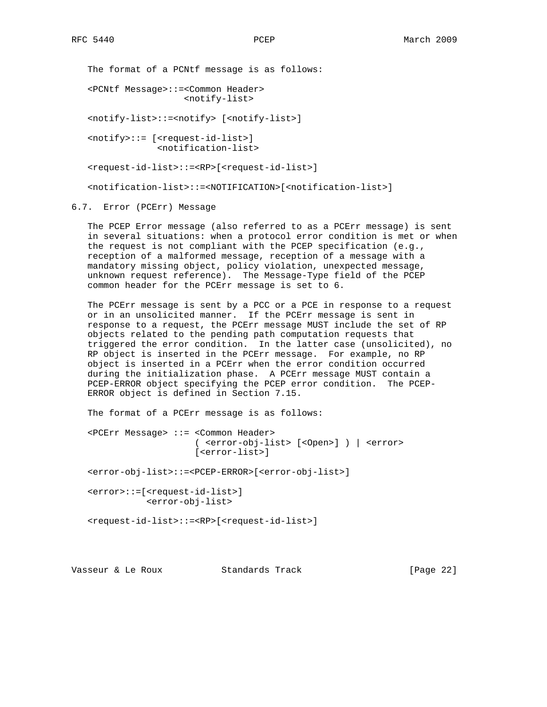The format of a PCNtf message is as follows:

 <PCNtf Message>::=<Common Header> <notify-list>

<notify-list>::=<notify> [<notify-list>]

 <notify>::= [<request-id-list>] <notification-list>

<request-id-list>::=<RP>[<request-id-list>]

<notification-list>::=<NOTIFICATION>[<notification-list>]

## 6.7. Error (PCErr) Message

 The PCEP Error message (also referred to as a PCErr message) is sent in several situations: when a protocol error condition is met or when the request is not compliant with the PCEP specification (e.g., reception of a malformed message, reception of a message with a mandatory missing object, policy violation, unexpected message, unknown request reference). The Message-Type field of the PCEP common header for the PCErr message is set to 6.

 The PCErr message is sent by a PCC or a PCE in response to a request or in an unsolicited manner. If the PCErr message is sent in response to a request, the PCErr message MUST include the set of RP objects related to the pending path computation requests that triggered the error condition. In the latter case (unsolicited), no RP object is inserted in the PCErr message. For example, no RP object is inserted in a PCErr when the error condition occurred during the initialization phase. A PCErr message MUST contain a PCEP-ERROR object specifying the PCEP error condition. The PCEP- ERROR object is defined in Section 7.15.

The format of a PCErr message is as follows:

 <PCErr Message> ::= <Common Header> ( <error-obj-list> [<Open>] ) | <error> [<error-list>]

<error-obj-list>::=<PCEP-ERROR>[<error-obj-list>]

 <error>::=[<request-id-list>] <error-obj-list>

<request-id-list>::=<RP>[<request-id-list>]

Vasseur & Le Roux Standards Track [Page 22]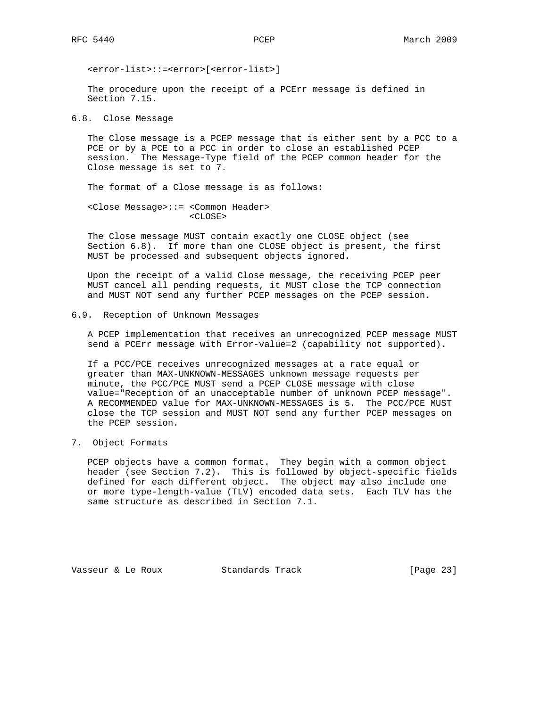<error-list>::=<error>[<error-list>]

 The procedure upon the receipt of a PCErr message is defined in Section 7.15.

6.8. Close Message

 The Close message is a PCEP message that is either sent by a PCC to a PCE or by a PCE to a PCC in order to close an established PCEP session. The Message-Type field of the PCEP common header for the Close message is set to 7.

The format of a Close message is as follows:

 <Close Message>::= <Common Header> <CLOSE>

 The Close message MUST contain exactly one CLOSE object (see Section 6.8). If more than one CLOSE object is present, the first MUST be processed and subsequent objects ignored.

 Upon the receipt of a valid Close message, the receiving PCEP peer MUST cancel all pending requests, it MUST close the TCP connection and MUST NOT send any further PCEP messages on the PCEP session.

## 6.9. Reception of Unknown Messages

 A PCEP implementation that receives an unrecognized PCEP message MUST send a PCErr message with Error-value=2 (capability not supported).

 If a PCC/PCE receives unrecognized messages at a rate equal or greater than MAX-UNKNOWN-MESSAGES unknown message requests per minute, the PCC/PCE MUST send a PCEP CLOSE message with close value="Reception of an unacceptable number of unknown PCEP message". A RECOMMENDED value for MAX-UNKNOWN-MESSAGES is 5. The PCC/PCE MUST close the TCP session and MUST NOT send any further PCEP messages on the PCEP session.

## 7. Object Formats

 PCEP objects have a common format. They begin with a common object header (see Section 7.2). This is followed by object-specific fields defined for each different object. The object may also include one or more type-length-value (TLV) encoded data sets. Each TLV has the same structure as described in Section 7.1.

Vasseur & Le Roux Standards Track [Page 23]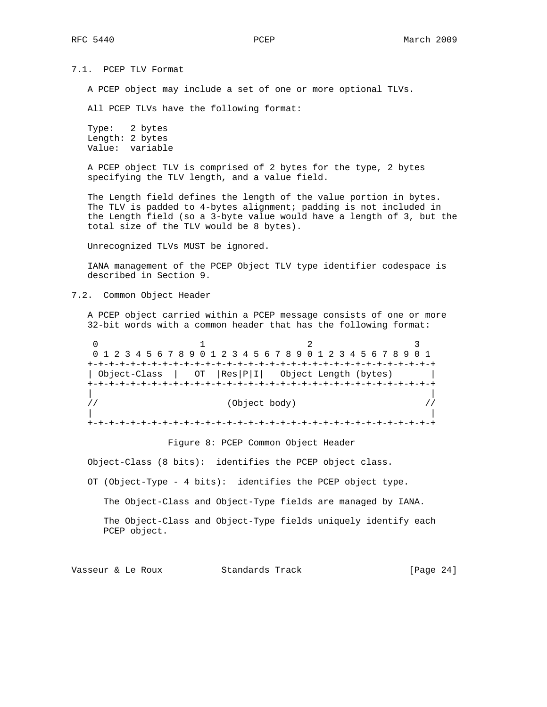7.1. PCEP TLV Format

A PCEP object may include a set of one or more optional TLVs.

All PCEP TLVs have the following format:

 Type: 2 bytes Length: 2 bytes Value: variable

 A PCEP object TLV is comprised of 2 bytes for the type, 2 bytes specifying the TLV length, and a value field.

 The Length field defines the length of the value portion in bytes. The TLV is padded to 4-bytes alignment; padding is not included in the Length field (so a 3-byte value would have a length of 3, but the total size of the TLV would be 8 bytes).

Unrecognized TLVs MUST be ignored.

 IANA management of the PCEP Object TLV type identifier codespace is described in Section 9.

7.2. Common Object Header

 A PCEP object carried within a PCEP message consists of one or more 32-bit words with a common header that has the following format:

| 0 1 2 3 4 5 6 7 8 9 0 1 2 3 4 5 6 7 8 9 0 1 2 3 4 5 6 7 8 9 0 1 |  |  |  |  |                                   |  |  |  |  |  |  |  |  |
|-----------------------------------------------------------------|--|--|--|--|-----------------------------------|--|--|--|--|--|--|--|--|
|                                                                 |  |  |  |  |                                   |  |  |  |  |  |  |  |  |
| Object-Class                                                    |  |  |  |  | OT Res P I  Object Length (bytes) |  |  |  |  |  |  |  |  |
|                                                                 |  |  |  |  |                                   |  |  |  |  |  |  |  |  |
|                                                                 |  |  |  |  |                                   |  |  |  |  |  |  |  |  |
|                                                                 |  |  |  |  | (Object body)                     |  |  |  |  |  |  |  |  |
|                                                                 |  |  |  |  |                                   |  |  |  |  |  |  |  |  |
|                                                                 |  |  |  |  |                                   |  |  |  |  |  |  |  |  |
|                                                                 |  |  |  |  |                                   |  |  |  |  |  |  |  |  |

Figure 8: PCEP Common Object Header

Object-Class (8 bits): identifies the PCEP object class.

OT (Object-Type - 4 bits): identifies the PCEP object type.

The Object-Class and Object-Type fields are managed by IANA.

 The Object-Class and Object-Type fields uniquely identify each PCEP object.

Vasseur & Le Roux Standards Track [Page 24]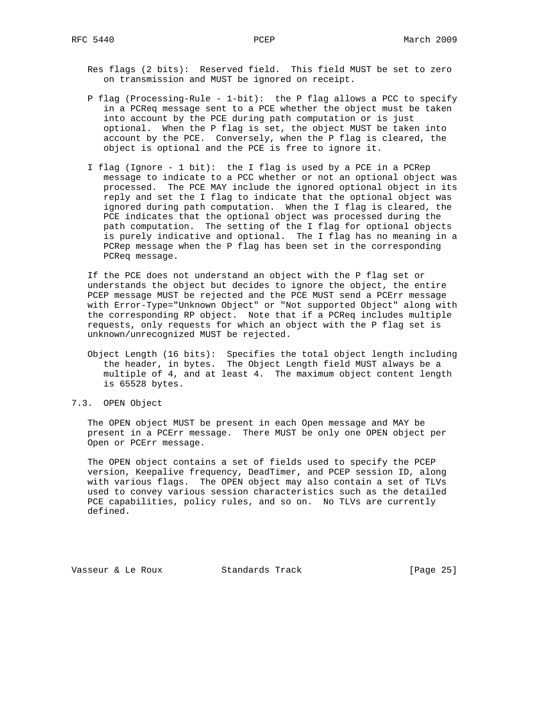- Res flags (2 bits): Reserved field. This field MUST be set to zero on transmission and MUST be ignored on receipt.
- P flag (Processing-Rule 1-bit): the P flag allows a PCC to specify in a PCReq message sent to a PCE whether the object must be taken into account by the PCE during path computation or is just optional. When the P flag is set, the object MUST be taken into account by the PCE. Conversely, when the P flag is cleared, the object is optional and the PCE is free to ignore it.
- I flag (Ignore 1 bit): the I flag is used by a PCE in a PCRep message to indicate to a PCC whether or not an optional object was processed. The PCE MAY include the ignored optional object in its reply and set the I flag to indicate that the optional object was ignored during path computation. When the I flag is cleared, the PCE indicates that the optional object was processed during the path computation. The setting of the I flag for optional objects is purely indicative and optional. The I flag has no meaning in a PCRep message when the P flag has been set in the corresponding PCReq message.

 If the PCE does not understand an object with the P flag set or understands the object but decides to ignore the object, the entire PCEP message MUST be rejected and the PCE MUST send a PCErr message with Error-Type="Unknown Object" or "Not supported Object" along with the corresponding RP object. Note that if a PCReq includes multiple requests, only requests for which an object with the P flag set is unknown/unrecognized MUST be rejected.

- Object Length (16 bits): Specifies the total object length including the header, in bytes. The Object Length field MUST always be a multiple of 4, and at least 4. The maximum object content length is 65528 bytes.
- 7.3. OPEN Object

 The OPEN object MUST be present in each Open message and MAY be present in a PCErr message. There MUST be only one OPEN object per Open or PCErr message.

 The OPEN object contains a set of fields used to specify the PCEP version, Keepalive frequency, DeadTimer, and PCEP session ID, along with various flags. The OPEN object may also contain a set of TLVs used to convey various session characteristics such as the detailed PCE capabilities, policy rules, and so on. No TLVs are currently defined.

Vasseur & Le Roux Standards Track [Page 25]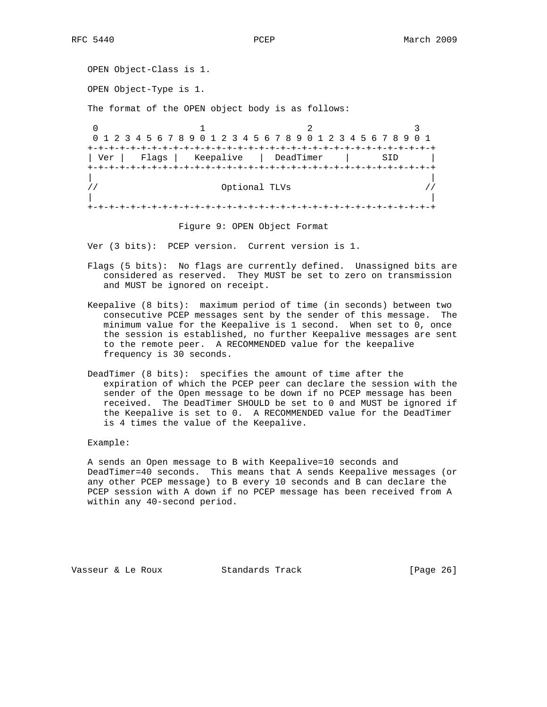```
 OPEN Object-Class is 1.
  OPEN Object-Type is 1.
  The format of the OPEN object body is as follows:
0 1 2 3
   0 1 2 3 4 5 6 7 8 9 0 1 2 3 4 5 6 7 8 9 0 1 2 3 4 5 6 7 8 9 0 1
   +-+-+-+-+-+-+-+-+-+-+-+-+-+-+-+-+-+-+-+-+-+-+-+-+-+-+-+-+-+-+-+-+
   | Ver | Flags | Keepalive | DeadTimer | SID |
   +-+-+-+-+-+-+-+-+-+-+-+-+-+-+-+-+-+-+-+-+-+-+-+-+-+-+-+-+-+-+-+-+
 | |
  \frac{1}{2} // \frac{1}{2} optional TLVs \frac{1}{2} //
 | |
   +-+-+-+-+-+-+-+-+-+-+-+-+-+-+-+-+-+-+-+-+-+-+-+-+-+-+-+-+-+-+-+-+
```
Figure 9: OPEN Object Format

Ver (3 bits): PCEP version. Current version is 1.

- Flags (5 bits): No flags are currently defined. Unassigned bits are considered as reserved. They MUST be set to zero on transmission and MUST be ignored on receipt.
- Keepalive (8 bits): maximum period of time (in seconds) between two consecutive PCEP messages sent by the sender of this message. The minimum value for the Keepalive is 1 second. When set to 0, once the session is established, no further Keepalive messages are sent to the remote peer. A RECOMMENDED value for the keepalive frequency is 30 seconds.
- DeadTimer (8 bits): specifies the amount of time after the expiration of which the PCEP peer can declare the session with the sender of the Open message to be down if no PCEP message has been received. The DeadTimer SHOULD be set to 0 and MUST be ignored if the Keepalive is set to 0. A RECOMMENDED value for the DeadTimer is 4 times the value of the Keepalive.

Example:

 A sends an Open message to B with Keepalive=10 seconds and DeadTimer=40 seconds. This means that A sends Keepalive messages (or any other PCEP message) to B every 10 seconds and B can declare the PCEP session with A down if no PCEP message has been received from A within any 40-second period.

Vasseur & Le Roux Standards Track [Page 26]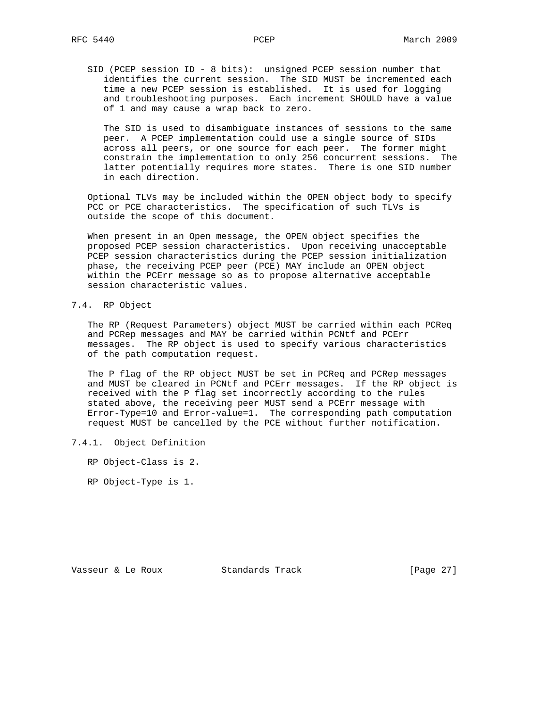SID (PCEP session ID - 8 bits): unsigned PCEP session number that identifies the current session. The SID MUST be incremented each time a new PCEP session is established. It is used for logging and troubleshooting purposes. Each increment SHOULD have a value of 1 and may cause a wrap back to zero.

 The SID is used to disambiguate instances of sessions to the same peer. A PCEP implementation could use a single source of SIDs across all peers, or one source for each peer. The former might constrain the implementation to only 256 concurrent sessions. The latter potentially requires more states. There is one SID number in each direction.

 Optional TLVs may be included within the OPEN object body to specify PCC or PCE characteristics. The specification of such TLVs is outside the scope of this document.

 When present in an Open message, the OPEN object specifies the proposed PCEP session characteristics. Upon receiving unacceptable PCEP session characteristics during the PCEP session initialization phase, the receiving PCEP peer (PCE) MAY include an OPEN object within the PCErr message so as to propose alternative acceptable session characteristic values.

## 7.4. RP Object

 The RP (Request Parameters) object MUST be carried within each PCReq and PCRep messages and MAY be carried within PCNtf and PCErr messages. The RP object is used to specify various characteristics of the path computation request.

 The P flag of the RP object MUST be set in PCReq and PCRep messages and MUST be cleared in PCNtf and PCErr messages. If the RP object is received with the P flag set incorrectly according to the rules stated above, the receiving peer MUST send a PCErr message with Error-Type=10 and Error-value=1. The corresponding path computation request MUST be cancelled by the PCE without further notification.

## 7.4.1. Object Definition

RP Object-Class is 2.

RP Object-Type is 1.

Vasseur & Le Roux Standards Track [Page 27]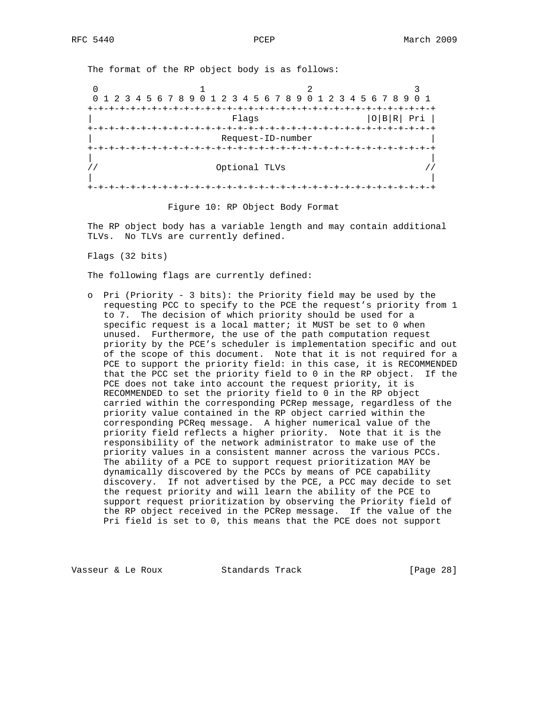The format of the RP object body is as follows:

0  $1$  2 3 0 1 2 3 4 5 6 7 8 9 0 1 2 3 4 5 6 7 8 9 0 1 2 3 4 5 6 7 8 9 0 1 +-+-+-+-+-+-+-+-+-+-+-+-+-+-+-+-+-+-+-+-+-+-+-+-+-+-+-+-+-+-+-+-+ Flags | O|B|R| Pri | +-+-+-+-+-+-+-+-+-+-+-+-+-+-+-+-+-+-+-+-+-+-+-+-+-+-+-+-+-+-+-+-+ | Request-ID-number | +-+-+-+-+-+-+-+-+-+-+-+-+-+-+-+-+-+-+-+-+-+-+-+-+-+-+-+-+-+-+-+-+ | | // Optional TLVs // | | +-+-+-+-+-+-+-+-+-+-+-+-+-+-+-+-+-+-+-+-+-+-+-+-+-+-+-+-+-+-+-+-+

Figure 10: RP Object Body Format

 The RP object body has a variable length and may contain additional TLVs. No TLVs are currently defined.

Flags (32 bits)

The following flags are currently defined:

 o Pri (Priority - 3 bits): the Priority field may be used by the requesting PCC to specify to the PCE the request's priority from 1 to 7. The decision of which priority should be used for a specific request is a local matter; it MUST be set to 0 when unused. Furthermore, the use of the path computation request priority by the PCE's scheduler is implementation specific and out of the scope of this document. Note that it is not required for a PCE to support the priority field: in this case, it is RECOMMENDED that the PCC set the priority field to 0 in the RP object. If the PCE does not take into account the request priority, it is RECOMMENDED to set the priority field to 0 in the RP object carried within the corresponding PCRep message, regardless of the priority value contained in the RP object carried within the corresponding PCReq message. A higher numerical value of the priority field reflects a higher priority. Note that it is the responsibility of the network administrator to make use of the priority values in a consistent manner across the various PCCs. The ability of a PCE to support request prioritization MAY be dynamically discovered by the PCCs by means of PCE capability discovery. If not advertised by the PCE, a PCC may decide to set the request priority and will learn the ability of the PCE to support request prioritization by observing the Priority field of the RP object received in the PCRep message. If the value of the Pri field is set to 0, this means that the PCE does not support

Vasseur & Le Roux Standards Track [Page 28]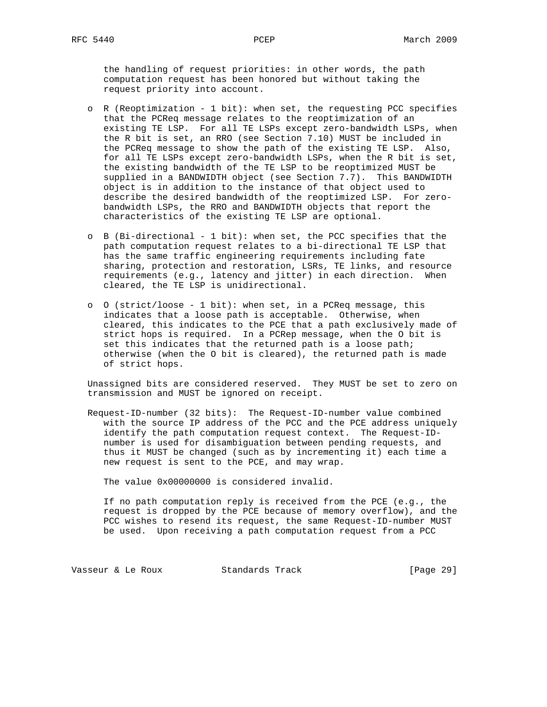the handling of request priorities: in other words, the path computation request has been honored but without taking the request priority into account.

- o R (Reoptimization 1 bit): when set, the requesting PCC specifies that the PCReq message relates to the reoptimization of an existing TE LSP. For all TE LSPs except zero-bandwidth LSPs, when the R bit is set, an RRO (see Section 7.10) MUST be included in the PCReq message to show the path of the existing TE LSP. Also, for all TE LSPs except zero-bandwidth LSPs, when the R bit is set, the existing bandwidth of the TE LSP to be reoptimized MUST be supplied in a BANDWIDTH object (see Section 7.7). This BANDWIDTH object is in addition to the instance of that object used to describe the desired bandwidth of the reoptimized LSP. For zero bandwidth LSPs, the RRO and BANDWIDTH objects that report the characteristics of the existing TE LSP are optional.
- o B (Bi-directional 1 bit): when set, the PCC specifies that the path computation request relates to a bi-directional TE LSP that has the same traffic engineering requirements including fate sharing, protection and restoration, LSRs, TE links, and resource requirements (e.g., latency and jitter) in each direction. When cleared, the TE LSP is unidirectional.
- o O (strict/loose 1 bit): when set, in a PCReq message, this indicates that a loose path is acceptable. Otherwise, when cleared, this indicates to the PCE that a path exclusively made of strict hops is required. In a PCRep message, when the O bit is set this indicates that the returned path is a loose path; otherwise (when the O bit is cleared), the returned path is made of strict hops.

 Unassigned bits are considered reserved. They MUST be set to zero on transmission and MUST be ignored on receipt.

 Request-ID-number (32 bits): The Request-ID-number value combined with the source IP address of the PCC and the PCE address uniquely identify the path computation request context. The Request-ID number is used for disambiguation between pending requests, and thus it MUST be changed (such as by incrementing it) each time a new request is sent to the PCE, and may wrap.

The value 0x00000000 is considered invalid.

 If no path computation reply is received from the PCE (e.g., the request is dropped by the PCE because of memory overflow), and the PCC wishes to resend its request, the same Request-ID-number MUST be used. Upon receiving a path computation request from a PCC

Vasseur & Le Roux Standards Track [Page 29]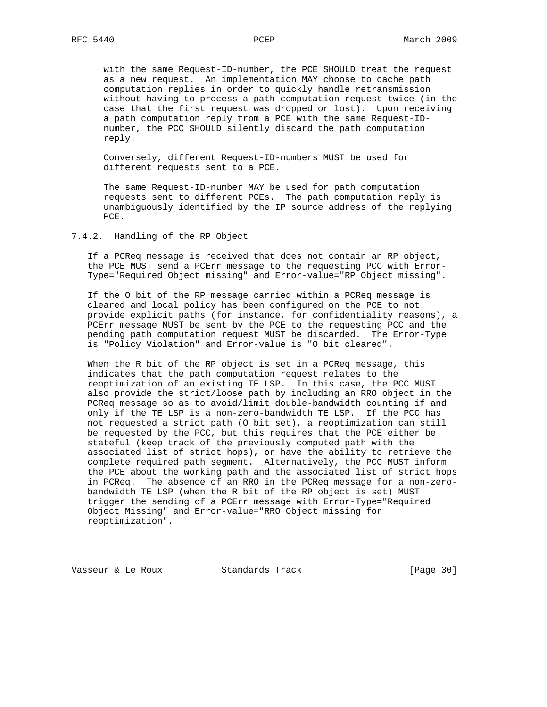with the same Request-ID-number, the PCE SHOULD treat the request as a new request. An implementation MAY choose to cache path computation replies in order to quickly handle retransmission without having to process a path computation request twice (in the case that the first request was dropped or lost). Upon receiving a path computation reply from a PCE with the same Request-ID number, the PCC SHOULD silently discard the path computation reply.

 Conversely, different Request-ID-numbers MUST be used for different requests sent to a PCE.

 The same Request-ID-number MAY be used for path computation requests sent to different PCEs. The path computation reply is unambiguously identified by the IP source address of the replying PCE.

7.4.2. Handling of the RP Object

 If a PCReq message is received that does not contain an RP object, the PCE MUST send a PCErr message to the requesting PCC with Error- Type="Required Object missing" and Error-value="RP Object missing".

 If the O bit of the RP message carried within a PCReq message is cleared and local policy has been configured on the PCE to not provide explicit paths (for instance, for confidentiality reasons), a PCErr message MUST be sent by the PCE to the requesting PCC and the pending path computation request MUST be discarded. The Error-Type is "Policy Violation" and Error-value is "O bit cleared".

 When the R bit of the RP object is set in a PCReq message, this indicates that the path computation request relates to the reoptimization of an existing TE LSP. In this case, the PCC MUST also provide the strict/loose path by including an RRO object in the PCReq message so as to avoid/limit double-bandwidth counting if and only if the TE LSP is a non-zero-bandwidth TE LSP. If the PCC has not requested a strict path (O bit set), a reoptimization can still be requested by the PCC, but this requires that the PCE either be stateful (keep track of the previously computed path with the associated list of strict hops), or have the ability to retrieve the complete required path segment. Alternatively, the PCC MUST inform the PCE about the working path and the associated list of strict hops in PCReq. The absence of an RRO in the PCReq message for a non-zero bandwidth TE LSP (when the R bit of the RP object is set) MUST trigger the sending of a PCErr message with Error-Type="Required Object Missing" and Error-value="RRO Object missing for reoptimization".

Vasseur & Le Roux Standards Track [Page 30]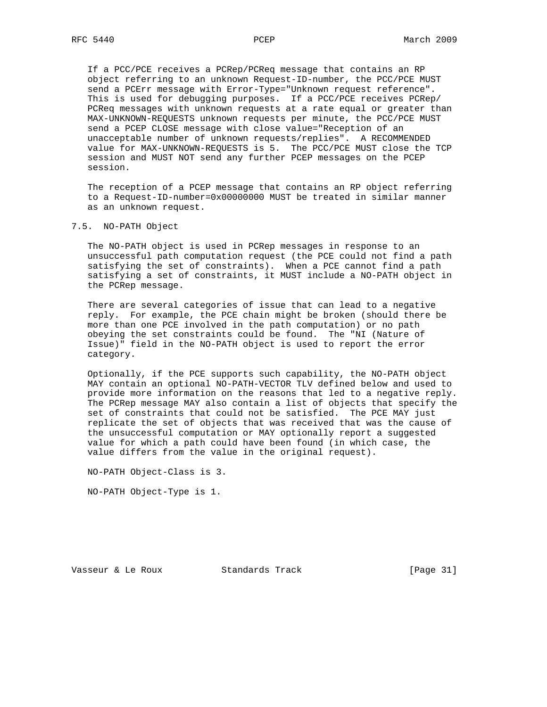If a PCC/PCE receives a PCRep/PCReq message that contains an RP object referring to an unknown Request-ID-number, the PCC/PCE MUST send a PCErr message with Error-Type="Unknown request reference". This is used for debugging purposes. If a PCC/PCE receives PCRep/ PCReq messages with unknown requests at a rate equal or greater than MAX-UNKNOWN-REQUESTS unknown requests per minute, the PCC/PCE MUST send a PCEP CLOSE message with close value="Reception of an unacceptable number of unknown requests/replies". A RECOMMENDED value for MAX-UNKNOWN-REQUESTS is 5. The PCC/PCE MUST close the TCP session and MUST NOT send any further PCEP messages on the PCEP session.

 The reception of a PCEP message that contains an RP object referring to a Request-ID-number=0x00000000 MUST be treated in similar manner as an unknown request.

#### 7.5. NO-PATH Object

 The NO-PATH object is used in PCRep messages in response to an unsuccessful path computation request (the PCE could not find a path satisfying the set of constraints). When a PCE cannot find a path satisfying a set of constraints, it MUST include a NO-PATH object in the PCRep message.

 There are several categories of issue that can lead to a negative reply. For example, the PCE chain might be broken (should there be more than one PCE involved in the path computation) or no path obeying the set constraints could be found. The "NI (Nature of Issue)" field in the NO-PATH object is used to report the error category.

 Optionally, if the PCE supports such capability, the NO-PATH object MAY contain an optional NO-PATH-VECTOR TLV defined below and used to provide more information on the reasons that led to a negative reply. The PCRep message MAY also contain a list of objects that specify the set of constraints that could not be satisfied. The PCE MAY just replicate the set of objects that was received that was the cause of the unsuccessful computation or MAY optionally report a suggested value for which a path could have been found (in which case, the value differs from the value in the original request).

NO-PATH Object-Class is 3.

NO-PATH Object-Type is 1.

Vasseur & Le Roux Standards Track [Page 31]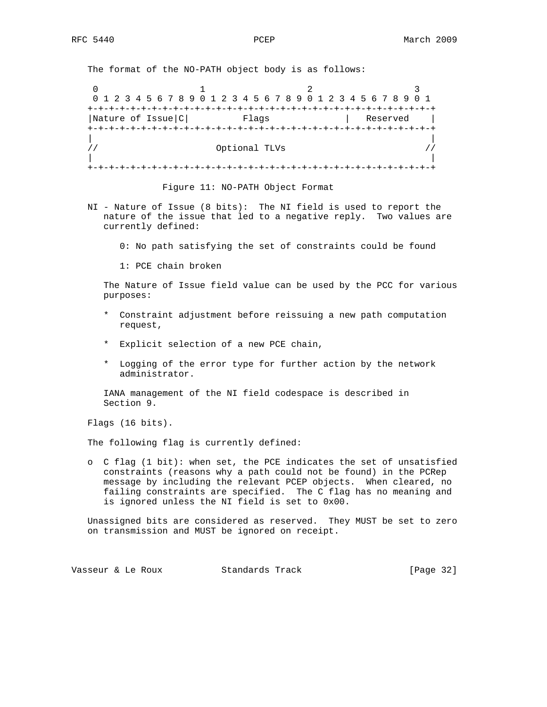The format of the NO-PATH object body is as follows:

0  $1$  2 3 0 1 2 3 4 5 6 7 8 9 0 1 2 3 4 5 6 7 8 9 0 1 2 3 4 5 6 7 8 9 0 1 +-+-+-+-+-+-+-+-+-+-+-+-+-+-+-+-+-+-+-+-+-+-+-+-+-+-+-+-+-+-+-+-+ |Nature of Issue|C| Flags | Reserved | +-+-+-+-+-+-+-+-+-+-+-+-+-+-+-+-+-+-+-+-+-+-+-+-+-+-+-+-+-+-+-+-+ | | // Optional TLVs // | | +-+-+-+-+-+-+-+-+-+-+-+-+-+-+-+-+-+-+-+-+-+-+-+-+-+-+-+-+-+-+-+-+

Figure 11: NO-PATH Object Format

- NI Nature of Issue (8 bits): The NI field is used to report the nature of the issue that led to a negative reply. Two values are currently defined:
	- 0: No path satisfying the set of constraints could be found
	- 1: PCE chain broken

 The Nature of Issue field value can be used by the PCC for various purposes:

- \* Constraint adjustment before reissuing a new path computation request,
- \* Explicit selection of a new PCE chain,
- \* Logging of the error type for further action by the network administrator.

 IANA management of the NI field codespace is described in Section 9.

Flags (16 bits).

The following flag is currently defined:

 o C flag (1 bit): when set, the PCE indicates the set of unsatisfied constraints (reasons why a path could not be found) in the PCRep message by including the relevant PCEP objects. When cleared, no failing constraints are specified. The C flag has no meaning and is ignored unless the NI field is set to 0x00.

 Unassigned bits are considered as reserved. They MUST be set to zero on transmission and MUST be ignored on receipt.

Vasseur & Le Roux Standards Track [Page 32]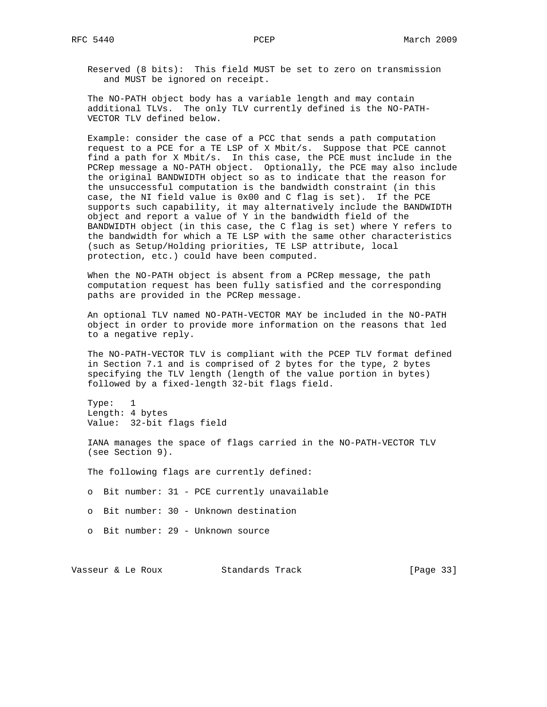Reserved (8 bits): This field MUST be set to zero on transmission and MUST be ignored on receipt.

 The NO-PATH object body has a variable length and may contain additional TLVs. The only TLV currently defined is the NO-PATH- VECTOR TLV defined below.

 Example: consider the case of a PCC that sends a path computation request to a PCE for a TE LSP of X Mbit/s. Suppose that PCE cannot find a path for X Mbit/s. In this case, the PCE must include in the PCRep message a NO-PATH object. Optionally, the PCE may also include the original BANDWIDTH object so as to indicate that the reason for the unsuccessful computation is the bandwidth constraint (in this case, the NI field value is 0x00 and C flag is set). If the PCE supports such capability, it may alternatively include the BANDWIDTH object and report a value of Y in the bandwidth field of the BANDWIDTH object (in this case, the C flag is set) where Y refers to the bandwidth for which a TE LSP with the same other characteristics (such as Setup/Holding priorities, TE LSP attribute, local protection, etc.) could have been computed.

 When the NO-PATH object is absent from a PCRep message, the path computation request has been fully satisfied and the corresponding paths are provided in the PCRep message.

 An optional TLV named NO-PATH-VECTOR MAY be included in the NO-PATH object in order to provide more information on the reasons that led to a negative reply.

 The NO-PATH-VECTOR TLV is compliant with the PCEP TLV format defined in Section 7.1 and is comprised of 2 bytes for the type, 2 bytes specifying the TLV length (length of the value portion in bytes) followed by a fixed-length 32-bit flags field.

 Type: 1 Length: 4 bytes Value: 32-bit flags field

 IANA manages the space of flags carried in the NO-PATH-VECTOR TLV (see Section 9).

The following flags are currently defined:

o Bit number: 31 - PCE currently unavailable

o Bit number: 30 - Unknown destination

o Bit number: 29 - Unknown source

Vasseur & Le Roux Standards Track [Page 33]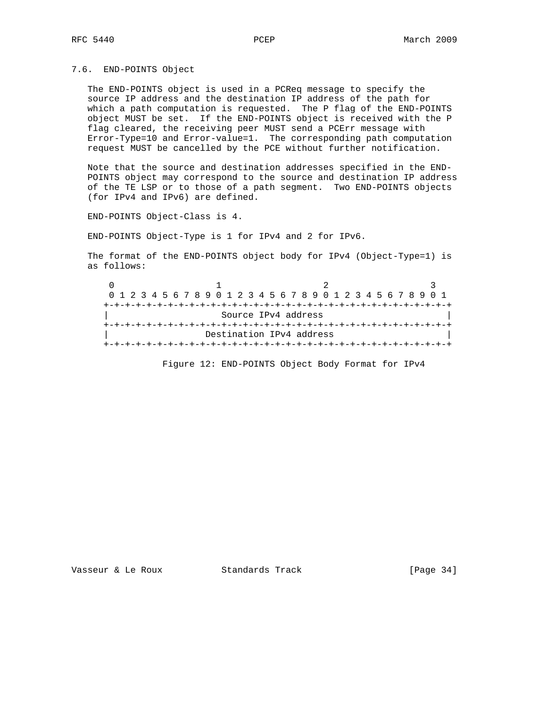7.6. END-POINTS Object

 The END-POINTS object is used in a PCReq message to specify the source IP address and the destination IP address of the path for which a path computation is requested. The P flag of the END-POINTS object MUST be set. If the END-POINTS object is received with the P flag cleared, the receiving peer MUST send a PCErr message with Error-Type=10 and Error-value=1. The corresponding path computation request MUST be cancelled by the PCE without further notification.

 Note that the source and destination addresses specified in the END- POINTS object may correspond to the source and destination IP address of the TE LSP or to those of a path segment. Two END-POINTS objects (for IPv4 and IPv6) are defined.

END-POINTS Object-Class is 4.

END-POINTS Object-Type is 1 for IPv4 and 2 for IPv6.

 The format of the END-POINTS object body for IPv4 (Object-Type=1) is as follows:

 $0$  1 2 3 0 1 2 3 4 5 6 7 8 9 0 1 2 3 4 5 6 7 8 9 0 1 2 3 4 5 6 7 8 9 0 1 +-+-+-+-+-+-+-+-+-+-+-+-+-+-+-+-+-+-+-+-+-+-+-+-+-+-+-+-+-+-+-+-+ Source IPv4 address +-+-+-+-+-+-+-+-+-+-+-+-+-+-+-+-+-+-+-+-+-+-+-+-+-+-+-+-+-+-+-+-+ Destination IPv4 address +-+-+-+-+-+-+-+-+-+-+-+-+-+-+-+-+-+-+-+-+-+-+-+-+-+-+-+-+-+-+-+-+

Figure 12: END-POINTS Object Body Format for IPv4

Vasseur & Le Roux Standards Track [Page 34]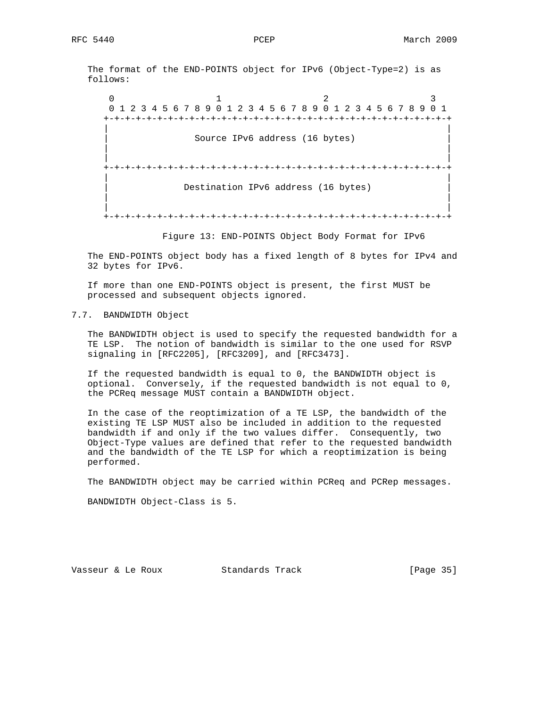The format of the END-POINTS object for IPv6 (Object-Type=2) is as follows:

 $0$  1 2 3 0 1 2 3 4 5 6 7 8 9 0 1 2 3 4 5 6 7 8 9 0 1 2 3 4 5 6 7 8 9 0 1 +-+-+-+-+-+-+-+-+-+-+-+-+-+-+-+-+-+-+-+-+-+-+-+-+-+-+-+-+-+-+-+-+ | | Source IPv6 address (16 bytes) | | | | +-+-+-+-+-+-+-+-+-+-+-+-+-+-+-+-+-+-+-+-+-+-+-+-+-+-+-+-+-+-+-+-+ | | Destination IPv6 address (16 bytes) | | | | +-+-+-+-+-+-+-+-+-+-+-+-+-+-+-+-+-+-+-+-+-+-+-+-+-+-+-+-+-+-+-+-+

Figure 13: END-POINTS Object Body Format for IPv6

 The END-POINTS object body has a fixed length of 8 bytes for IPv4 and 32 bytes for IPv6.

 If more than one END-POINTS object is present, the first MUST be processed and subsequent objects ignored.

# 7.7. BANDWIDTH Object

 The BANDWIDTH object is used to specify the requested bandwidth for a TE LSP. The notion of bandwidth is similar to the one used for RSVP signaling in [RFC2205], [RFC3209], and [RFC3473].

 If the requested bandwidth is equal to 0, the BANDWIDTH object is optional. Conversely, if the requested bandwidth is not equal to 0, the PCReq message MUST contain a BANDWIDTH object.

 In the case of the reoptimization of a TE LSP, the bandwidth of the existing TE LSP MUST also be included in addition to the requested bandwidth if and only if the two values differ. Consequently, two Object-Type values are defined that refer to the requested bandwidth and the bandwidth of the TE LSP for which a reoptimization is being performed.

The BANDWIDTH object may be carried within PCReq and PCRep messages.

BANDWIDTH Object-Class is 5.

Vasseur & Le Roux Standards Track [Page 35]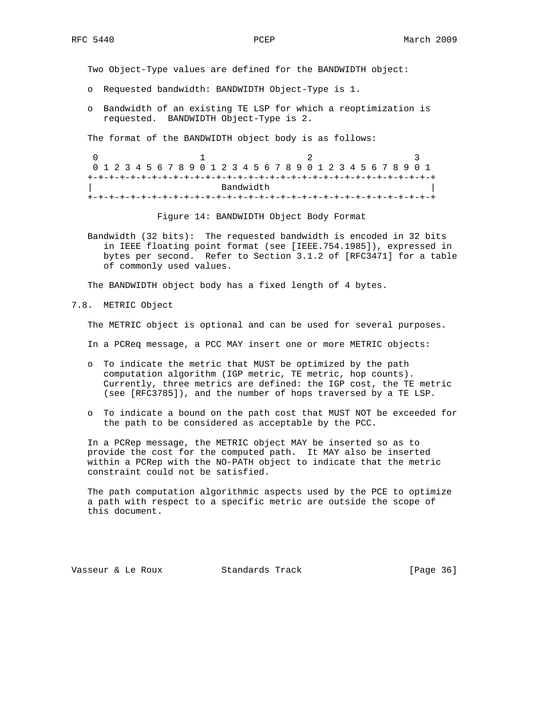Two Object-Type values are defined for the BANDWIDTH object:

- o Requested bandwidth: BANDWIDTH Object-Type is 1.
- o Bandwidth of an existing TE LSP for which a reoptimization is requested. BANDWIDTH Object-Type is 2.

The format of the BANDWIDTH object body is as follows:

| 0 1 2 3 4 5 6 7 8 9 0 1 2 3 4 5 6 7 8 9 0 1 2 3 4 5 6 7 8 9 0 1 |  |  |  |  |  |  |  |  |  |  |  |  |  |  |  |  |  |  |  |  |  |  |  |  |  |  |  |  |  |  |
|-----------------------------------------------------------------|--|--|--|--|--|--|--|--|--|--|--|--|--|--|--|--|--|--|--|--|--|--|--|--|--|--|--|--|--|--|
|                                                                 |  |  |  |  |  |  |  |  |  |  |  |  |  |  |  |  |  |  |  |  |  |  |  |  |  |  |  |  |  |  |
| Bandwidth                                                       |  |  |  |  |  |  |  |  |  |  |  |  |  |  |  |  |  |  |  |  |  |  |  |  |  |  |  |  |  |  |
|                                                                 |  |  |  |  |  |  |  |  |  |  |  |  |  |  |  |  |  |  |  |  |  |  |  |  |  |  |  |  |  |  |

Figure 14: BANDWIDTH Object Body Format

 Bandwidth (32 bits): The requested bandwidth is encoded in 32 bits in IEEE floating point format (see [IEEE.754.1985]), expressed in bytes per second. Refer to Section 3.1.2 of [RFC3471] for a table of commonly used values.

The BANDWIDTH object body has a fixed length of 4 bytes.

7.8. METRIC Object

The METRIC object is optional and can be used for several purposes.

In a PCReq message, a PCC MAY insert one or more METRIC objects:

- o To indicate the metric that MUST be optimized by the path computation algorithm (IGP metric, TE metric, hop counts). Currently, three metrics are defined: the IGP cost, the TE metric (see [RFC3785]), and the number of hops traversed by a TE LSP.
- o To indicate a bound on the path cost that MUST NOT be exceeded for the path to be considered as acceptable by the PCC.

 In a PCRep message, the METRIC object MAY be inserted so as to provide the cost for the computed path. It MAY also be inserted within a PCRep with the NO-PATH object to indicate that the metric constraint could not be satisfied.

 The path computation algorithmic aspects used by the PCE to optimize a path with respect to a specific metric are outside the scope of this document.

Vasseur & Le Roux Standards Track [Page 36]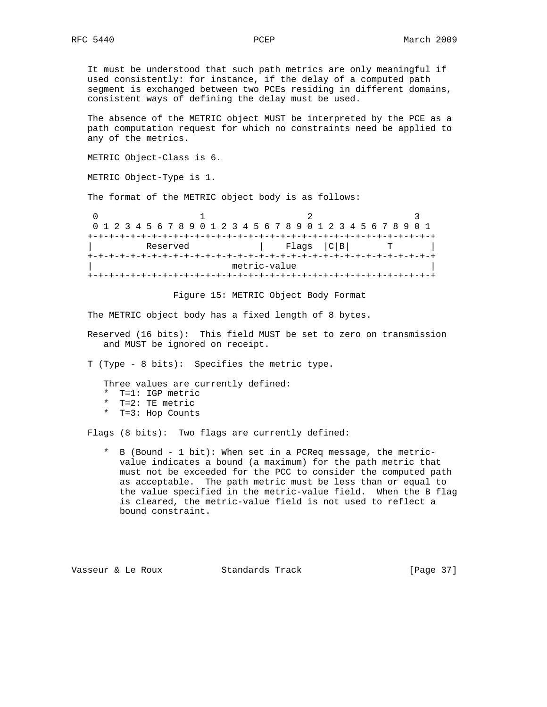It must be understood that such path metrics are only meaningful if used consistently: for instance, if the delay of a computed path segment is exchanged between two PCEs residing in different domains, consistent ways of defining the delay must be used.

 The absence of the METRIC object MUST be interpreted by the PCE as a path computation request for which no constraints need be applied to any of the metrics.

METRIC Object-Class is 6.

METRIC Object-Type is 1.

The format of the METRIC object body is as follows:

| 0 1 2 3 4 5 6 7 8 9 0 1 2 3 4 5 6 7 8 9 0 1 2 3 4 5 6 7 8 9 0 1 |  |  |          |  |  |  |              |  |  |               |  |  |  |  |  |  |
|-----------------------------------------------------------------|--|--|----------|--|--|--|--------------|--|--|---------------|--|--|--|--|--|--|
|                                                                 |  |  |          |  |  |  |              |  |  |               |  |  |  |  |  |  |
|                                                                 |  |  | Reserved |  |  |  |              |  |  | Flags   C   B |  |  |  |  |  |  |
|                                                                 |  |  |          |  |  |  |              |  |  |               |  |  |  |  |  |  |
|                                                                 |  |  |          |  |  |  | metric-value |  |  |               |  |  |  |  |  |  |
|                                                                 |  |  |          |  |  |  |              |  |  |               |  |  |  |  |  |  |

Figure 15: METRIC Object Body Format

The METRIC object body has a fixed length of 8 bytes.

- Reserved (16 bits): This field MUST be set to zero on transmission and MUST be ignored on receipt.
- T (Type 8 bits): Specifies the metric type.

Three values are currently defined:

- \* T=1: IGP metric
- \* T=2: TE metric
- \* T=3: Hop Counts

Flags (8 bits): Two flags are currently defined:

 \* B (Bound - 1 bit): When set in a PCReq message, the metric value indicates a bound (a maximum) for the path metric that must not be exceeded for the PCC to consider the computed path as acceptable. The path metric must be less than or equal to the value specified in the metric-value field. When the B flag is cleared, the metric-value field is not used to reflect a bound constraint.

Vasseur & Le Roux Standards Track [Page 37]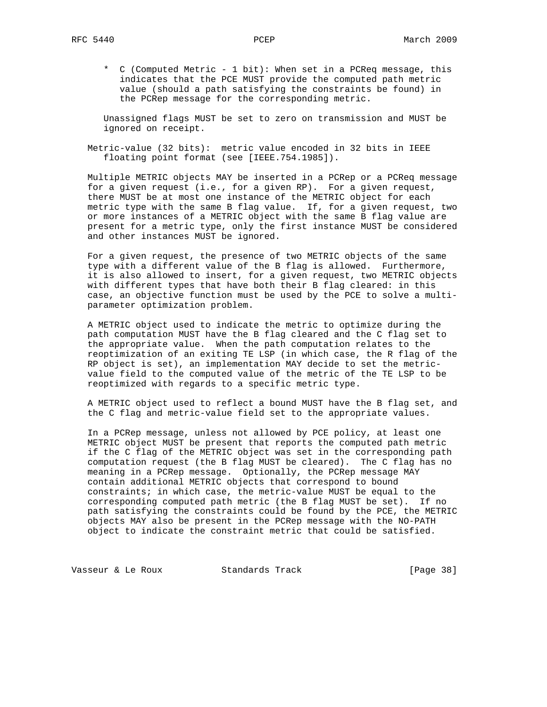\* C (Computed Metric - 1 bit): When set in a PCReq message, this indicates that the PCE MUST provide the computed path metric value (should a path satisfying the constraints be found) in the PCRep message for the corresponding metric.

 Unassigned flags MUST be set to zero on transmission and MUST be ignored on receipt.

 Metric-value (32 bits): metric value encoded in 32 bits in IEEE floating point format (see [IEEE.754.1985]).

 Multiple METRIC objects MAY be inserted in a PCRep or a PCReq message for a given request (i.e., for a given RP). For a given request, there MUST be at most one instance of the METRIC object for each metric type with the same B flag value. If, for a given request, two or more instances of a METRIC object with the same B flag value are present for a metric type, only the first instance MUST be considered and other instances MUST be ignored.

 For a given request, the presence of two METRIC objects of the same type with a different value of the B flag is allowed. Furthermore, it is also allowed to insert, for a given request, two METRIC objects with different types that have both their B flag cleared: in this case, an objective function must be used by the PCE to solve a multi parameter optimization problem.

 A METRIC object used to indicate the metric to optimize during the path computation MUST have the B flag cleared and the C flag set to the appropriate value. When the path computation relates to the reoptimization of an exiting TE LSP (in which case, the R flag of the RP object is set), an implementation MAY decide to set the metric value field to the computed value of the metric of the TE LSP to be reoptimized with regards to a specific metric type.

 A METRIC object used to reflect a bound MUST have the B flag set, and the C flag and metric-value field set to the appropriate values.

 In a PCRep message, unless not allowed by PCE policy, at least one METRIC object MUST be present that reports the computed path metric if the C flag of the METRIC object was set in the corresponding path computation request (the B flag MUST be cleared). The C flag has no meaning in a PCRep message. Optionally, the PCRep message MAY contain additional METRIC objects that correspond to bound constraints; in which case, the metric-value MUST be equal to the corresponding computed path metric (the B flag MUST be set). If no path satisfying the constraints could be found by the PCE, the METRIC objects MAY also be present in the PCRep message with the NO-PATH object to indicate the constraint metric that could be satisfied.

Vasseur & Le Roux Standards Track [Page 38]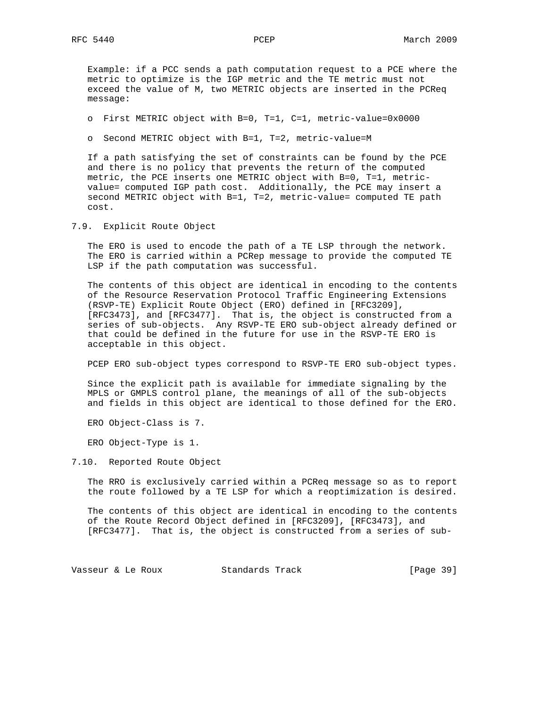Example: if a PCC sends a path computation request to a PCE where the metric to optimize is the IGP metric and the TE metric must not exceed the value of M, two METRIC objects are inserted in the PCReq message:

o First METRIC object with B=0, T=1, C=1, metric-value=0x0000

o Second METRIC object with B=1, T=2, metric-value=M

 If a path satisfying the set of constraints can be found by the PCE and there is no policy that prevents the return of the computed metric, the PCE inserts one METRIC object with B=0, T=1, metric value= computed IGP path cost. Additionally, the PCE may insert a second METRIC object with B=1, T=2, metric-value= computed TE path cost.

7.9. Explicit Route Object

 The ERO is used to encode the path of a TE LSP through the network. The ERO is carried within a PCRep message to provide the computed TE LSP if the path computation was successful.

 The contents of this object are identical in encoding to the contents of the Resource Reservation Protocol Traffic Engineering Extensions (RSVP-TE) Explicit Route Object (ERO) defined in [RFC3209], [RFC3473], and [RFC3477]. That is, the object is constructed from a series of sub-objects. Any RSVP-TE ERO sub-object already defined or that could be defined in the future for use in the RSVP-TE ERO is acceptable in this object.

PCEP ERO sub-object types correspond to RSVP-TE ERO sub-object types.

 Since the explicit path is available for immediate signaling by the MPLS or GMPLS control plane, the meanings of all of the sub-objects and fields in this object are identical to those defined for the ERO.

ERO Object-Class is 7.

ERO Object-Type is 1.

7.10. Reported Route Object

 The RRO is exclusively carried within a PCReq message so as to report the route followed by a TE LSP for which a reoptimization is desired.

 The contents of this object are identical in encoding to the contents of the Route Record Object defined in [RFC3209], [RFC3473], and [RFC3477]. That is, the object is constructed from a series of sub-

Vasseur & Le Roux Standards Track [Page 39]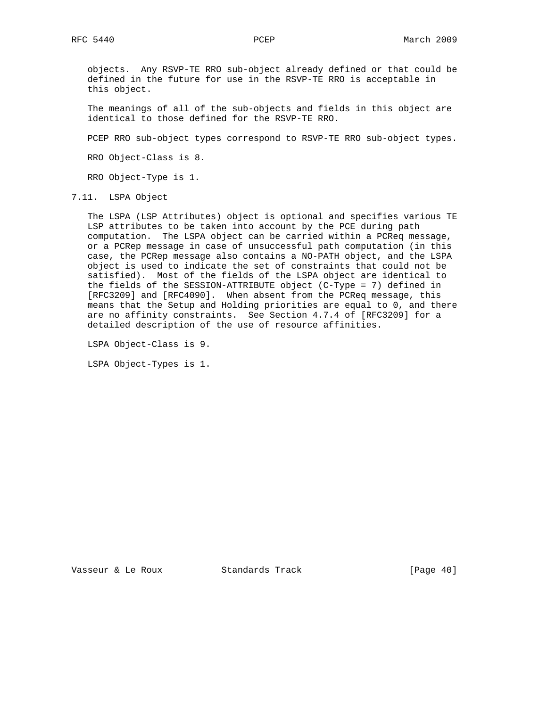objects. Any RSVP-TE RRO sub-object already defined or that could be defined in the future for use in the RSVP-TE RRO is acceptable in this object.

 The meanings of all of the sub-objects and fields in this object are identical to those defined for the RSVP-TE RRO.

PCEP RRO sub-object types correspond to RSVP-TE RRO sub-object types.

RRO Object-Class is 8.

RRO Object-Type is 1.

7.11. LSPA Object

 The LSPA (LSP Attributes) object is optional and specifies various TE LSP attributes to be taken into account by the PCE during path computation. The LSPA object can be carried within a PCReq message, or a PCRep message in case of unsuccessful path computation (in this case, the PCRep message also contains a NO-PATH object, and the LSPA object is used to indicate the set of constraints that could not be satisfied). Most of the fields of the LSPA object are identical to the fields of the SESSION-ATTRIBUTE object (C-Type = 7) defined in [RFC3209] and [RFC4090]. When absent from the PCReq message, this means that the Setup and Holding priorities are equal to 0, and there are no affinity constraints. See Section 4.7.4 of [RFC3209] for a detailed description of the use of resource affinities.

LSPA Object-Class is 9.

LSPA Object-Types is 1.

Vasseur & Le Roux Standards Track [Page 40]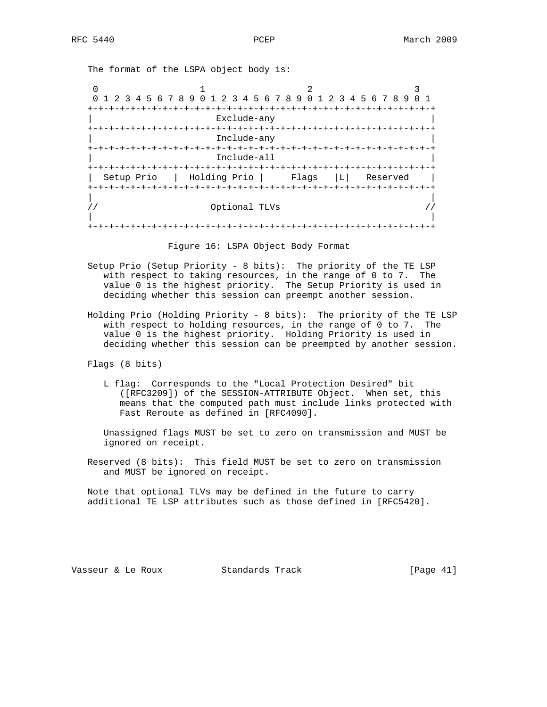The format of the LSPA object body is:

0  $1$  2 3 0 1 2 3 4 5 6 7 8 9 0 1 2 3 4 5 6 7 8 9 0 1 2 3 4 5 6 7 8 9 0 1 +-+-+-+-+-+-+-+-+-+-+-+-+-+-+-+-+-+-+-+-+-+-+-+-+-+-+-+-+-+-+-+-+ | Exclude-any | +-+-+-+-+-+-+-+-+-+-+-+-+-+-+-+-+-+-+-+-+-+-+-+-+-+-+-+-+-+-+-+-+ | Include-any | +-+-+-+-+-+-+-+-+-+-+-+-+-+-+-+-+-+-+-+-+-+-+-+-+-+-+-+-+-+-+-+-+ | Include-all | +-+-+-+-+-+-+-+-+-+-+-+-+-+-+-+-+-+-+-+-+-+-+-+-+-+-+-+-+-+-+-+-+ | Setup Prio | Holding Prio | Flags |L| Reserved | +-+-+-+-+-+-+-+-+-+-+-+-+-+-+-+-+-+-+-+-+-+-+-+-+-+-+-+-+-+-+-+-+ | |  $\frac{1}{2}$  //  $\frac{1}{2}$  optional TLVs  $\frac{1}{2}$  // | | +-+-+-+-+-+-+-+-+-+-+-+-+-+-+-+-+-+-+-+-+-+-+-+-+-+-+-+-+-+-+-+-+

Figure 16: LSPA Object Body Format

- Setup Prio (Setup Priority 8 bits): The priority of the TE LSP with respect to taking resources, in the range of 0 to 7. The value 0 is the highest priority. The Setup Priority is used in deciding whether this session can preempt another session.
- Holding Prio (Holding Priority 8 bits): The priority of the TE LSP with respect to holding resources, in the range of 0 to 7. The value 0 is the highest priority. Holding Priority is used in deciding whether this session can be preempted by another session.

Flags (8 bits)

 L flag: Corresponds to the "Local Protection Desired" bit ([RFC3209]) of the SESSION-ATTRIBUTE Object. When set, this means that the computed path must include links protected with Fast Reroute as defined in [RFC4090].

 Unassigned flags MUST be set to zero on transmission and MUST be ignored on receipt.

 Reserved (8 bits): This field MUST be set to zero on transmission and MUST be ignored on receipt.

 Note that optional TLVs may be defined in the future to carry additional TE LSP attributes such as those defined in [RFC5420].

Vasseur & Le Roux Standards Track [Page 41]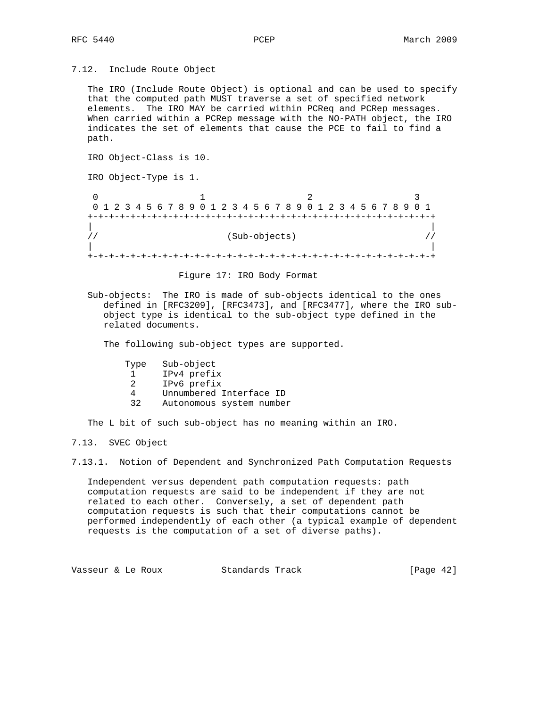7.12. Include Route Object

 The IRO (Include Route Object) is optional and can be used to specify that the computed path MUST traverse a set of specified network elements. The IRO MAY be carried within PCReq and PCRep messages. When carried within a PCRep message with the NO-PATH object, the IRO indicates the set of elements that cause the PCE to fail to find a path.

 IRO Object-Class is 10. IRO Object-Type is 1.  $0$  1 2 0 1 2 3 4 5 6 7 8 9 0 1 2 3 4 5 6 7 8 9 0 1 2 3 4 5 6 7 8 9 0 1 +-+-+-+-+-+-+-+-+-+-+-+-+-+-+-+-+-+-+-+-+-+-+-+-+-+-+-+-+-+-+-+-+ | |  $\frac{1}{1}$  (Sub-objects)  $\frac{1}{1}$  | | +-+-+-+-+-+-+-+-+-+-+-+-+-+-+-+-+-+-+-+-+-+-+-+-+-+-+-+-+-+-+-+-+

#### Figure 17: IRO Body Format

 Sub-objects: The IRO is made of sub-objects identical to the ones defined in [RFC3209], [RFC3473], and [RFC3477], where the IRO sub object type is identical to the sub-object type defined in the related documents.

The following sub-object types are supported.

- Type Sub-object
- 1 IPv4 prefix
- 2 IPv6 prefix
- 4 Unnumbered Interface ID
- 32 Autonomous system number

The L bit of such sub-object has no meaning within an IRO.

7.13. SVEC Object

7.13.1. Notion of Dependent and Synchronized Path Computation Requests

 Independent versus dependent path computation requests: path computation requests are said to be independent if they are not related to each other. Conversely, a set of dependent path computation requests is such that their computations cannot be performed independently of each other (a typical example of dependent requests is the computation of a set of diverse paths).

Vasseur & Le Roux Standards Track [Page 42]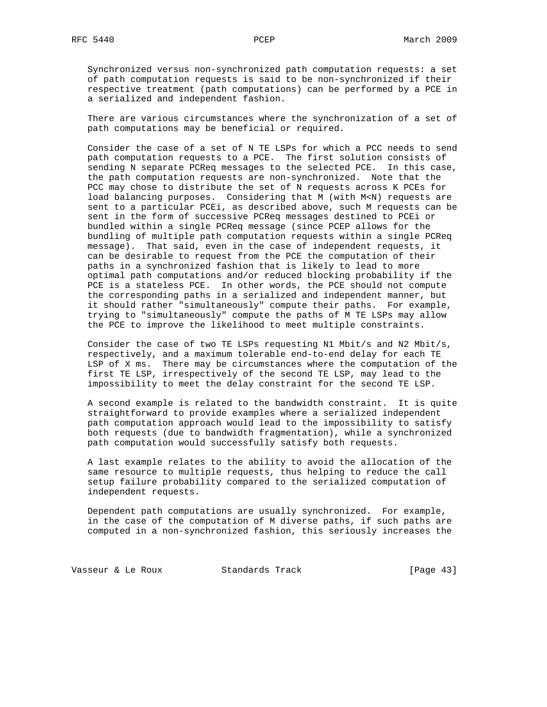Synchronized versus non-synchronized path computation requests: a set of path computation requests is said to be non-synchronized if their respective treatment (path computations) can be performed by a PCE in a serialized and independent fashion.

 There are various circumstances where the synchronization of a set of path computations may be beneficial or required.

 Consider the case of a set of N TE LSPs for which a PCC needs to send path computation requests to a PCE. The first solution consists of sending N separate PCReq messages to the selected PCE. In this case, the path computation requests are non-synchronized. Note that the PCC may chose to distribute the set of N requests across K PCEs for load balancing purposes. Considering that M (with M<N) requests are sent to a particular PCEi, as described above, such M requests can be sent in the form of successive PCReq messages destined to PCEi or bundled within a single PCReq message (since PCEP allows for the bundling of multiple path computation requests within a single PCReq message). That said, even in the case of independent requests, it can be desirable to request from the PCE the computation of their paths in a synchronized fashion that is likely to lead to more optimal path computations and/or reduced blocking probability if the PCE is a stateless PCE. In other words, the PCE should not compute the corresponding paths in a serialized and independent manner, but it should rather "simultaneously" compute their paths. For example, trying to "simultaneously" compute the paths of M TE LSPs may allow the PCE to improve the likelihood to meet multiple constraints.

 Consider the case of two TE LSPs requesting N1 Mbit/s and N2 Mbit/s, respectively, and a maximum tolerable end-to-end delay for each TE LSP of X ms. There may be circumstances where the computation of the first TE LSP, irrespectively of the second TE LSP, may lead to the impossibility to meet the delay constraint for the second TE LSP.

 A second example is related to the bandwidth constraint. It is quite straightforward to provide examples where a serialized independent path computation approach would lead to the impossibility to satisfy both requests (due to bandwidth fragmentation), while a synchronized path computation would successfully satisfy both requests.

 A last example relates to the ability to avoid the allocation of the same resource to multiple requests, thus helping to reduce the call setup failure probability compared to the serialized computation of independent requests.

 Dependent path computations are usually synchronized. For example, in the case of the computation of M diverse paths, if such paths are computed in a non-synchronized fashion, this seriously increases the

Vasseur & Le Roux Standards Track [Page 43]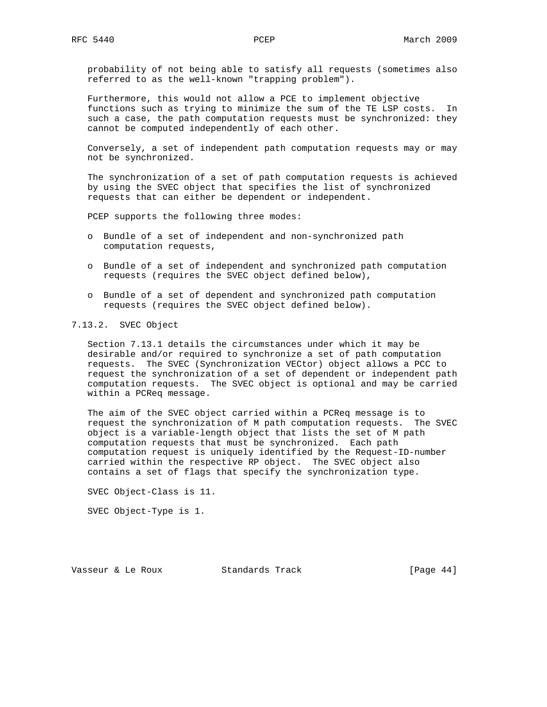probability of not being able to satisfy all requests (sometimes also referred to as the well-known "trapping problem").

 Furthermore, this would not allow a PCE to implement objective functions such as trying to minimize the sum of the TE LSP costs. In such a case, the path computation requests must be synchronized: they cannot be computed independently of each other.

 Conversely, a set of independent path computation requests may or may not be synchronized.

 The synchronization of a set of path computation requests is achieved by using the SVEC object that specifies the list of synchronized requests that can either be dependent or independent.

PCEP supports the following three modes:

- o Bundle of a set of independent and non-synchronized path computation requests,
- o Bundle of a set of independent and synchronized path computation requests (requires the SVEC object defined below),
- o Bundle of a set of dependent and synchronized path computation requests (requires the SVEC object defined below).

#### 7.13.2. SVEC Object

 Section 7.13.1 details the circumstances under which it may be desirable and/or required to synchronize a set of path computation requests. The SVEC (Synchronization VECtor) object allows a PCC to request the synchronization of a set of dependent or independent path computation requests. The SVEC object is optional and may be carried within a PCReq message.

 The aim of the SVEC object carried within a PCReq message is to request the synchronization of M path computation requests. The SVEC object is a variable-length object that lists the set of M path computation requests that must be synchronized. Each path computation request is uniquely identified by the Request-ID-number carried within the respective RP object. The SVEC object also contains a set of flags that specify the synchronization type.

SVEC Object-Class is 11.

SVEC Object-Type is 1.

Vasseur & Le Roux Standards Track [Page 44]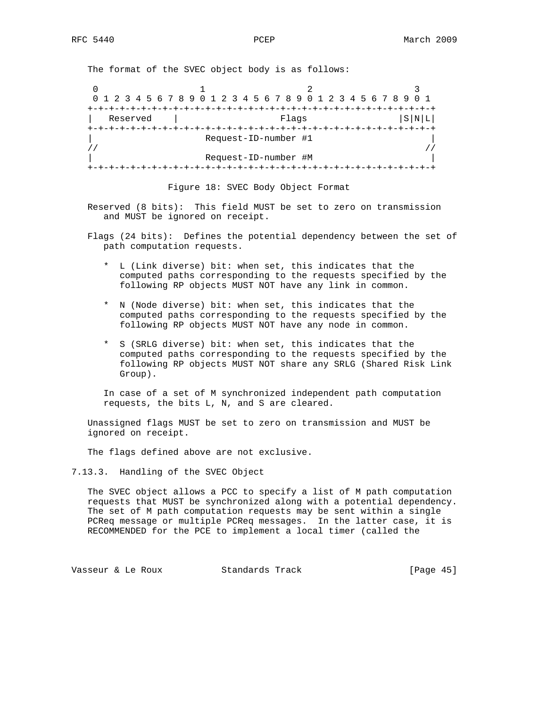The format of the SVEC object body is as follows:

0  $1$  2 3 0 1 2 3 4 5 6 7 8 9 0 1 2 3 4 5 6 7 8 9 0 1 2 3 4 5 6 7 8 9 0 1 +-+-+-+-+-+-+-+-+-+-+-+-+-+-+-+-+-+-+-+-+-+-+-+-+-+-+-+-+-+-+-+-+  $\vert$  Reserved  $\vert$  Flags  $\vert$  S|N|L| +-+-+-+-+-+-+-+-+-+-+-+-+-+-+-+-+-+-+-+-+-+-+-+-+-+-+-+-+-+-+-+-+ |<br>| Request-ID-number #1<br>| |  $\frac{1}{2}$  //  $\frac{1}{2}$  //  $\frac{1}{2}$  //  $\frac{1}{2}$  //  $\frac{1}{2}$  //  $\frac{1}{2}$  //  $\frac{1}{2}$  //  $\frac{1}{2}$  //  $\frac{1}{2}$  //  $\frac{1}{2}$  //  $\frac{1}{2}$  //  $\frac{1}{2}$  //  $\frac{1}{2}$  //  $\frac{1}{2}$  //  $\frac{1}{2}$  //  $\frac{1}{2}$  //  $\frac{1}{2}$  // | Request-ID-number #M | +-+-+-+-+-+-+-+-+-+-+-+-+-+-+-+-+-+-+-+-+-+-+-+-+-+-+-+-+-+-+-+-+

Figure 18: SVEC Body Object Format

 Reserved (8 bits): This field MUST be set to zero on transmission and MUST be ignored on receipt.

 Flags (24 bits): Defines the potential dependency between the set of path computation requests.

- \* L (Link diverse) bit: when set, this indicates that the computed paths corresponding to the requests specified by the following RP objects MUST NOT have any link in common.
- \* N (Node diverse) bit: when set, this indicates that the computed paths corresponding to the requests specified by the following RP objects MUST NOT have any node in common.
- \* S (SRLG diverse) bit: when set, this indicates that the computed paths corresponding to the requests specified by the following RP objects MUST NOT share any SRLG (Shared Risk Link Group).

 In case of a set of M synchronized independent path computation requests, the bits L, N, and S are cleared.

 Unassigned flags MUST be set to zero on transmission and MUST be ignored on receipt.

The flags defined above are not exclusive.

7.13.3. Handling of the SVEC Object

 The SVEC object allows a PCC to specify a list of M path computation requests that MUST be synchronized along with a potential dependency. The set of M path computation requests may be sent within a single PCReq message or multiple PCReq messages. In the latter case, it is RECOMMENDED for the PCE to implement a local timer (called the

Vasseur & Le Roux Standards Track [Page 45]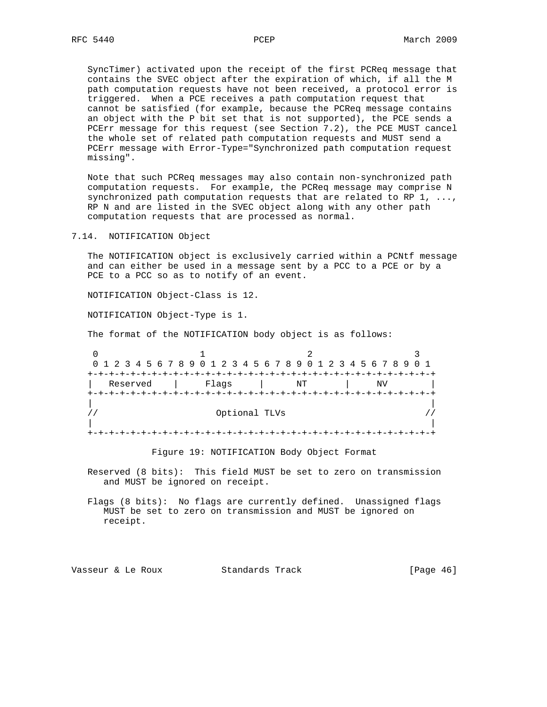SyncTimer) activated upon the receipt of the first PCReq message that contains the SVEC object after the expiration of which, if all the M path computation requests have not been received, a protocol error is triggered. When a PCE receives a path computation request that cannot be satisfied (for example, because the PCReq message contains an object with the P bit set that is not supported), the PCE sends a PCErr message for this request (see Section 7.2), the PCE MUST cancel the whole set of related path computation requests and MUST send a PCErr message with Error-Type="Synchronized path computation request missing".

 Note that such PCReq messages may also contain non-synchronized path computation requests. For example, the PCReq message may comprise N synchronized path computation requests that are related to RP  $1, \ldots,$  RP N and are listed in the SVEC object along with any other path computation requests that are processed as normal.

7.14. NOTIFICATION Object

 The NOTIFICATION object is exclusively carried within a PCNtf message and can either be used in a message sent by a PCC to a PCE or by a PCE to a PCC so as to notify of an event.

NOTIFICATION Object-Class is 12.

NOTIFICATION Object-Type is 1.

The format of the NOTIFICATION body object is as follows:

|          | 0 1 2 3 4 5 6 7 8 9 0 1 2 3 4 5 6 7 8 9 0 1 2 3 4 5 6 7 8 9 0 1 |    |    |  |
|----------|-----------------------------------------------------------------|----|----|--|
|          |                                                                 |    |    |  |
| Reserved | Flaqs                                                           | ΝT | ΝV |  |
|          |                                                                 |    |    |  |
|          |                                                                 |    |    |  |
|          | Optional TLVs                                                   |    |    |  |
|          |                                                                 |    |    |  |
|          |                                                                 |    |    |  |

Figure 19: NOTIFICATION Body Object Format

 Reserved (8 bits): This field MUST be set to zero on transmission and MUST be ignored on receipt.

 Flags (8 bits): No flags are currently defined. Unassigned flags MUST be set to zero on transmission and MUST be ignored on receipt.

Vasseur & Le Roux Standards Track [Page 46]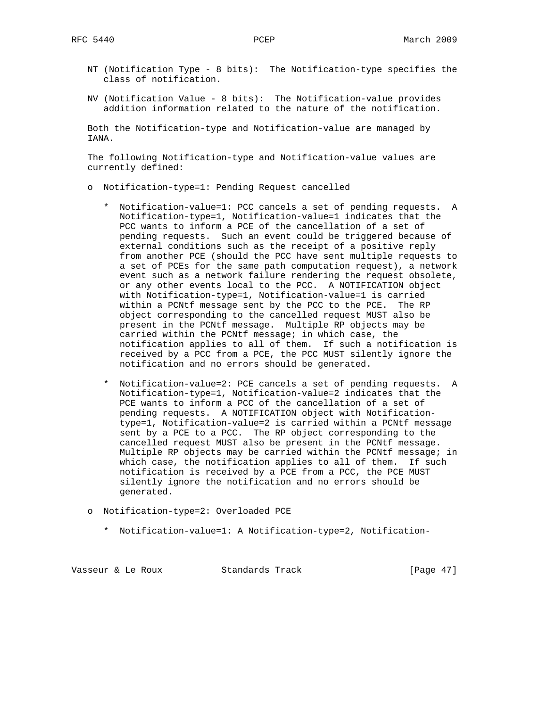- NT (Notification Type 8 bits): The Notification-type specifies the class of notification.
- NV (Notification Value 8 bits): The Notification-value provides addition information related to the nature of the notification.

 Both the Notification-type and Notification-value are managed by IANA.

 The following Notification-type and Notification-value values are currently defined:

- o Notification-type=1: Pending Request cancelled
	- \* Notification-value=1: PCC cancels a set of pending requests. A Notification-type=1, Notification-value=1 indicates that the PCC wants to inform a PCE of the cancellation of a set of pending requests. Such an event could be triggered because of external conditions such as the receipt of a positive reply from another PCE (should the PCC have sent multiple requests to a set of PCEs for the same path computation request), a network event such as a network failure rendering the request obsolete, or any other events local to the PCC. A NOTIFICATION object with Notification-type=1, Notification-value=1 is carried within a PCNtf message sent by the PCC to the PCE. The RP object corresponding to the cancelled request MUST also be present in the PCNtf message. Multiple RP objects may be carried within the PCNtf message; in which case, the notification applies to all of them. If such a notification is received by a PCC from a PCE, the PCC MUST silently ignore the notification and no errors should be generated.
	- \* Notification-value=2: PCE cancels a set of pending requests. A Notification-type=1, Notification-value=2 indicates that the PCE wants to inform a PCC of the cancellation of a set of pending requests. A NOTIFICATION object with Notification type=1, Notification-value=2 is carried within a PCNtf message sent by a PCE to a PCC. The RP object corresponding to the cancelled request MUST also be present in the PCNtf message. Multiple RP objects may be carried within the PCNtf message; in which case, the notification applies to all of them. If such notification is received by a PCE from a PCC, the PCE MUST silently ignore the notification and no errors should be generated.
- o Notification-type=2: Overloaded PCE
	- \* Notification-value=1: A Notification-type=2, Notification-

Vasseur & Le Roux Standards Track [Page 47]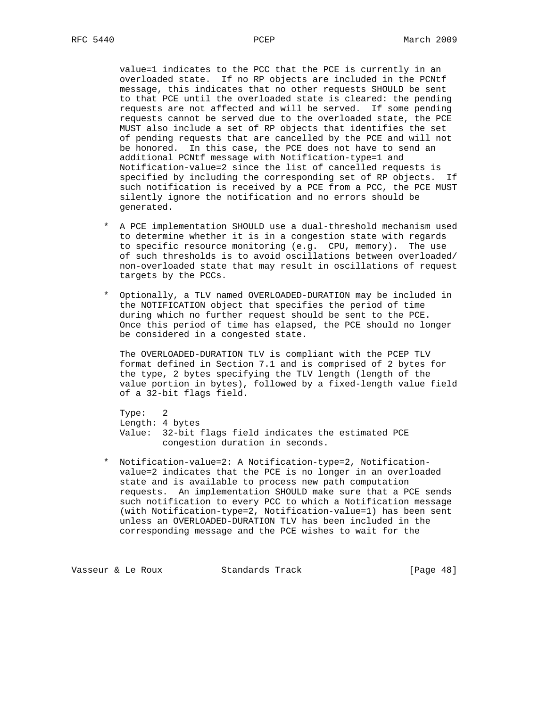value=1 indicates to the PCC that the PCE is currently in an overloaded state. If no RP objects are included in the PCNtf message, this indicates that no other requests SHOULD be sent to that PCE until the overloaded state is cleared: the pending requests are not affected and will be served. If some pending requests cannot be served due to the overloaded state, the PCE MUST also include a set of RP objects that identifies the set of pending requests that are cancelled by the PCE and will not be honored. In this case, the PCE does not have to send an additional PCNtf message with Notification-type=1 and Notification-value=2 since the list of cancelled requests is specified by including the corresponding set of RP objects. If such notification is received by a PCE from a PCC, the PCE MUST silently ignore the notification and no errors should be generated.

- \* A PCE implementation SHOULD use a dual-threshold mechanism used to determine whether it is in a congestion state with regards to specific resource monitoring (e.g. CPU, memory). The use of such thresholds is to avoid oscillations between overloaded/ non-overloaded state that may result in oscillations of request targets by the PCCs.
- \* Optionally, a TLV named OVERLOADED-DURATION may be included in the NOTIFICATION object that specifies the period of time during which no further request should be sent to the PCE. Once this period of time has elapsed, the PCE should no longer be considered in a congested state.

 The OVERLOADED-DURATION TLV is compliant with the PCEP TLV format defined in Section 7.1 and is comprised of 2 bytes for the type, 2 bytes specifying the TLV length (length of the value portion in bytes), followed by a fixed-length value field of a 32-bit flags field.

 Type: 2 Length: 4 bytes Value: 32-bit flags field indicates the estimated PCE congestion duration in seconds.

 \* Notification-value=2: A Notification-type=2, Notification value=2 indicates that the PCE is no longer in an overloaded state and is available to process new path computation requests. An implementation SHOULD make sure that a PCE sends such notification to every PCC to which a Notification message (with Notification-type=2, Notification-value=1) has been sent unless an OVERLOADED-DURATION TLV has been included in the corresponding message and the PCE wishes to wait for the

Vasseur & Le Roux Standards Track [Page 48]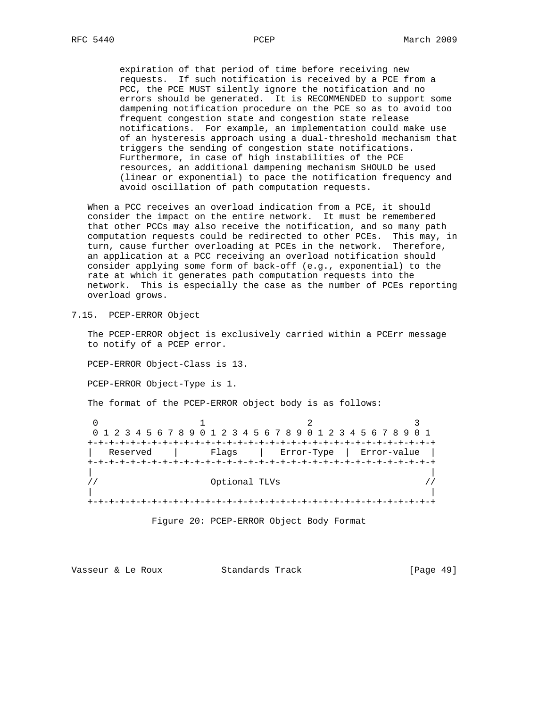expiration of that period of time before receiving new requests. If such notification is received by a PCE from a PCC, the PCE MUST silently ignore the notification and no errors should be generated. It is RECOMMENDED to support some dampening notification procedure on the PCE so as to avoid too frequent congestion state and congestion state release notifications. For example, an implementation could make use of an hysteresis approach using a dual-threshold mechanism that triggers the sending of congestion state notifications. Furthermore, in case of high instabilities of the PCE resources, an additional dampening mechanism SHOULD be used (linear or exponential) to pace the notification frequency and avoid oscillation of path computation requests.

 When a PCC receives an overload indication from a PCE, it should consider the impact on the entire network. It must be remembered that other PCCs may also receive the notification, and so many path computation requests could be redirected to other PCEs. This may, in turn, cause further overloading at PCEs in the network. Therefore, an application at a PCC receiving an overload notification should consider applying some form of back-off (e.g., exponential) to the rate at which it generates path computation requests into the network. This is especially the case as the number of PCEs reporting overload grows.

7.15. PCEP-ERROR Object

 The PCEP-ERROR object is exclusively carried within a PCErr message to notify of a PCEP error.

PCEP-ERROR Object-Class is 13.

PCEP-ERROR Object-Type is 1.

The format of the PCEP-ERROR object body is as follows:

0  $1$  2 3 0 1 2 3 4 5 6 7 8 9 0 1 2 3 4 5 6 7 8 9 0 1 2 3 4 5 6 7 8 9 0 1 +-+-+-+-+-+-+-+-+-+-+-+-+-+-+-+-+-+-+-+-+-+-+-+-+-+-+-+-+-+-+-+-+ | Reserved | Flags | Error-Type | Error-value | +-+-+-+-+-+-+-+-+-+-+-+-+-+-+-+-+-+-+-+-+-+-+-+-+-+-+-+-+-+-+-+-+ | | // Optional TLVs // | | +-+-+-+-+-+-+-+-+-+-+-+-+-+-+-+-+-+-+-+-+-+-+-+-+-+-+-+-+-+-+-+-+

Figure 20: PCEP-ERROR Object Body Format

Vasseur & Le Roux Standards Track [Page 49]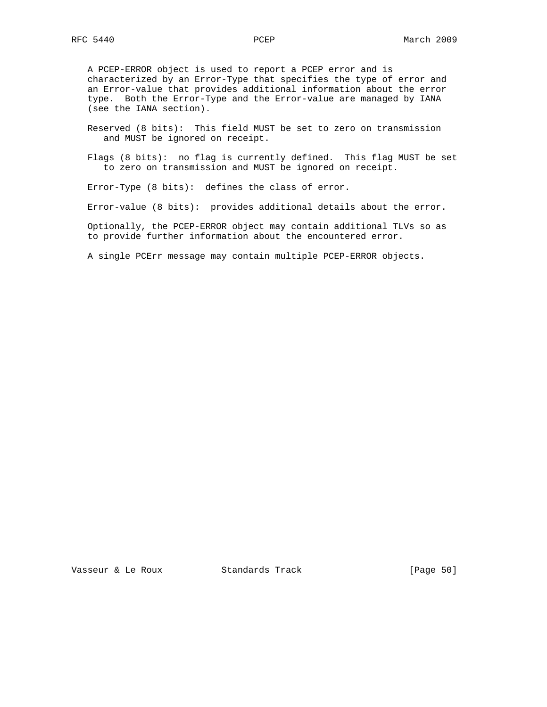A PCEP-ERROR object is used to report a PCEP error and is characterized by an Error-Type that specifies the type of error and an Error-value that provides additional information about the error type. Both the Error-Type and the Error-value are managed by IANA (see the IANA section).

 Reserved (8 bits): This field MUST be set to zero on transmission and MUST be ignored on receipt.

 Flags (8 bits): no flag is currently defined. This flag MUST be set to zero on transmission and MUST be ignored on receipt.

Error-Type (8 bits): defines the class of error.

Error-value (8 bits): provides additional details about the error.

 Optionally, the PCEP-ERROR object may contain additional TLVs so as to provide further information about the encountered error.

A single PCErr message may contain multiple PCEP-ERROR objects.

Vasseur & Le Roux Standards Track [Page 50]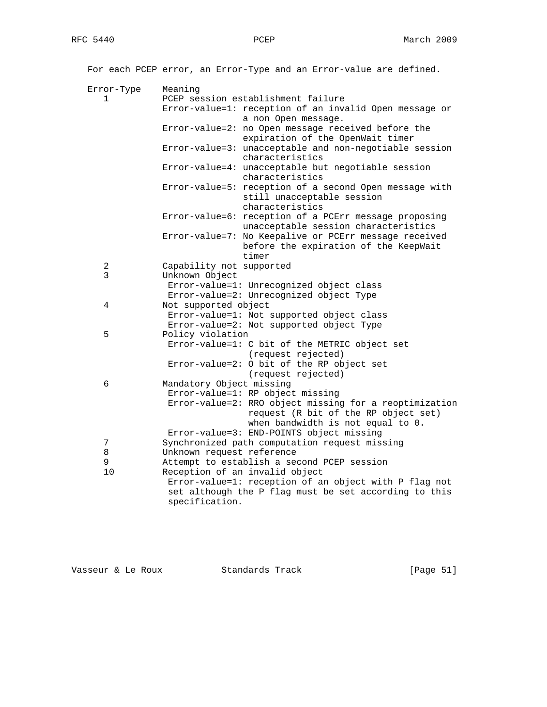|              | For each PCEP error, an Error-Type and an Error-value are defined.                                                               |
|--------------|----------------------------------------------------------------------------------------------------------------------------------|
| Error-Type   | Meaning                                                                                                                          |
| $\mathbf{1}$ | PCEP session establishment failure                                                                                               |
|              | Error-value=1: reception of an invalid Open message or                                                                           |
|              | a non Open message.                                                                                                              |
|              | Error-value=2: no Open message received before the<br>expiration of the OpenWait timer                                           |
|              | Error-value=3: unacceptable and non-negotiable session<br>characteristics                                                        |
|              | Error-value=4: unacceptable but negotiable session<br>characteristics                                                            |
|              | Error-value=5: reception of a second Open message with<br>still unacceptable session                                             |
|              | characteristics                                                                                                                  |
|              | Error-value=6: reception of a PCErr message proposing<br>unacceptable session characteristics                                    |
|              | Error-value=7: No Keepalive or PCErr message received<br>before the expiration of the KeepWait                                   |
|              | timer                                                                                                                            |
| 2<br>3       | Capability not supported                                                                                                         |
|              | Unknown Object                                                                                                                   |
|              | Error-value=1: Unrecognized object class<br>Error-value=2: Unrecognized object Type                                              |
| 4            | Not supported object                                                                                                             |
|              | Error-value=1: Not supported object class                                                                                        |
|              | Error-value=2: Not supported object Type                                                                                         |
| 5            | Policy violation                                                                                                                 |
|              | Error-value=1: C bit of the METRIC object set                                                                                    |
|              | (request rejected)                                                                                                               |
|              | Error-value=2: 0 bit of the RP object set                                                                                        |
|              | (request rejected)                                                                                                               |
| 6            | Mandatory Object missing                                                                                                         |
|              | Error-value=1: RP object missing                                                                                                 |
|              | Error-value=2: RRO object missing for a reoptimization                                                                           |
|              | request (R bit of the RP object set)                                                                                             |
|              | when bandwidth is not equal to 0.                                                                                                |
|              | Error-value=3: END-POINTS object missing                                                                                         |
| 7            | Synchronized path computation request missing                                                                                    |
| 8            | Unknown request reference                                                                                                        |
| 9            | Attempt to establish a second PCEP session                                                                                       |
| 10           | Reception of an invalid object                                                                                                   |
|              | Error-value=1: reception of an object with P flag not<br>set although the P flag must be set according to this<br>specification. |

Vasseur & Le Roux Standards Track [Page 51]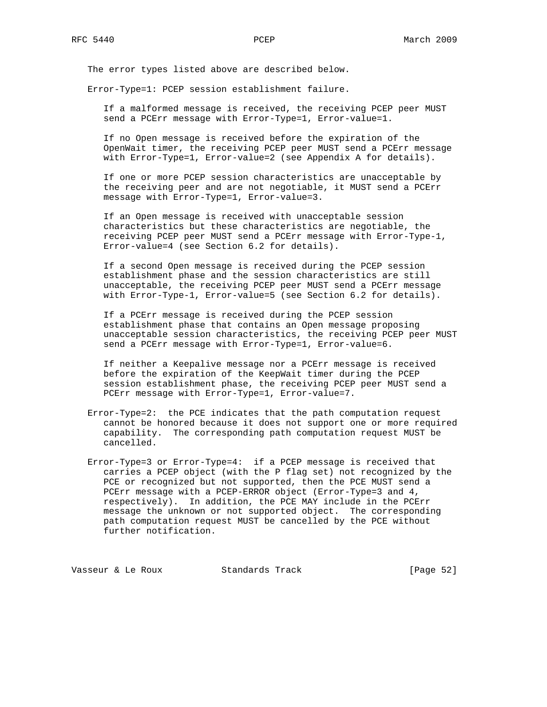The error types listed above are described below.

Error-Type=1: PCEP session establishment failure.

 If a malformed message is received, the receiving PCEP peer MUST send a PCErr message with Error-Type=1, Error-value=1.

 If no Open message is received before the expiration of the OpenWait timer, the receiving PCEP peer MUST send a PCErr message with Error-Type=1, Error-value=2 (see Appendix A for details).

 If one or more PCEP session characteristics are unacceptable by the receiving peer and are not negotiable, it MUST send a PCErr message with Error-Type=1, Error-value=3.

 If an Open message is received with unacceptable session characteristics but these characteristics are negotiable, the receiving PCEP peer MUST send a PCErr message with Error-Type-1, Error-value=4 (see Section 6.2 for details).

 If a second Open message is received during the PCEP session establishment phase and the session characteristics are still unacceptable, the receiving PCEP peer MUST send a PCErr message with Error-Type-1, Error-value=5 (see Section 6.2 for details).

 If a PCErr message is received during the PCEP session establishment phase that contains an Open message proposing unacceptable session characteristics, the receiving PCEP peer MUST send a PCErr message with Error-Type=1, Error-value=6.

 If neither a Keepalive message nor a PCErr message is received before the expiration of the KeepWait timer during the PCEP session establishment phase, the receiving PCEP peer MUST send a PCErr message with Error-Type=1, Error-value=7.

- Error-Type=2: the PCE indicates that the path computation request cannot be honored because it does not support one or more required capability. The corresponding path computation request MUST be cancelled.
- Error-Type=3 or Error-Type=4: if a PCEP message is received that carries a PCEP object (with the P flag set) not recognized by the PCE or recognized but not supported, then the PCE MUST send a PCErr message with a PCEP-ERROR object (Error-Type=3 and 4, respectively). In addition, the PCE MAY include in the PCErr message the unknown or not supported object. The corresponding path computation request MUST be cancelled by the PCE without further notification.

Vasseur & Le Roux Standards Track [Page 52]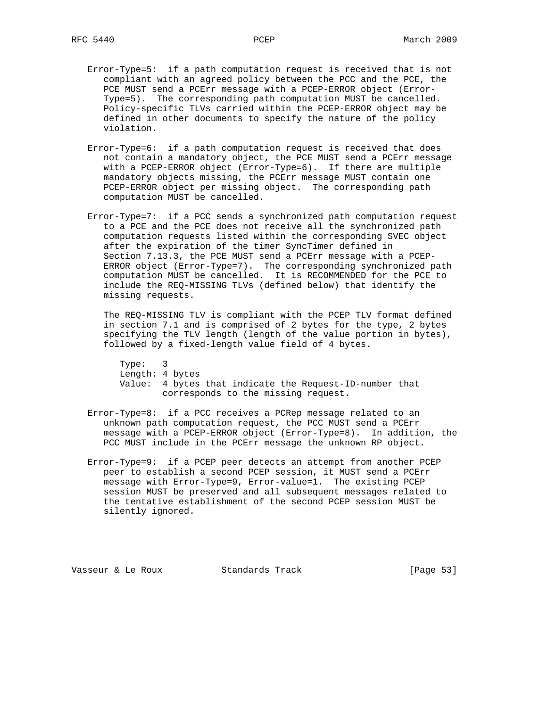- Error-Type=5: if a path computation request is received that is not compliant with an agreed policy between the PCC and the PCE, the PCE MUST send a PCErr message with a PCEP-ERROR object (Error- Type=5). The corresponding path computation MUST be cancelled. Policy-specific TLVs carried within the PCEP-ERROR object may be defined in other documents to specify the nature of the policy violation.
- Error-Type=6: if a path computation request is received that does not contain a mandatory object, the PCE MUST send a PCErr message with a PCEP-ERROR object (Error-Type=6). If there are multiple mandatory objects missing, the PCErr message MUST contain one PCEP-ERROR object per missing object. The corresponding path computation MUST be cancelled.
- Error-Type=7: if a PCC sends a synchronized path computation request to a PCE and the PCE does not receive all the synchronized path computation requests listed within the corresponding SVEC object after the expiration of the timer SyncTimer defined in Section 7.13.3, the PCE MUST send a PCErr message with a PCEP- ERROR object (Error-Type=7). The corresponding synchronized path computation MUST be cancelled. It is RECOMMENDED for the PCE to include the REQ-MISSING TLVs (defined below) that identify the missing requests.

 The REQ-MISSING TLV is compliant with the PCEP TLV format defined in section 7.1 and is comprised of 2 bytes for the type, 2 bytes specifying the TLV length (length of the value portion in bytes), followed by a fixed-length value field of 4 bytes.

 Type: 3 Length: 4 bytes Value: 4 bytes that indicate the Request-ID-number that corresponds to the missing request.

- Error-Type=8: if a PCC receives a PCRep message related to an unknown path computation request, the PCC MUST send a PCErr message with a PCEP-ERROR object (Error-Type=8). In addition, the PCC MUST include in the PCErr message the unknown RP object.
- Error-Type=9: if a PCEP peer detects an attempt from another PCEP peer to establish a second PCEP session, it MUST send a PCErr message with Error-Type=9, Error-value=1. The existing PCEP session MUST be preserved and all subsequent messages related to the tentative establishment of the second PCEP session MUST be silently ignored.

Vasseur & Le Roux Standards Track [Page 53]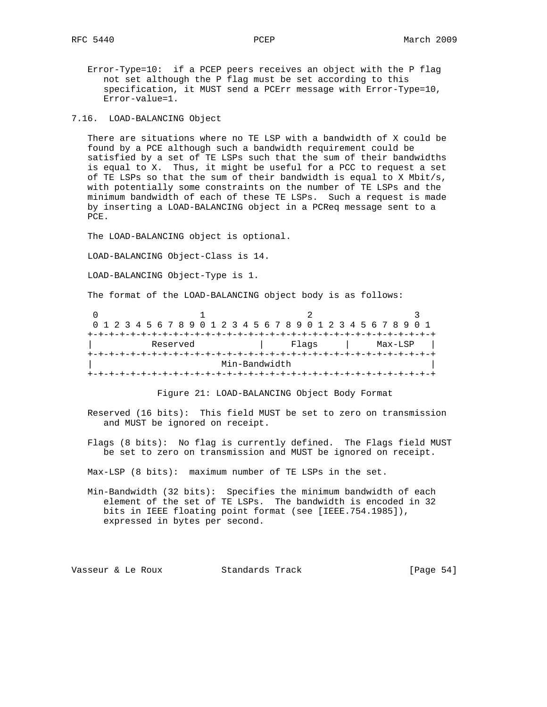Error-Type=10: if a PCEP peers receives an object with the P flag not set although the P flag must be set according to this specification, it MUST send a PCErr message with Error-Type=10, Error-value=1.

7.16. LOAD-BALANCING Object

 There are situations where no TE LSP with a bandwidth of X could be found by a PCE although such a bandwidth requirement could be satisfied by a set of TE LSPs such that the sum of their bandwidths is equal to X. Thus, it might be useful for a PCC to request a set of TE LSPs so that the sum of their bandwidth is equal to X Mbit/s, with potentially some constraints on the number of TE LSPs and the minimum bandwidth of each of these TE LSPs. Such a request is made by inserting a LOAD-BALANCING object in a PCReq message sent to a PCE.

The LOAD-BALANCING object is optional.

LOAD-BALANCING Object-Class is 14.

LOAD-BALANCING Object-Type is 1.

The format of the LOAD-BALANCING object body is as follows:

| 0 1 2 3 4 5 6 7 8 9 0 1 2 3 4 5 6 7 8 9 0 1 2 3 4 5 6 7 8 9 0 1 |  |  |          |  |  |  |  |               |  |       |  |  |  |                                        |         |  |  |
|-----------------------------------------------------------------|--|--|----------|--|--|--|--|---------------|--|-------|--|--|--|----------------------------------------|---------|--|--|
|                                                                 |  |  |          |  |  |  |  |               |  |       |  |  |  |                                        |         |  |  |
|                                                                 |  |  | Reserved |  |  |  |  |               |  | Flags |  |  |  |                                        | Max-LSP |  |  |
|                                                                 |  |  |          |  |  |  |  |               |  |       |  |  |  | +-+-+-+-+-+-+-+-+-+-+-+-+-+-+-+-+-+-+- |         |  |  |
|                                                                 |  |  |          |  |  |  |  | Min-Bandwidth |  |       |  |  |  |                                        |         |  |  |
|                                                                 |  |  |          |  |  |  |  |               |  |       |  |  |  |                                        |         |  |  |

Figure 21: LOAD-BALANCING Object Body Format

 Reserved (16 bits): This field MUST be set to zero on transmission and MUST be ignored on receipt.

 Flags (8 bits): No flag is currently defined. The Flags field MUST be set to zero on transmission and MUST be ignored on receipt.

Max-LSP (8 bits): maximum number of TE LSPs in the set.

 Min-Bandwidth (32 bits): Specifies the minimum bandwidth of each element of the set of TE LSPs. The bandwidth is encoded in 32 bits in IEEE floating point format (see [IEEE.754.1985]), expressed in bytes per second.

Vasseur & Le Roux Standards Track [Page 54]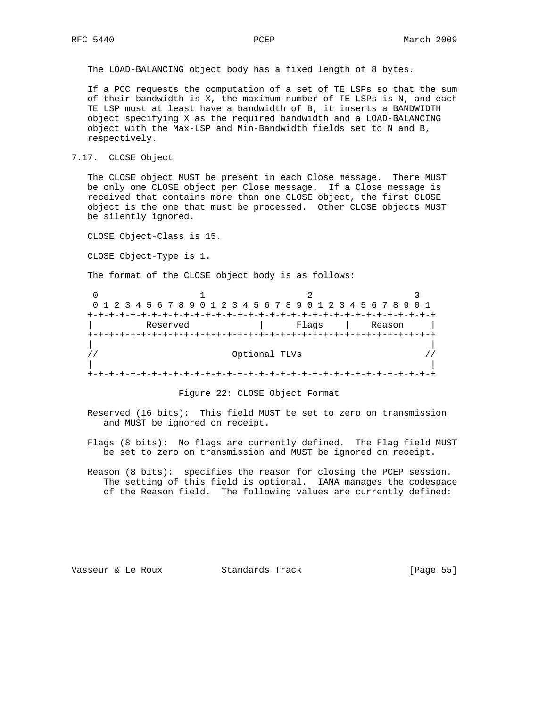The LOAD-BALANCING object body has a fixed length of 8 bytes.

 If a PCC requests the computation of a set of TE LSPs so that the sum of their bandwidth is X, the maximum number of TE LSPs is N, and each TE LSP must at least have a bandwidth of B, it inserts a BANDWIDTH object specifying X as the required bandwidth and a LOAD-BALANCING object with the Max-LSP and Min-Bandwidth fields set to N and B, respectively.

7.17. CLOSE Object

 The CLOSE object MUST be present in each Close message. There MUST be only one CLOSE object per Close message. If a Close message is received that contains more than one CLOSE object, the first CLOSE object is the one that must be processed. Other CLOSE objects MUST be silently ignored.

CLOSE Object-Class is 15.

CLOSE Object-Type is 1.

The format of the CLOSE object body is as follows:

| 0 1 2 3 4 5 6 7 8 9 0 1 2 3 4 5 6 7 8 9 0 1 2 3 4 5 6 7 8 9 0 1 |               |       |        |
|-----------------------------------------------------------------|---------------|-------|--------|
|                                                                 |               |       |        |
| Reserved                                                        |               | Flags | Reason |
|                                                                 |               |       |        |
|                                                                 |               |       |        |
|                                                                 | Optional TLVs |       |        |
|                                                                 |               |       |        |
|                                                                 |               |       |        |

#### Figure 22: CLOSE Object Format

 Reserved (16 bits): This field MUST be set to zero on transmission and MUST be ignored on receipt.

 Flags (8 bits): No flags are currently defined. The Flag field MUST be set to zero on transmission and MUST be ignored on receipt.

 Reason (8 bits): specifies the reason for closing the PCEP session. The setting of this field is optional. IANA manages the codespace of the Reason field. The following values are currently defined:

Vasseur & Le Roux Standards Track [Page 55]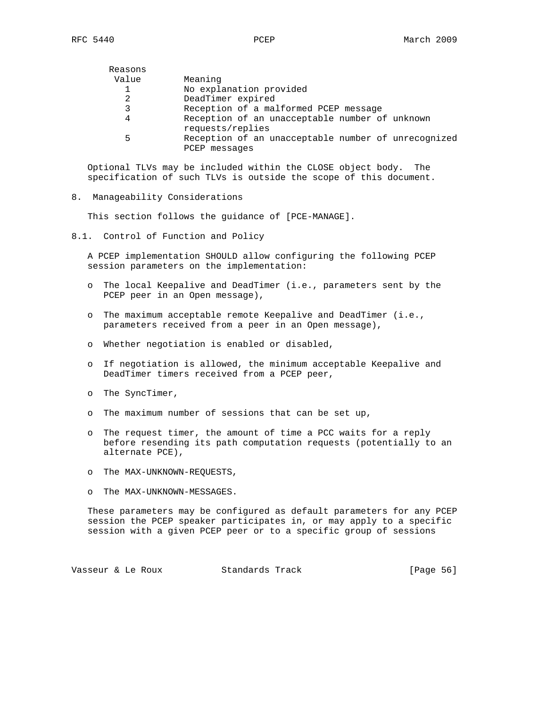| Reasons |                                                                      |
|---------|----------------------------------------------------------------------|
| Value   | Meaning                                                              |
|         | No explanation provided                                              |
| 2       | DeadTimer expired                                                    |
| 3       | Reception of a malformed PCEP message                                |
| 4       | Reception of an unacceptable number of unknown<br>requests/replies   |
| 5       | Reception of an unacceptable number of unrecognized<br>PCEP messages |

 Optional TLVs may be included within the CLOSE object body. The specification of such TLVs is outside the scope of this document.

8. Manageability Considerations

This section follows the guidance of [PCE-MANAGE].

8.1. Control of Function and Policy

 A PCEP implementation SHOULD allow configuring the following PCEP session parameters on the implementation:

- o The local Keepalive and DeadTimer (i.e., parameters sent by the PCEP peer in an Open message),
- o The maximum acceptable remote Keepalive and DeadTimer (i.e., parameters received from a peer in an Open message),
- o Whether negotiation is enabled or disabled,
- o If negotiation is allowed, the minimum acceptable Keepalive and DeadTimer timers received from a PCEP peer,
- o The SyncTimer,
- o The maximum number of sessions that can be set up,
- o The request timer, the amount of time a PCC waits for a reply before resending its path computation requests (potentially to an alternate PCE),
- o The MAX-UNKNOWN-REQUESTS,
- o The MAX-UNKNOWN-MESSAGES.

 These parameters may be configured as default parameters for any PCEP session the PCEP speaker participates in, or may apply to a specific session with a given PCEP peer or to a specific group of sessions

Vasseur & Le Roux Standards Track [Page 56]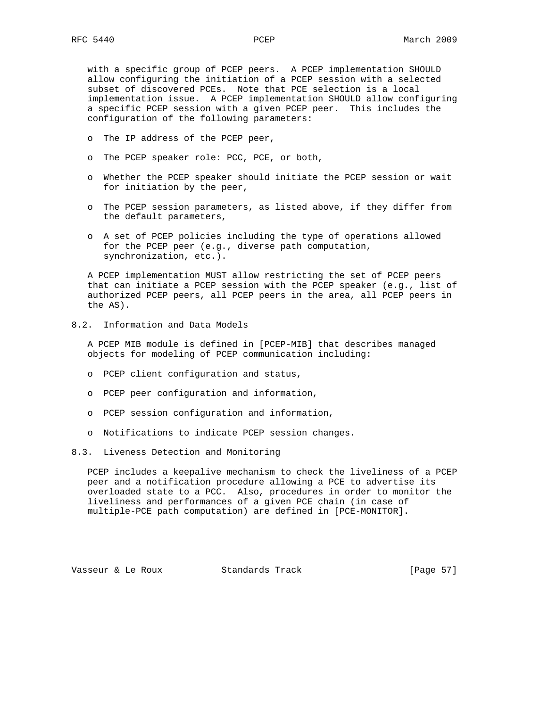with a specific group of PCEP peers. A PCEP implementation SHOULD allow configuring the initiation of a PCEP session with a selected subset of discovered PCEs. Note that PCE selection is a local implementation issue. A PCEP implementation SHOULD allow configuring a specific PCEP session with a given PCEP peer. This includes the configuration of the following parameters:

- o The IP address of the PCEP peer,
- o The PCEP speaker role: PCC, PCE, or both,
- o Whether the PCEP speaker should initiate the PCEP session or wait for initiation by the peer,
- o The PCEP session parameters, as listed above, if they differ from the default parameters,
- o A set of PCEP policies including the type of operations allowed for the PCEP peer (e.g., diverse path computation, synchronization, etc.).

 A PCEP implementation MUST allow restricting the set of PCEP peers that can initiate a PCEP session with the PCEP speaker (e.g., list of authorized PCEP peers, all PCEP peers in the area, all PCEP peers in the AS).

8.2. Information and Data Models

 A PCEP MIB module is defined in [PCEP-MIB] that describes managed objects for modeling of PCEP communication including:

- o PCEP client configuration and status,
- o PCEP peer configuration and information,
- o PCEP session configuration and information,
- o Notifications to indicate PCEP session changes.

# 8.3. Liveness Detection and Monitoring

 PCEP includes a keepalive mechanism to check the liveliness of a PCEP peer and a notification procedure allowing a PCE to advertise its overloaded state to a PCC. Also, procedures in order to monitor the liveliness and performances of a given PCE chain (in case of multiple-PCE path computation) are defined in [PCE-MONITOR].

Vasseur & Le Roux Standards Track [Page 57]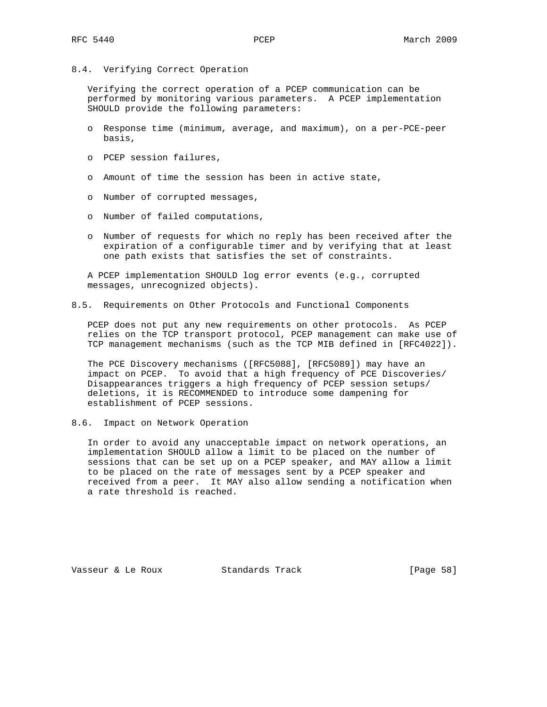8.4. Verifying Correct Operation

 Verifying the correct operation of a PCEP communication can be performed by monitoring various parameters. A PCEP implementation SHOULD provide the following parameters:

- o Response time (minimum, average, and maximum), on a per-PCE-peer basis,
- o PCEP session failures,
- o Amount of time the session has been in active state,
- o Number of corrupted messages,
- o Number of failed computations,
- o Number of requests for which no reply has been received after the expiration of a configurable timer and by verifying that at least one path exists that satisfies the set of constraints.

 A PCEP implementation SHOULD log error events (e.g., corrupted messages, unrecognized objects).

8.5. Requirements on Other Protocols and Functional Components

 PCEP does not put any new requirements on other protocols. As PCEP relies on the TCP transport protocol, PCEP management can make use of TCP management mechanisms (such as the TCP MIB defined in [RFC4022]).

 The PCE Discovery mechanisms ([RFC5088], [RFC5089]) may have an impact on PCEP. To avoid that a high frequency of PCE Discoveries/ Disappearances triggers a high frequency of PCEP session setups/ deletions, it is RECOMMENDED to introduce some dampening for establishment of PCEP sessions.

8.6. Impact on Network Operation

 In order to avoid any unacceptable impact on network operations, an implementation SHOULD allow a limit to be placed on the number of sessions that can be set up on a PCEP speaker, and MAY allow a limit to be placed on the rate of messages sent by a PCEP speaker and received from a peer. It MAY also allow sending a notification when a rate threshold is reached.

Vasseur & Le Roux Standards Track [Page 58]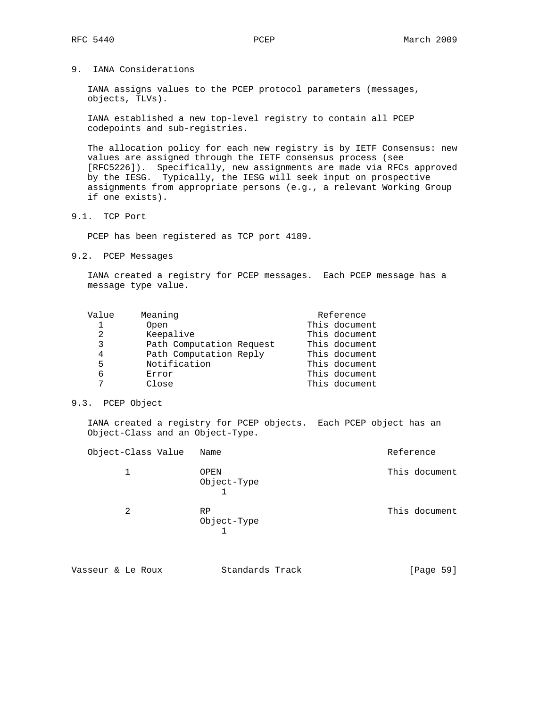9. IANA Considerations

 IANA assigns values to the PCEP protocol parameters (messages, objects, TLVs).

 IANA established a new top-level registry to contain all PCEP codepoints and sub-registries.

 The allocation policy for each new registry is by IETF Consensus: new values are assigned through the IETF consensus process (see [RFC5226]). Specifically, new assignments are made via RFCs approved by the IESG. Typically, the IESG will seek input on prospective assignments from appropriate persons (e.g., a relevant Working Group if one exists).

9.1. TCP Port

PCEP has been registered as TCP port 4189.

9.2. PCEP Messages

 IANA created a registry for PCEP messages. Each PCEP message has a message type value.

| Value | Meaning                  | Reference     |
|-------|--------------------------|---------------|
| 1     | Open                     | This document |
| 2     | Keepalive                | This document |
| 3     | Path Computation Request | This document |
| 4     | Path Computation Reply   | This document |
| 5     | Notification             | This document |
| 6     | Error                    | This document |
| 7     | Close                    | This document |

# 9.3. PCEP Object

 IANA created a registry for PCEP objects. Each PCEP object has an Object-Class and an Object-Type.

| Object-Class Value | Name                | Reference     |
|--------------------|---------------------|---------------|
| 1                  | OPEN<br>Object-Type | This document |
| 2                  | RP<br>Object-Type   | This document |

| Vasseur & Le Roux |  | Standards Track | [Page 59] |  |
|-------------------|--|-----------------|-----------|--|
|                   |  |                 |           |  |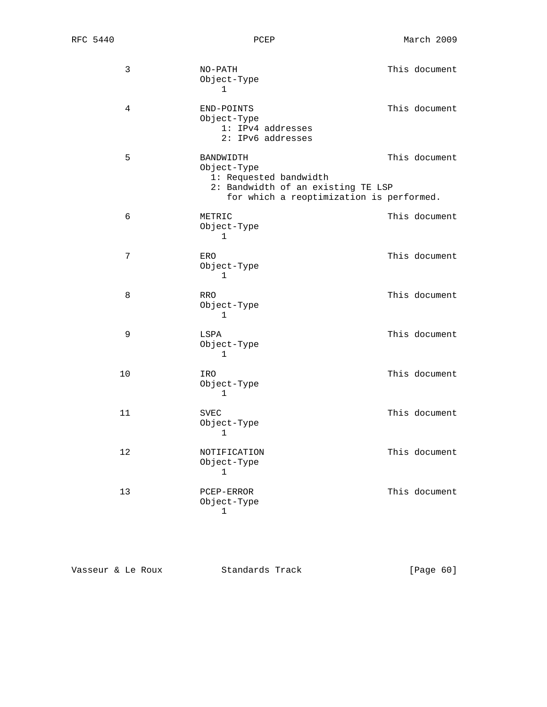| 3  | $NO-PATH$<br>Object-Type<br>$\mathbf{1}$                            |                                                                                | This document |
|----|---------------------------------------------------------------------|--------------------------------------------------------------------------------|---------------|
| 4  | END-POINTS<br>Object-Type<br>1: IPv4 addresses<br>2: IPv6 addresses |                                                                                | This document |
| 5  | BANDWIDTH<br>Object-Type<br>1: Requested bandwidth                  | 2: Bandwidth of an existing TE LSP<br>for which a reoptimization is performed. | This document |
| 6  | METRIC<br>Object-Type<br>1                                          |                                                                                | This document |
| 7  | ERO<br>Object-Type<br>1                                             |                                                                                | This document |
| 8  | RRO<br>Object-Type<br>1                                             |                                                                                | This document |
| 9  | LSPA<br>Object-Type<br>1                                            |                                                                                | This document |
| 10 | IRO<br>Object-Type<br>1                                             |                                                                                | This document |
| 11 | <b>SVEC</b><br>Object-Type<br>1                                     |                                                                                | This document |
| 12 | NOTIFICATION<br>Object-Type<br>1                                    |                                                                                | This document |
| 13 | PCEP-ERROR<br>Object-Type<br>1                                      |                                                                                | This document |

| [Page 60]<br>Standards Track<br>Vasseur & Le Roux |  |
|---------------------------------------------------|--|
|---------------------------------------------------|--|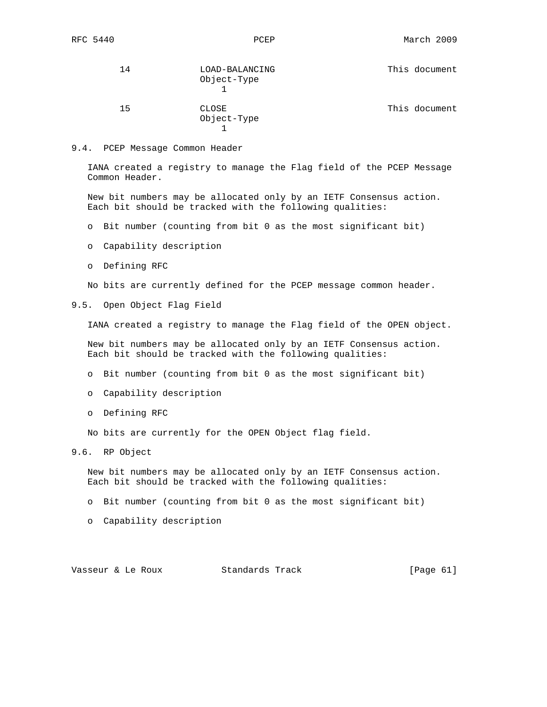| 14 | LOAD-BALANCING<br>Object-Type | This document |
|----|-------------------------------|---------------|
| 15 | CLOSE<br>Object-Type          | This document |

#### 9.4. PCEP Message Common Header

 IANA created a registry to manage the Flag field of the PCEP Message Common Header.

 New bit numbers may be allocated only by an IETF Consensus action. Each bit should be tracked with the following qualities:

- o Bit number (counting from bit 0 as the most significant bit)
- o Capability description
- o Defining RFC

No bits are currently defined for the PCEP message common header.

9.5. Open Object Flag Field

IANA created a registry to manage the Flag field of the OPEN object.

 New bit numbers may be allocated only by an IETF Consensus action. Each bit should be tracked with the following qualities:

- o Bit number (counting from bit 0 as the most significant bit)
- o Capability description
- o Defining RFC

No bits are currently for the OPEN Object flag field.

9.6. RP Object

 New bit numbers may be allocated only by an IETF Consensus action. Each bit should be tracked with the following qualities:

- o Bit number (counting from bit 0 as the most significant bit)
- o Capability description

Vasseur & Le Roux Standards Track [Page 61]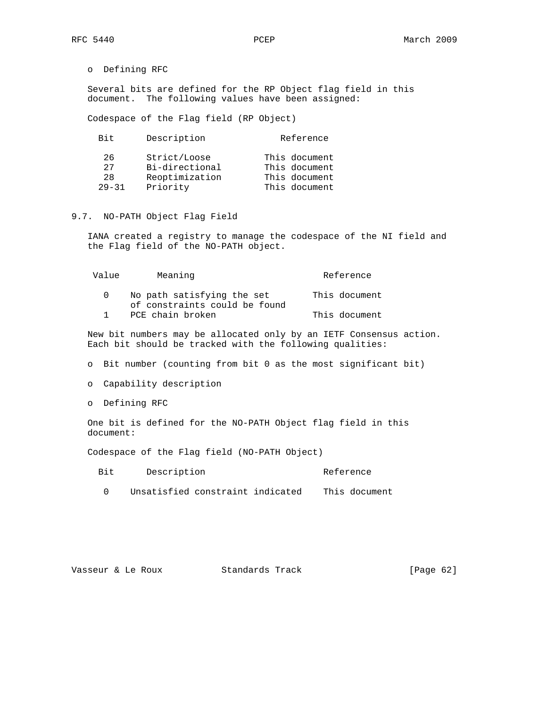o Defining RFC

 Several bits are defined for the RP Object flag field in this document. The following values have been assigned:

Codespace of the Flag field (RP Object)

| Bit.      | Description    | Reference     |
|-----------|----------------|---------------|
| 2.6       | Strict/Loose   | This document |
| 27        | Bi-directional | This document |
| 2.8       | Reoptimization | This document |
| $29 - 31$ | Priority       | This document |

# 9.7. NO-PATH Object Flag Field

 IANA created a registry to manage the codespace of the NI field and the Flag field of the NO-PATH object.

| Value | Meaning                                                     | Reference     |
|-------|-------------------------------------------------------------|---------------|
|       | No path satisfying the set<br>of constraints could be found | This document |
|       | PCE chain broken                                            | This document |

 New bit numbers may be allocated only by an IETF Consensus action. Each bit should be tracked with the following qualities:

o Bit number (counting from bit 0 as the most significant bit)

o Capability description

o Defining RFC

 One bit is defined for the NO-PATH Object flag field in this document:

Codespace of the Flag field (NO-PATH Object)

| Bit | Description | Reference<br>_____ |
|-----|-------------|--------------------|
|-----|-------------|--------------------|

0 Unsatisfied constraint indicated This document

| Standards Track<br>Vasseur & Le Roux | [Page $62$ ] |
|--------------------------------------|--------------|
|--------------------------------------|--------------|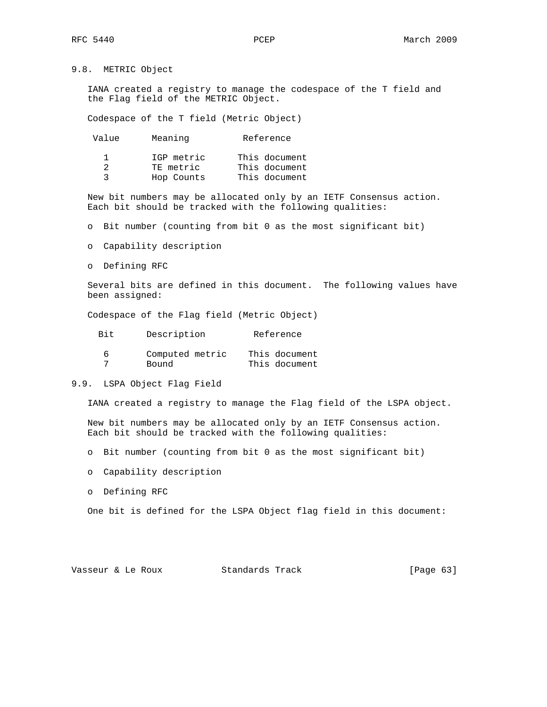# 9.8. METRIC Object

 IANA created a registry to manage the codespace of the T field and the Flag field of the METRIC Object.

Codespace of the T field (Metric Object)

| Value | Meaning    | Reference     |
|-------|------------|---------------|
|       | IGP metric | This document |
|       | TE metric  | This document |
| 2     | Hop Counts | This document |

 New bit numbers may be allocated only by an IETF Consensus action. Each bit should be tracked with the following qualities:

o Bit number (counting from bit 0 as the most significant bit)

o Capability description

o Defining RFC

 Several bits are defined in this document. The following values have been assigned:

Codespace of the Flag field (Metric Object)

| Bit. | Description     | Reference     |
|------|-----------------|---------------|
| 6    | Computed metric | This document |
|      | Bound           | This document |

## 9.9. LSPA Object Flag Field

IANA created a registry to manage the Flag field of the LSPA object.

 New bit numbers may be allocated only by an IETF Consensus action. Each bit should be tracked with the following qualities:

- o Bit number (counting from bit 0 as the most significant bit)
- o Capability description
- o Defining RFC

One bit is defined for the LSPA Object flag field in this document:

Vasseur & Le Roux Standards Track [Page 63]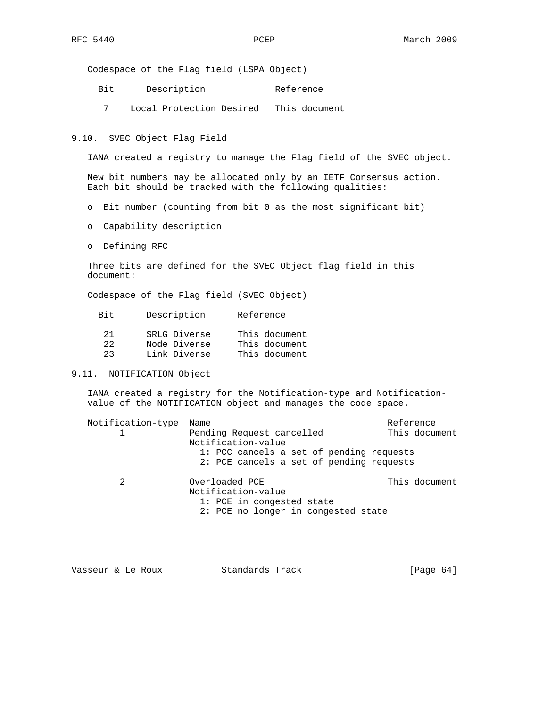Codespace of the Flag field (LSPA Object)

- Bit Description Reference
- 7 Local Protection Desired This document

9.10. SVEC Object Flag Field

IANA created a registry to manage the Flag field of the SVEC object.

 New bit numbers may be allocated only by an IETF Consensus action. Each bit should be tracked with the following qualities:

- o Bit number (counting from bit 0 as the most significant bit)
- o Capability description
- o Defining RFC

 Three bits are defined for the SVEC Object flag field in this document:

Codespace of the Flag field (SVEC Object)

| Bit.     | Description                  | Reference                      |
|----------|------------------------------|--------------------------------|
| 21<br>22 | SRLG Diverse<br>Node Diverse | This document<br>This document |
| クマ       | Link Diverse                 | This document                  |

# 9.11. NOTIFICATION Object

 IANA created a registry for the Notification-type and Notification value of the NOTIFICATION object and manages the code space.

| Notification-type | Name                                     | Reference     |
|-------------------|------------------------------------------|---------------|
|                   | Pending Request cancelled                | This document |
|                   | Notification-value                       |               |
|                   | 1: PCC cancels a set of pending requests |               |
|                   | 2: PCE cancels a set of pending requests |               |
| $\mathfrak{D}$    | Overloaded PCE                           | This document |
|                   | Notification-value                       |               |
|                   | 1: PCE in congested state                |               |
|                   | 2: PCE no longer in congested state      |               |
|                   |                                          |               |

| [Page $64$ ]<br>Standards Track<br>Vasseur & Le Roux |  |  |  |  |
|------------------------------------------------------|--|--|--|--|
|------------------------------------------------------|--|--|--|--|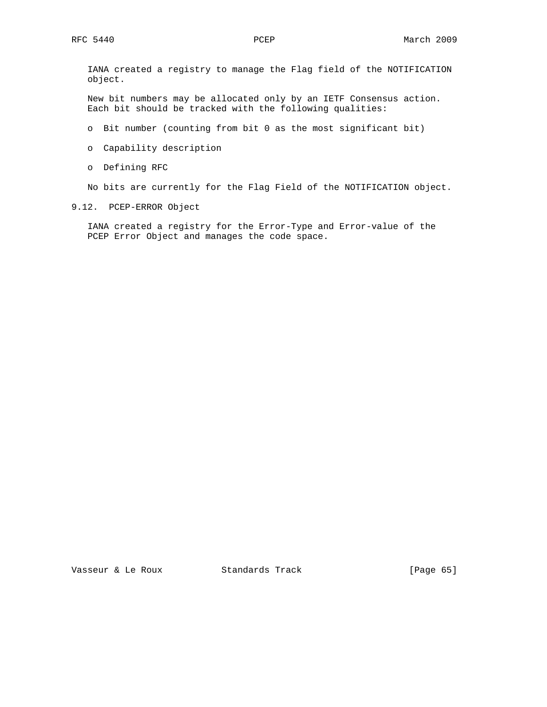IANA created a registry to manage the Flag field of the NOTIFICATION object.

 New bit numbers may be allocated only by an IETF Consensus action. Each bit should be tracked with the following qualities:

- o Bit number (counting from bit 0 as the most significant bit)
- o Capability description
- o Defining RFC

No bits are currently for the Flag Field of the NOTIFICATION object.

9.12. PCEP-ERROR Object

 IANA created a registry for the Error-Type and Error-value of the PCEP Error Object and manages the code space.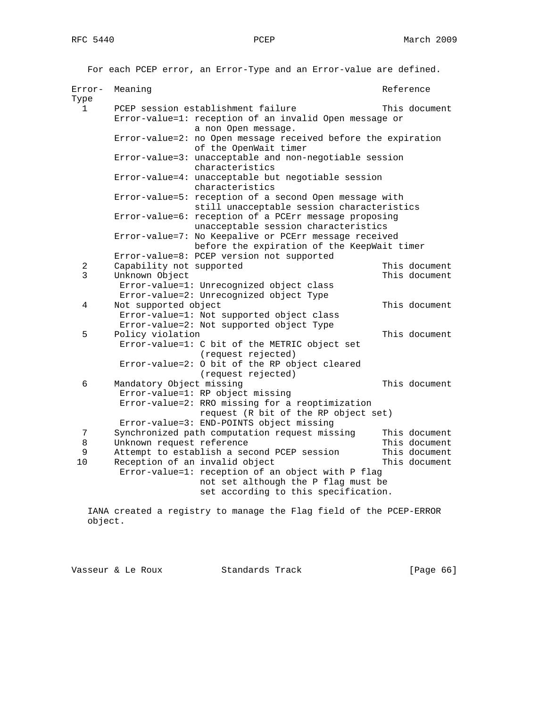For each PCEP error, an Error-Type and an Error-value are defined. Error- Meaning and Reference and Reference Type 1 PCEP session establishment failure This document Error-value=1: reception of an invalid Open message or a non Open message. Error-value=2: no Open message received before the expiration of the OpenWait timer Error-value=3: unacceptable and non-negotiable session characteristics Error-value=4: unacceptable but negotiable session characteristics Error-value=5: reception of a second Open message with still unacceptable session characteristics Error-value=6: reception of a PCErr message proposing unacceptable session characteristics Error-value=7: No Keepalive or PCErr message received before the expiration of the KeepWait timer Error-value=8: PCEP version not supported 2 Capability not supported This document 3 Unknown Object This document Error-value=1: Unrecognized object class Error-value=2: Unrecognized object Type 4 Not supported object This document Error-value=1: Not supported object class Error-value=2: Not supported object Type 5 Policy violation This document Error-value=1: C bit of the METRIC object set (request rejected) Error-value=2: O bit of the RP object cleared (request rejected) 6 Mandatory Object missing This document Error-value=1: RP object missing Error-value=2: RRO missing for a reoptimization request (R bit of the RP object set) Error-value=3: END-POINTS object missing<br>7 Synchronized path computation request miss Synchronized path computation request missing This document 8 Unknown request reference This document 9 Attempt to establish a second PCEP session This document 10 Reception of an invalid object This document Error-value=1: reception of an object with P flag not set although the P flag must be set according to this specification.

 IANA created a registry to manage the Flag field of the PCEP-ERROR object.

Vasseur & Le Roux Standards Track [Page 66]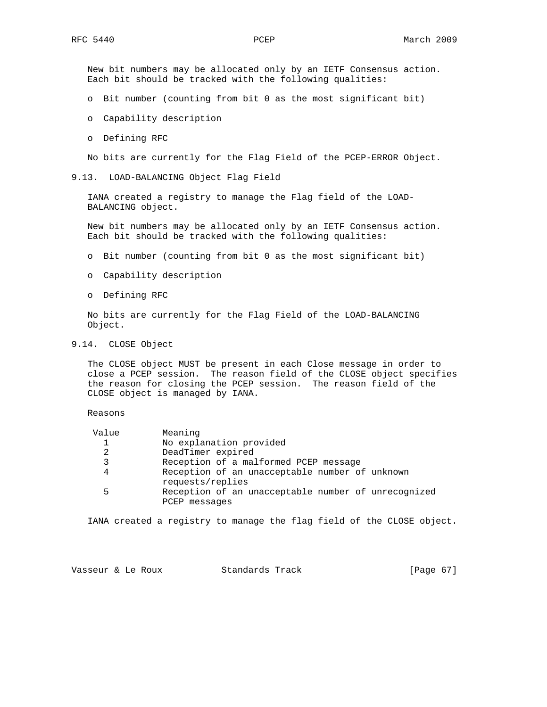New bit numbers may be allocated only by an IETF Consensus action. Each bit should be tracked with the following qualities:

- o Bit number (counting from bit 0 as the most significant bit)
- o Capability description
- o Defining RFC

No bits are currently for the Flag Field of the PCEP-ERROR Object.

9.13. LOAD-BALANCING Object Flag Field

 IANA created a registry to manage the Flag field of the LOAD- BALANCING object.

 New bit numbers may be allocated only by an IETF Consensus action. Each bit should be tracked with the following qualities:

- o Bit number (counting from bit 0 as the most significant bit)
- o Capability description
- o Defining RFC

 No bits are currently for the Flag Field of the LOAD-BALANCING Object.

9.14. CLOSE Object

 The CLOSE object MUST be present in each Close message in order to close a PCEP session. The reason field of the CLOSE object specifies the reason for closing the PCEP session. The reason field of the CLOSE object is managed by IANA.

Reasons

| Value        | Meaning                                             |
|--------------|-----------------------------------------------------|
| $\mathbf{1}$ | No explanation provided                             |
| 2            | DeadTimer expired                                   |
| 3            | Reception of a malformed PCEP message               |
| 4            | Reception of an unacceptable number of unknown      |
|              | requests/replies                                    |
| 5            | Reception of an unacceptable number of unrecognized |
|              | PCEP messages                                       |

IANA created a registry to manage the flag field of the CLOSE object.

| Standards Track<br>Vasseur & Le Roux | [Page 67] |  |  |
|--------------------------------------|-----------|--|--|
|--------------------------------------|-----------|--|--|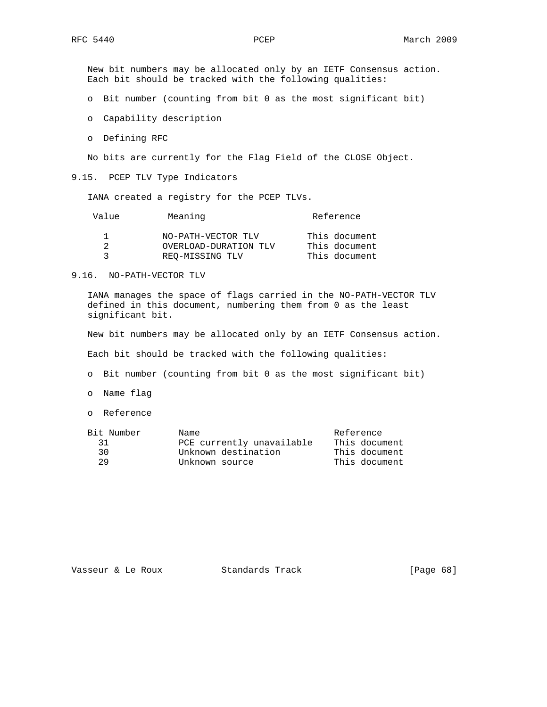New bit numbers may be allocated only by an IETF Consensus action. Each bit should be tracked with the following qualities:

o Bit number (counting from bit 0 as the most significant bit)

- o Capability description
- o Defining RFC

No bits are currently for the Flag Field of the CLOSE Object.

9.15. PCEP TLV Type Indicators

IANA created a registry for the PCEP TLVs.

| Value | Meaning               | Reference     |
|-------|-----------------------|---------------|
|       | NO-PATH-VECTOR TLV    | This document |
|       | OVERLOAD-DURATION TLV | This document |
|       | REO-MISSING TLV       | This document |

#### 9.16. NO-PATH-VECTOR TLV

 IANA manages the space of flags carried in the NO-PATH-VECTOR TLV defined in this document, numbering them from 0 as the least significant bit.

New bit numbers may be allocated only by an IETF Consensus action.

Each bit should be tracked with the following qualities:

o Bit number (counting from bit 0 as the most significant bit)

o Name flag

o Reference

| Bit Number | Name                      | Reference     |
|------------|---------------------------|---------------|
| 31         | PCE currently unavailable | This document |
| 30.        | Unknown destination       | This document |
| 29         | Unknown source            | This document |
|            |                           |               |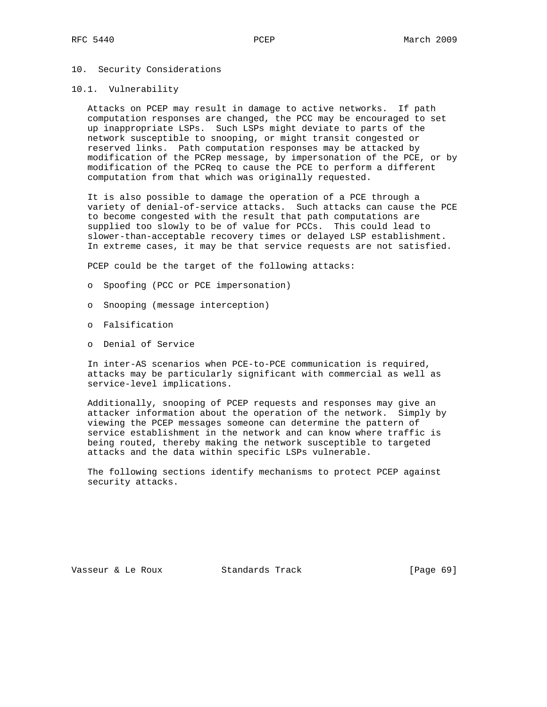# 10. Security Considerations

#### 10.1. Vulnerability

 Attacks on PCEP may result in damage to active networks. If path computation responses are changed, the PCC may be encouraged to set up inappropriate LSPs. Such LSPs might deviate to parts of the network susceptible to snooping, or might transit congested or reserved links. Path computation responses may be attacked by modification of the PCRep message, by impersonation of the PCE, or by modification of the PCReq to cause the PCE to perform a different computation from that which was originally requested.

 It is also possible to damage the operation of a PCE through a variety of denial-of-service attacks. Such attacks can cause the PCE to become congested with the result that path computations are supplied too slowly to be of value for PCCs. This could lead to slower-than-acceptable recovery times or delayed LSP establishment. In extreme cases, it may be that service requests are not satisfied.

PCEP could be the target of the following attacks:

- o Spoofing (PCC or PCE impersonation)
- o Snooping (message interception)
- o Falsification
- o Denial of Service

 In inter-AS scenarios when PCE-to-PCE communication is required, attacks may be particularly significant with commercial as well as service-level implications.

 Additionally, snooping of PCEP requests and responses may give an attacker information about the operation of the network. Simply by viewing the PCEP messages someone can determine the pattern of service establishment in the network and can know where traffic is being routed, thereby making the network susceptible to targeted attacks and the data within specific LSPs vulnerable.

 The following sections identify mechanisms to protect PCEP against security attacks.

Vasseur & Le Roux Standards Track [Page 69]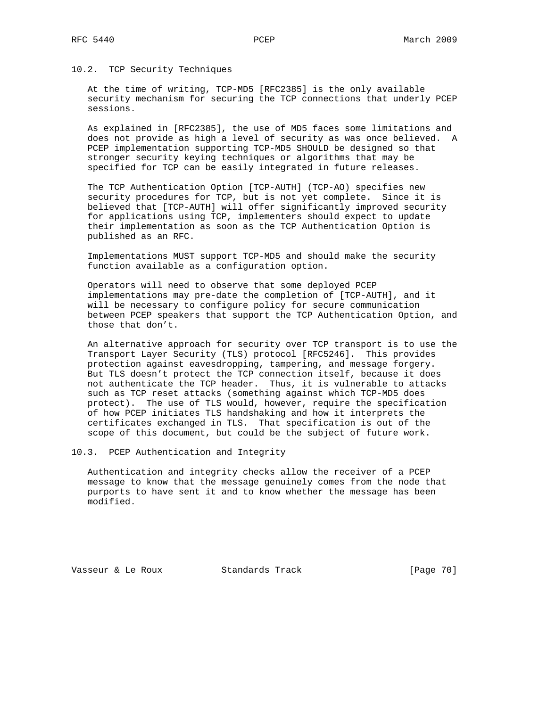# 10.2. TCP Security Techniques

 At the time of writing, TCP-MD5 [RFC2385] is the only available security mechanism for securing the TCP connections that underly PCEP sessions.

 As explained in [RFC2385], the use of MD5 faces some limitations and does not provide as high a level of security as was once believed. A PCEP implementation supporting TCP-MD5 SHOULD be designed so that stronger security keying techniques or algorithms that may be specified for TCP can be easily integrated in future releases.

 The TCP Authentication Option [TCP-AUTH] (TCP-AO) specifies new security procedures for TCP, but is not yet complete. Since it is believed that [TCP-AUTH] will offer significantly improved security for applications using TCP, implementers should expect to update their implementation as soon as the TCP Authentication Option is published as an RFC.

 Implementations MUST support TCP-MD5 and should make the security function available as a configuration option.

 Operators will need to observe that some deployed PCEP implementations may pre-date the completion of [TCP-AUTH], and it will be necessary to configure policy for secure communication between PCEP speakers that support the TCP Authentication Option, and those that don't.

 An alternative approach for security over TCP transport is to use the Transport Layer Security (TLS) protocol [RFC5246]. This provides protection against eavesdropping, tampering, and message forgery. But TLS doesn't protect the TCP connection itself, because it does not authenticate the TCP header. Thus, it is vulnerable to attacks such as TCP reset attacks (something against which TCP-MD5 does protect). The use of TLS would, however, require the specification of how PCEP initiates TLS handshaking and how it interprets the certificates exchanged in TLS. That specification is out of the scope of this document, but could be the subject of future work.

10.3. PCEP Authentication and Integrity

 Authentication and integrity checks allow the receiver of a PCEP message to know that the message genuinely comes from the node that purports to have sent it and to know whether the message has been modified.

Vasseur & Le Roux Standards Track [Page 70]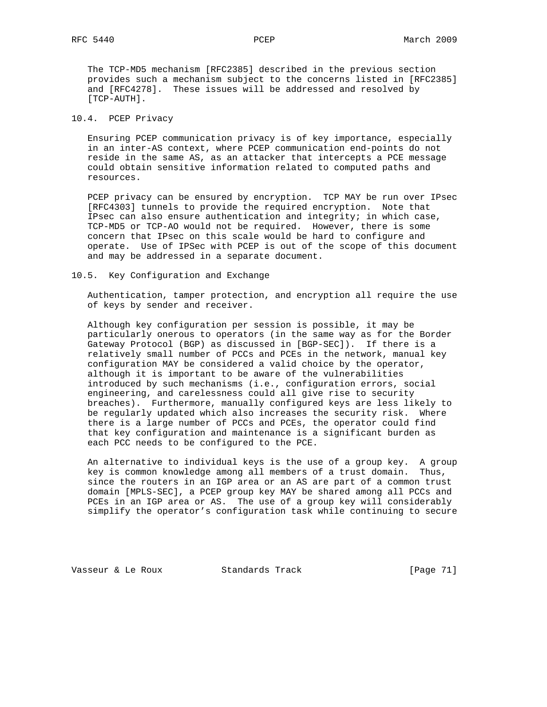The TCP-MD5 mechanism [RFC2385] described in the previous section provides such a mechanism subject to the concerns listed in [RFC2385] and [RFC4278]. These issues will be addressed and resolved by [TCP-AUTH].

# 10.4. PCEP Privacy

 Ensuring PCEP communication privacy is of key importance, especially in an inter-AS context, where PCEP communication end-points do not reside in the same AS, as an attacker that intercepts a PCE message could obtain sensitive information related to computed paths and resources.

 PCEP privacy can be ensured by encryption. TCP MAY be run over IPsec [RFC4303] tunnels to provide the required encryption. Note that IPsec can also ensure authentication and integrity; in which case, TCP-MD5 or TCP-AO would not be required. However, there is some concern that IPsec on this scale would be hard to configure and operate. Use of IPSec with PCEP is out of the scope of this document and may be addressed in a separate document.

10.5. Key Configuration and Exchange

 Authentication, tamper protection, and encryption all require the use of keys by sender and receiver.

 Although key configuration per session is possible, it may be particularly onerous to operators (in the same way as for the Border Gateway Protocol (BGP) as discussed in [BGP-SEC]). If there is a relatively small number of PCCs and PCEs in the network, manual key configuration MAY be considered a valid choice by the operator, although it is important to be aware of the vulnerabilities introduced by such mechanisms (i.e., configuration errors, social engineering, and carelessness could all give rise to security breaches). Furthermore, manually configured keys are less likely to be regularly updated which also increases the security risk. Where there is a large number of PCCs and PCEs, the operator could find that key configuration and maintenance is a significant burden as each PCC needs to be configured to the PCE.

 An alternative to individual keys is the use of a group key. A group key is common knowledge among all members of a trust domain. Thus, since the routers in an IGP area or an AS are part of a common trust domain [MPLS-SEC], a PCEP group key MAY be shared among all PCCs and PCEs in an IGP area or AS. The use of a group key will considerably simplify the operator's configuration task while continuing to secure

Vasseur & Le Roux Standards Track [Page 71]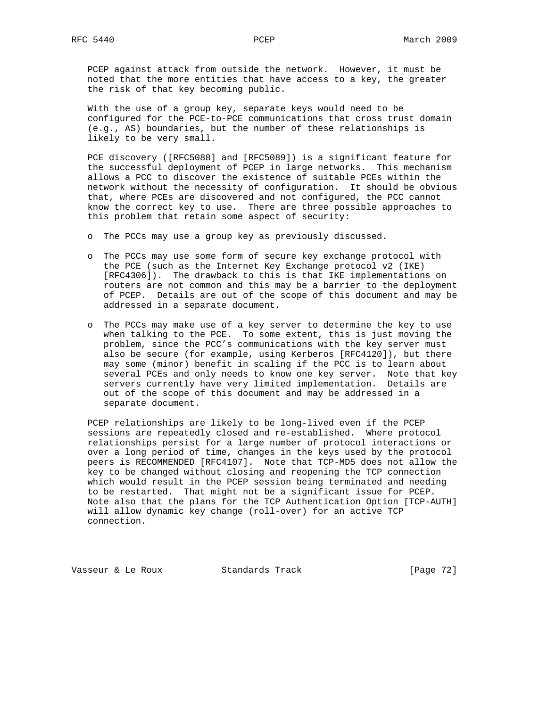PCEP against attack from outside the network. However, it must be noted that the more entities that have access to a key, the greater the risk of that key becoming public.

 With the use of a group key, separate keys would need to be configured for the PCE-to-PCE communications that cross trust domain (e.g., AS) boundaries, but the number of these relationships is likely to be very small.

 PCE discovery ([RFC5088] and [RFC5089]) is a significant feature for the successful deployment of PCEP in large networks. This mechanism allows a PCC to discover the existence of suitable PCEs within the network without the necessity of configuration. It should be obvious that, where PCEs are discovered and not configured, the PCC cannot know the correct key to use. There are three possible approaches to this problem that retain some aspect of security:

- o The PCCs may use a group key as previously discussed.
- o The PCCs may use some form of secure key exchange protocol with the PCE (such as the Internet Key Exchange protocol v2 (IKE) [RFC4306]). The drawback to this is that IKE implementations on routers are not common and this may be a barrier to the deployment of PCEP. Details are out of the scope of this document and may be addressed in a separate document.
- o The PCCs may make use of a key server to determine the key to use when talking to the PCE. To some extent, this is just moving the problem, since the PCC's communications with the key server must also be secure (for example, using Kerberos [RFC4120]), but there may some (minor) benefit in scaling if the PCC is to learn about several PCEs and only needs to know one key server. Note that key servers currently have very limited implementation. Details are out of the scope of this document and may be addressed in a separate document.

 PCEP relationships are likely to be long-lived even if the PCEP sessions are repeatedly closed and re-established. Where protocol relationships persist for a large number of protocol interactions or over a long period of time, changes in the keys used by the protocol peers is RECOMMENDED [RFC4107]. Note that TCP-MD5 does not allow the key to be changed without closing and reopening the TCP connection which would result in the PCEP session being terminated and needing to be restarted. That might not be a significant issue for PCEP. Note also that the plans for the TCP Authentication Option [TCP-AUTH] will allow dynamic key change (roll-over) for an active TCP connection.

Vasseur & Le Roux Standards Track [Page 72]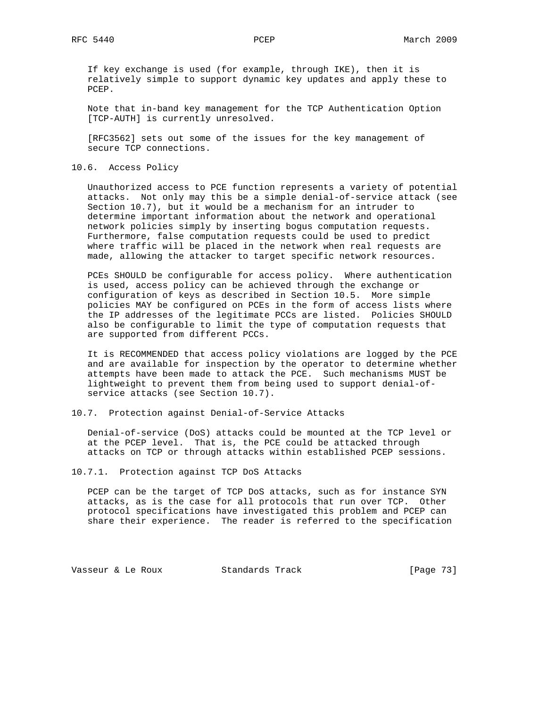If key exchange is used (for example, through IKE), then it is relatively simple to support dynamic key updates and apply these to PCEP.

 Note that in-band key management for the TCP Authentication Option [TCP-AUTH] is currently unresolved.

 [RFC3562] sets out some of the issues for the key management of secure TCP connections.

10.6. Access Policy

 Unauthorized access to PCE function represents a variety of potential attacks. Not only may this be a simple denial-of-service attack (see Section 10.7), but it would be a mechanism for an intruder to determine important information about the network and operational network policies simply by inserting bogus computation requests. Furthermore, false computation requests could be used to predict where traffic will be placed in the network when real requests are made, allowing the attacker to target specific network resources.

 PCEs SHOULD be configurable for access policy. Where authentication is used, access policy can be achieved through the exchange or configuration of keys as described in Section 10.5. More simple policies MAY be configured on PCEs in the form of access lists where the IP addresses of the legitimate PCCs are listed. Policies SHOULD also be configurable to limit the type of computation requests that are supported from different PCCs.

 It is RECOMMENDED that access policy violations are logged by the PCE and are available for inspection by the operator to determine whether attempts have been made to attack the PCE. Such mechanisms MUST be lightweight to prevent them from being used to support denial-of service attacks (see Section 10.7).

10.7. Protection against Denial-of-Service Attacks

 Denial-of-service (DoS) attacks could be mounted at the TCP level or at the PCEP level. That is, the PCE could be attacked through attacks on TCP or through attacks within established PCEP sessions.

10.7.1. Protection against TCP DoS Attacks

 PCEP can be the target of TCP DoS attacks, such as for instance SYN attacks, as is the case for all protocols that run over TCP. Other protocol specifications have investigated this problem and PCEP can share their experience. The reader is referred to the specification

Vasseur & Le Roux Standards Track [Page 73]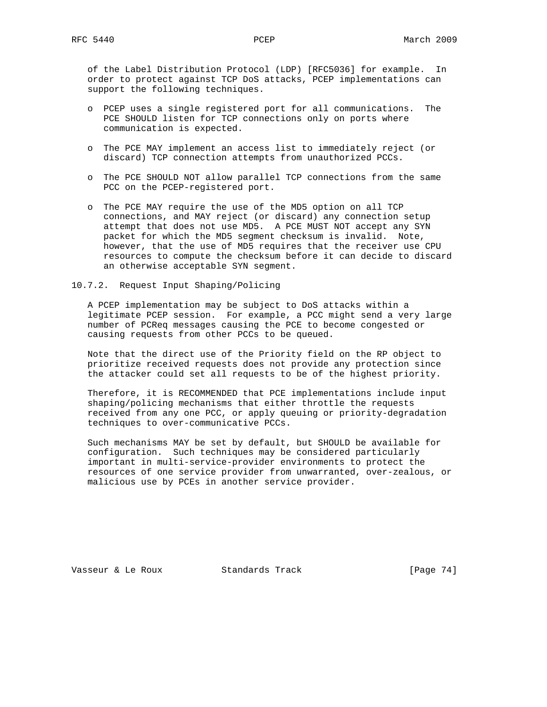of the Label Distribution Protocol (LDP) [RFC5036] for example. In order to protect against TCP DoS attacks, PCEP implementations can support the following techniques.

- o PCEP uses a single registered port for all communications. The PCE SHOULD listen for TCP connections only on ports where communication is expected.
- o The PCE MAY implement an access list to immediately reject (or discard) TCP connection attempts from unauthorized PCCs.
- o The PCE SHOULD NOT allow parallel TCP connections from the same PCC on the PCEP-registered port.
- o The PCE MAY require the use of the MD5 option on all TCP connections, and MAY reject (or discard) any connection setup attempt that does not use MD5. A PCE MUST NOT accept any SYN packet for which the MD5 segment checksum is invalid. Note, however, that the use of MD5 requires that the receiver use CPU resources to compute the checksum before it can decide to discard an otherwise acceptable SYN segment.
- 10.7.2. Request Input Shaping/Policing

 A PCEP implementation may be subject to DoS attacks within a legitimate PCEP session. For example, a PCC might send a very large number of PCReq messages causing the PCE to become congested or causing requests from other PCCs to be queued.

 Note that the direct use of the Priority field on the RP object to prioritize received requests does not provide any protection since the attacker could set all requests to be of the highest priority.

 Therefore, it is RECOMMENDED that PCE implementations include input shaping/policing mechanisms that either throttle the requests received from any one PCC, or apply queuing or priority-degradation techniques to over-communicative PCCs.

 Such mechanisms MAY be set by default, but SHOULD be available for configuration. Such techniques may be considered particularly important in multi-service-provider environments to protect the resources of one service provider from unwarranted, over-zealous, or malicious use by PCEs in another service provider.

Vasseur & Le Roux Standards Track [Page 74]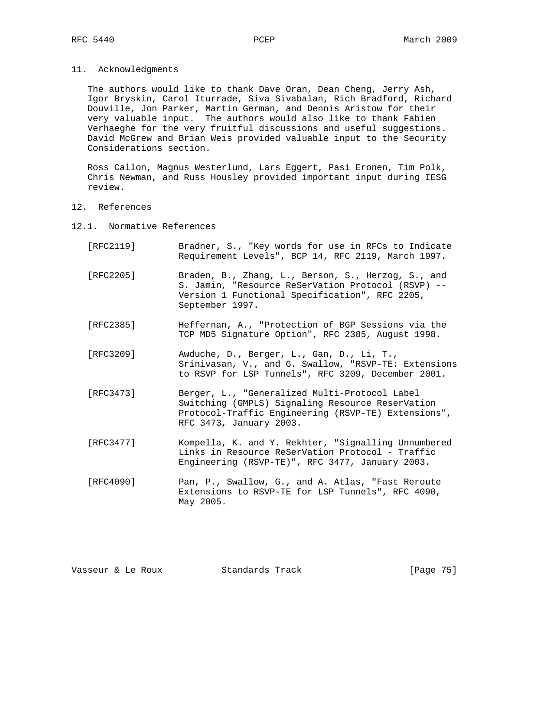11. Acknowledgments

 The authors would like to thank Dave Oran, Dean Cheng, Jerry Ash, Igor Bryskin, Carol Iturrade, Siva Sivabalan, Rich Bradford, Richard Douville, Jon Parker, Martin German, and Dennis Aristow for their very valuable input. The authors would also like to thank Fabien Verhaeghe for the very fruitful discussions and useful suggestions. David McGrew and Brian Weis provided valuable input to the Security Considerations section.

 Ross Callon, Magnus Westerlund, Lars Eggert, Pasi Eronen, Tim Polk, Chris Newman, and Russ Housley provided important input during IESG review.

- 12. References
- 12.1. Normative References
	- [RFC2119] Bradner, S., "Key words for use in RFCs to Indicate Requirement Levels", BCP 14, RFC 2119, March 1997.
	- [RFC2205] Braden, B., Zhang, L., Berson, S., Herzog, S., and S. Jamin, "Resource ReSerVation Protocol (RSVP) -- Version 1 Functional Specification", RFC 2205, September 1997.
	- [RFC2385] Heffernan, A., "Protection of BGP Sessions via the TCP MD5 Signature Option", RFC 2385, August 1998.
	- [RFC3209] Awduche, D., Berger, L., Gan, D., Li, T., Srinivasan, V., and G. Swallow, "RSVP-TE: Extensions to RSVP for LSP Tunnels", RFC 3209, December 2001.
	- [RFC3473] Berger, L., "Generalized Multi-Protocol Label Switching (GMPLS) Signaling Resource ReserVation Protocol-Traffic Engineering (RSVP-TE) Extensions", RFC 3473, January 2003.
	- [RFC3477] Kompella, K. and Y. Rekhter, "Signalling Unnumbered Links in Resource ReSerVation Protocol - Traffic Engineering (RSVP-TE)", RFC 3477, January 2003.
	- [RFC4090] Pan, P., Swallow, G., and A. Atlas, "Fast Reroute Extensions to RSVP-TE for LSP Tunnels", RFC 4090, May 2005.

| Standards Track<br>Vasseur & Le Roux | [Page 75] |  |
|--------------------------------------|-----------|--|
|--------------------------------------|-----------|--|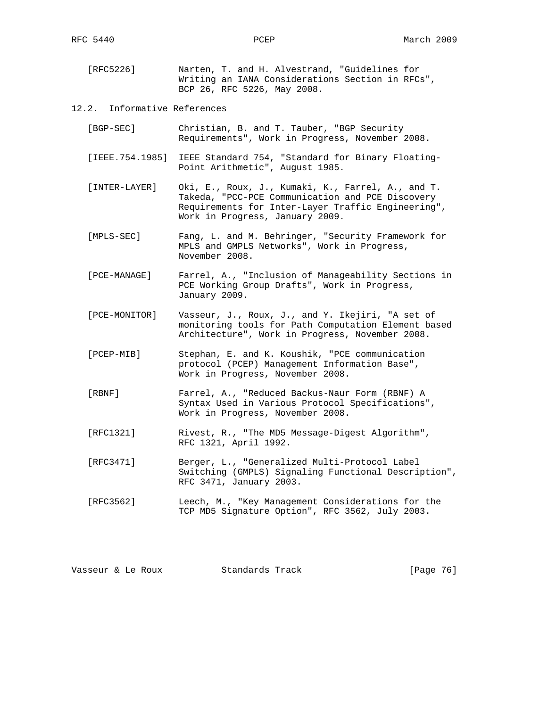| [RFC5226] |                             | Narten, T. and H. Alvestrand, "Guidelines for |  |  |                                                  |  |
|-----------|-----------------------------|-----------------------------------------------|--|--|--------------------------------------------------|--|
|           |                             |                                               |  |  | Writing an IANA Considerations Section in RFCs", |  |
|           | BCP 26, RFC 5226, May 2008. |                                               |  |  |                                                  |  |

## 12.2. Informative References

- [BGP-SEC] Christian, B. and T. Tauber, "BGP Security Requirements", Work in Progress, November 2008.
- [IEEE.754.1985] IEEE Standard 754, "Standard for Binary Floating- Point Arithmetic", August 1985.
- [INTER-LAYER] Oki, E., Roux, J., Kumaki, K., Farrel, A., and T. Takeda, "PCC-PCE Communication and PCE Discovery Requirements for Inter-Layer Traffic Engineering", Work in Progress, January 2009.
- [MPLS-SEC] Fang, L. and M. Behringer, "Security Framework for MPLS and GMPLS Networks", Work in Progress, November 2008.
- [PCE-MANAGE] Farrel, A., "Inclusion of Manageability Sections in PCE Working Group Drafts", Work in Progress, January 2009.
- [PCE-MONITOR] Vasseur, J., Roux, J., and Y. Ikejiri, "A set of monitoring tools for Path Computation Element based Architecture", Work in Progress, November 2008.
- [PCEP-MIB] Stephan, E. and K. Koushik, "PCE communication protocol (PCEP) Management Information Base", Work in Progress, November 2008.
- [RBNF] Farrel, A., "Reduced Backus-Naur Form (RBNF) A Syntax Used in Various Protocol Specifications", Work in Progress, November 2008.
- [RFC1321] Rivest, R., "The MD5 Message-Digest Algorithm", RFC 1321, April 1992.
- [RFC3471] Berger, L., "Generalized Multi-Protocol Label Switching (GMPLS) Signaling Functional Description", RFC 3471, January 2003.
- [RFC3562] Leech, M., "Key Management Considerations for the TCP MD5 Signature Option", RFC 3562, July 2003.

| Standards Track<br>Vasseur & Le Roux | [Page 76] |  |
|--------------------------------------|-----------|--|
|--------------------------------------|-----------|--|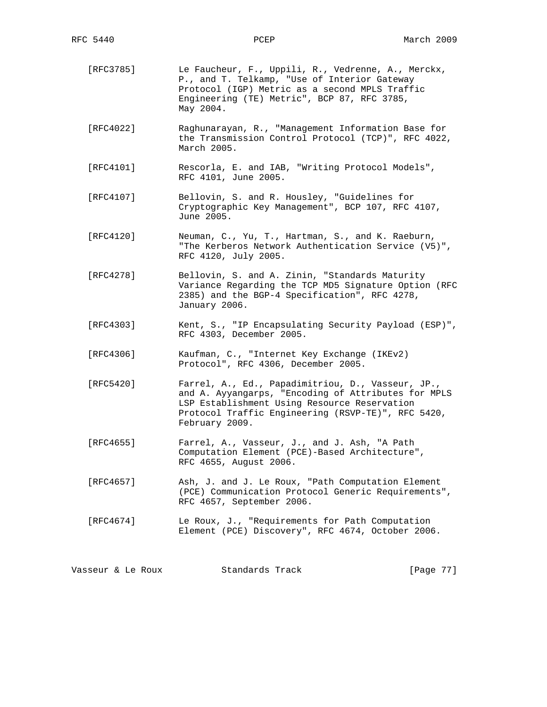- [RFC3785] Le Faucheur, F., Uppili, R., Vedrenne, A., Merckx, P., and T. Telkamp, "Use of Interior Gateway Protocol (IGP) Metric as a second MPLS Traffic Engineering (TE) Metric", BCP 87, RFC 3785, May 2004. [RFC4022] Raghunarayan, R., "Management Information Base for the Transmission Control Protocol (TCP)", RFC 4022, March 2005. [RFC4101] Rescorla, E. and IAB, "Writing Protocol Models", RFC 4101, June 2005. [RFC4107] Bellovin, S. and R. Housley, "Guidelines for Cryptographic Key Management", BCP 107, RFC 4107,
- [RFC4120] Neuman, C., Yu, T., Hartman, S., and K. Raeburn, "The Kerberos Network Authentication Service (V5)", RFC 4120, July 2005.

June 2005.

- [RFC4278] Bellovin, S. and A. Zinin, "Standards Maturity Variance Regarding the TCP MD5 Signature Option (RFC 2385) and the BGP-4 Specification", RFC 4278, January 2006.
- [RFC4303] Kent, S., "IP Encapsulating Security Payload (ESP)", RFC 4303, December 2005.
- [RFC4306] Kaufman, C., "Internet Key Exchange (IKEv2) Protocol", RFC 4306, December 2005.
- [RFC5420] Farrel, A., Ed., Papadimitriou, D., Vasseur, JP., and A. Ayyangarps, "Encoding of Attributes for MPLS LSP Establishment Using Resource Reservation Protocol Traffic Engineering (RSVP-TE)", RFC 5420, February 2009.
- [RFC4655] Farrel, A., Vasseur, J., and J. Ash, "A Path Computation Element (PCE)-Based Architecture", RFC 4655, August 2006.
- [RFC4657] Ash, J. and J. Le Roux, "Path Computation Element (PCE) Communication Protocol Generic Requirements", RFC 4657, September 2006.
- [RFC4674] Le Roux, J., "Requirements for Path Computation Element (PCE) Discovery", RFC 4674, October 2006.

Vasseur & Le Roux Standards Track [Page 77]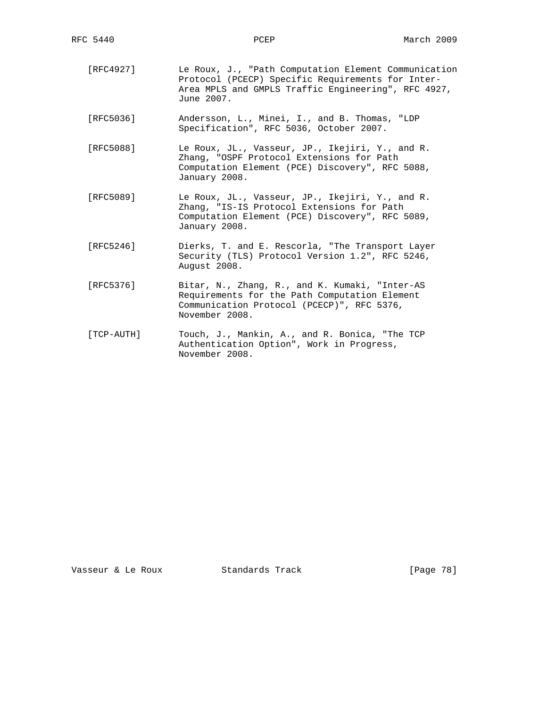- [RFC4927] Le Roux, J., "Path Computation Element Communication Protocol (PCECP) Specific Requirements for Inter- Area MPLS and GMPLS Traffic Engineering", RFC 4927, June 2007.
- [RFC5036] Andersson, L., Minei, I., and B. Thomas, "LDP Specification", RFC 5036, October 2007.
- [RFC5088] Le Roux, JL., Vasseur, JP., Ikejiri, Y., and R. Zhang, "OSPF Protocol Extensions for Path Computation Element (PCE) Discovery", RFC 5088, January 2008.
- [RFC5089] Le Roux, JL., Vasseur, JP., Ikejiri, Y., and R. Zhang, "IS-IS Protocol Extensions for Path Computation Element (PCE) Discovery", RFC 5089, January 2008.
	- [RFC5246] Dierks, T. and E. Rescorla, "The Transport Layer Security (TLS) Protocol Version 1.2", RFC 5246, August 2008.
	- [RFC5376] Bitar, N., Zhang, R., and K. Kumaki, "Inter-AS Requirements for the Path Computation Element Communication Protocol (PCECP)", RFC 5376, November 2008.
	- [TCP-AUTH] Touch, J., Mankin, A., and R. Bonica, "The TCP Authentication Option", Work in Progress, November 2008.

Vasseur & Le Roux Standards Track [Page 78]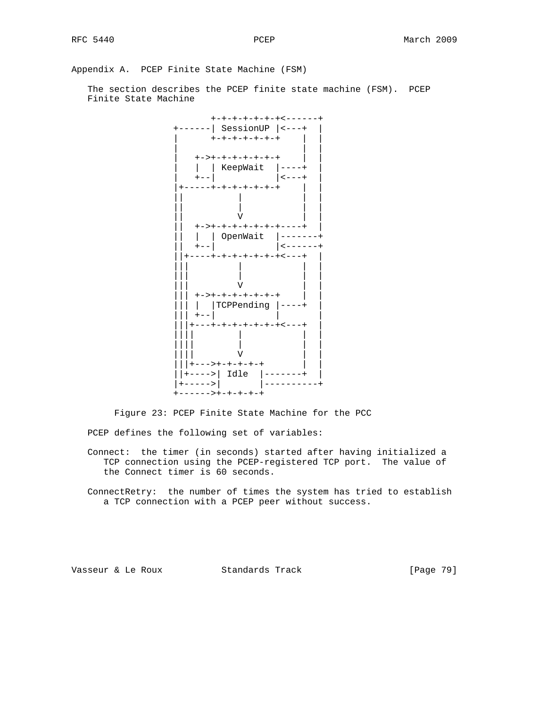Appendix A. PCEP Finite State Machine (FSM)

 The section describes the PCEP finite state machine (FSM). PCEP Finite State Machine



Figure 23: PCEP Finite State Machine for the PCC

PCEP defines the following set of variables:

 Connect: the timer (in seconds) started after having initialized a TCP connection using the PCEP-registered TCP port. The value of the Connect timer is 60 seconds.

 ConnectRetry: the number of times the system has tried to establish a TCP connection with a PCEP peer without success.

Vasseur & Le Roux Standards Track [Page 79]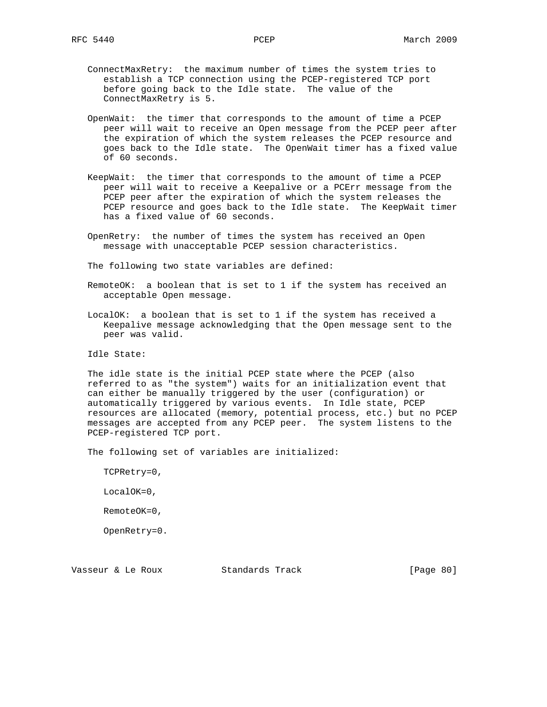- ConnectMaxRetry: the maximum number of times the system tries to establish a TCP connection using the PCEP-registered TCP port before going back to the Idle state. The value of the ConnectMaxRetry is 5.
- OpenWait: the timer that corresponds to the amount of time a PCEP peer will wait to receive an Open message from the PCEP peer after the expiration of which the system releases the PCEP resource and goes back to the Idle state. The OpenWait timer has a fixed value of 60 seconds.
- KeepWait: the timer that corresponds to the amount of time a PCEP peer will wait to receive a Keepalive or a PCErr message from the PCEP peer after the expiration of which the system releases the PCEP resource and goes back to the Idle state. The KeepWait timer has a fixed value of 60 seconds.
- OpenRetry: the number of times the system has received an Open message with unacceptable PCEP session characteristics.

The following two state variables are defined:

- RemoteOK: a boolean that is set to 1 if the system has received an acceptable Open message.
- LocalOK: a boolean that is set to 1 if the system has received a Keepalive message acknowledging that the Open message sent to the peer was valid.

Idle State:

 The idle state is the initial PCEP state where the PCEP (also referred to as "the system") waits for an initialization event that can either be manually triggered by the user (configuration) or automatically triggered by various events. In Idle state, PCEP resources are allocated (memory, potential process, etc.) but no PCEP messages are accepted from any PCEP peer. The system listens to the PCEP-registered TCP port.

The following set of variables are initialized:

TCPRetry=0,

LocalOK=0,

RemoteOK=0,

OpenRetry=0.

Vasseur & Le Roux Standards Track [Page 80]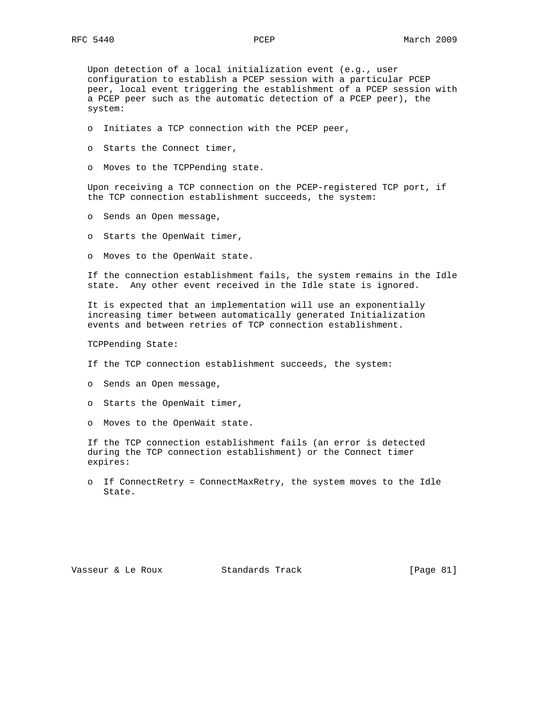Upon detection of a local initialization event (e.g., user configuration to establish a PCEP session with a particular PCEP peer, local event triggering the establishment of a PCEP session with a PCEP peer such as the automatic detection of a PCEP peer), the system:

- o Initiates a TCP connection with the PCEP peer,
- o Starts the Connect timer,
- o Moves to the TCPPending state.

 Upon receiving a TCP connection on the PCEP-registered TCP port, if the TCP connection establishment succeeds, the system:

- o Sends an Open message,
- o Starts the OpenWait timer,
- o Moves to the OpenWait state.

 If the connection establishment fails, the system remains in the Idle state. Any other event received in the Idle state is ignored.

 It is expected that an implementation will use an exponentially increasing timer between automatically generated Initialization events and between retries of TCP connection establishment.

TCPPending State:

- If the TCP connection establishment succeeds, the system:
- o Sends an Open message,
- o Starts the OpenWait timer,
- o Moves to the OpenWait state.

 If the TCP connection establishment fails (an error is detected during the TCP connection establishment) or the Connect timer expires:

 o If ConnectRetry = ConnectMaxRetry, the system moves to the Idle State.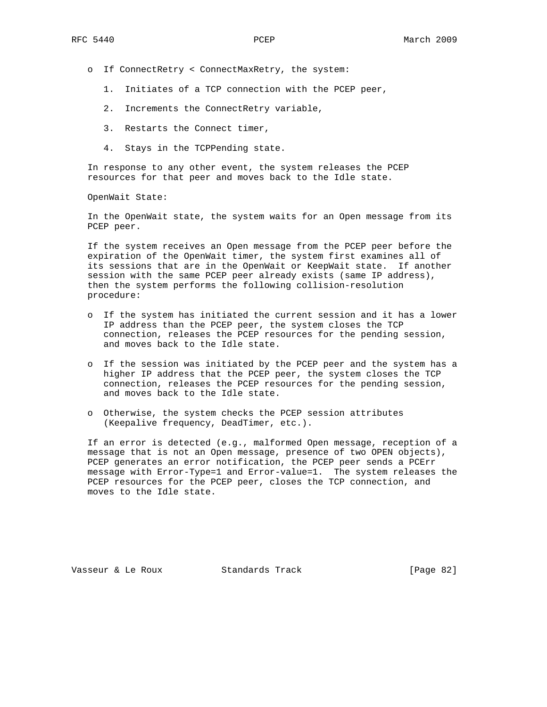- o If ConnectRetry < ConnectMaxRetry, the system:
	- 1. Initiates of a TCP connection with the PCEP peer,
	- 2. Increments the ConnectRetry variable,
	- 3. Restarts the Connect timer,
	- 4. Stays in the TCPPending state.

 In response to any other event, the system releases the PCEP resources for that peer and moves back to the Idle state.

OpenWait State:

 In the OpenWait state, the system waits for an Open message from its PCEP peer.

 If the system receives an Open message from the PCEP peer before the expiration of the OpenWait timer, the system first examines all of its sessions that are in the OpenWait or KeepWait state. If another session with the same PCEP peer already exists (same IP address), then the system performs the following collision-resolution procedure:

- o If the system has initiated the current session and it has a lower IP address than the PCEP peer, the system closes the TCP connection, releases the PCEP resources for the pending session, and moves back to the Idle state.
- o If the session was initiated by the PCEP peer and the system has a higher IP address that the PCEP peer, the system closes the TCP connection, releases the PCEP resources for the pending session, and moves back to the Idle state.
- o Otherwise, the system checks the PCEP session attributes (Keepalive frequency, DeadTimer, etc.).

 If an error is detected (e.g., malformed Open message, reception of a message that is not an Open message, presence of two OPEN objects), PCEP generates an error notification, the PCEP peer sends a PCErr message with Error-Type=1 and Error-value=1. The system releases the PCEP resources for the PCEP peer, closes the TCP connection, and moves to the Idle state.

Vasseur & Le Roux Standards Track [Page 82]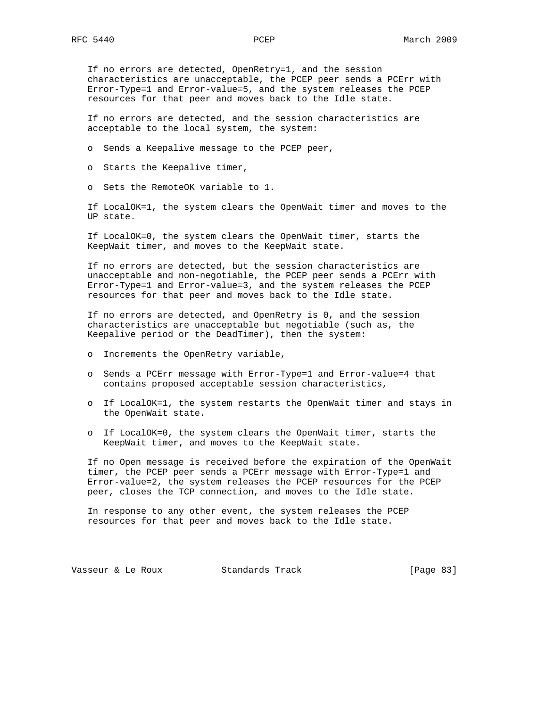If no errors are detected, OpenRetry=1, and the session characteristics are unacceptable, the PCEP peer sends a PCErr with Error-Type=1 and Error-value=5, and the system releases the PCEP resources for that peer and moves back to the Idle state.

 If no errors are detected, and the session characteristics are acceptable to the local system, the system:

o Sends a Keepalive message to the PCEP peer,

o Starts the Keepalive timer,

o Sets the RemoteOK variable to 1.

 If LocalOK=1, the system clears the OpenWait timer and moves to the UP state.

 If LocalOK=0, the system clears the OpenWait timer, starts the KeepWait timer, and moves to the KeepWait state.

 If no errors are detected, but the session characteristics are unacceptable and non-negotiable, the PCEP peer sends a PCErr with Error-Type=1 and Error-value=3, and the system releases the PCEP resources for that peer and moves back to the Idle state.

 If no errors are detected, and OpenRetry is 0, and the session characteristics are unacceptable but negotiable (such as, the Keepalive period or the DeadTimer), then the system:

- o Increments the OpenRetry variable,
- o Sends a PCErr message with Error-Type=1 and Error-value=4 that contains proposed acceptable session characteristics,
- o If LocalOK=1, the system restarts the OpenWait timer and stays in the OpenWait state.
- o If LocalOK=0, the system clears the OpenWait timer, starts the KeepWait timer, and moves to the KeepWait state.

 If no Open message is received before the expiration of the OpenWait timer, the PCEP peer sends a PCErr message with Error-Type=1 and Error-value=2, the system releases the PCEP resources for the PCEP peer, closes the TCP connection, and moves to the Idle state.

 In response to any other event, the system releases the PCEP resources for that peer and moves back to the Idle state.

Vasseur & Le Roux Standards Track [Page 83]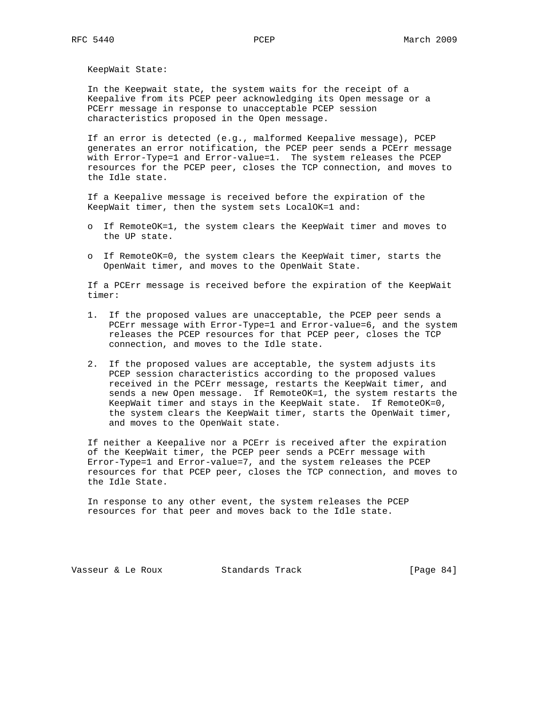KeepWait State:

 In the Keepwait state, the system waits for the receipt of a Keepalive from its PCEP peer acknowledging its Open message or a PCErr message in response to unacceptable PCEP session characteristics proposed in the Open message.

 If an error is detected (e.g., malformed Keepalive message), PCEP generates an error notification, the PCEP peer sends a PCErr message with Error-Type=1 and Error-value=1. The system releases the PCEP resources for the PCEP peer, closes the TCP connection, and moves to the Idle state.

 If a Keepalive message is received before the expiration of the KeepWait timer, then the system sets LocalOK=1 and:

- o If RemoteOK=1, the system clears the KeepWait timer and moves to the UP state.
- o If RemoteOK=0, the system clears the KeepWait timer, starts the OpenWait timer, and moves to the OpenWait State.

 If a PCErr message is received before the expiration of the KeepWait timer:

- 1. If the proposed values are unacceptable, the PCEP peer sends a PCErr message with Error-Type=1 and Error-value=6, and the system releases the PCEP resources for that PCEP peer, closes the TCP connection, and moves to the Idle state.
- 2. If the proposed values are acceptable, the system adjusts its PCEP session characteristics according to the proposed values received in the PCErr message, restarts the KeepWait timer, and sends a new Open message. If RemoteOK=1, the system restarts the KeepWait timer and stays in the KeepWait state. If RemoteOK=0, the system clears the KeepWait timer, starts the OpenWait timer, and moves to the OpenWait state.

 If neither a Keepalive nor a PCErr is received after the expiration of the KeepWait timer, the PCEP peer sends a PCErr message with Error-Type=1 and Error-value=7, and the system releases the PCEP resources for that PCEP peer, closes the TCP connection, and moves to the Idle State.

 In response to any other event, the system releases the PCEP resources for that peer and moves back to the Idle state.

Vasseur & Le Roux Standards Track [Page 84]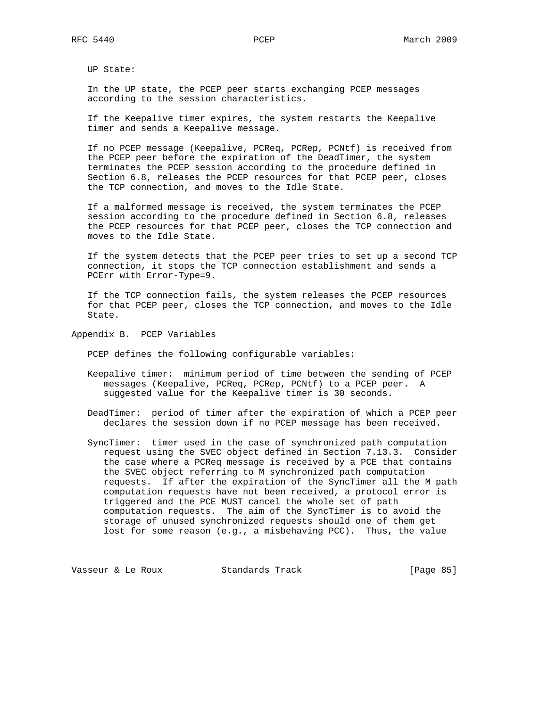UP State:

 In the UP state, the PCEP peer starts exchanging PCEP messages according to the session characteristics.

 If the Keepalive timer expires, the system restarts the Keepalive timer and sends a Keepalive message.

 If no PCEP message (Keepalive, PCReq, PCRep, PCNtf) is received from the PCEP peer before the expiration of the DeadTimer, the system terminates the PCEP session according to the procedure defined in Section 6.8, releases the PCEP resources for that PCEP peer, closes the TCP connection, and moves to the Idle State.

 If a malformed message is received, the system terminates the PCEP session according to the procedure defined in Section 6.8, releases the PCEP resources for that PCEP peer, closes the TCP connection and moves to the Idle State.

 If the system detects that the PCEP peer tries to set up a second TCP connection, it stops the TCP connection establishment and sends a PCErr with Error-Type=9.

 If the TCP connection fails, the system releases the PCEP resources for that PCEP peer, closes the TCP connection, and moves to the Idle State.

Appendix B. PCEP Variables

PCEP defines the following configurable variables:

 Keepalive timer: minimum period of time between the sending of PCEP messages (Keepalive, PCReq, PCRep, PCNtf) to a PCEP peer. A suggested value for the Keepalive timer is 30 seconds.

 DeadTimer: period of timer after the expiration of which a PCEP peer declares the session down if no PCEP message has been received.

 SyncTimer: timer used in the case of synchronized path computation request using the SVEC object defined in Section 7.13.3. Consider the case where a PCReq message is received by a PCE that contains the SVEC object referring to M synchronized path computation requests. If after the expiration of the SyncTimer all the M path computation requests have not been received, a protocol error is triggered and the PCE MUST cancel the whole set of path computation requests. The aim of the SyncTimer is to avoid the storage of unused synchronized requests should one of them get lost for some reason (e.g., a misbehaving PCC). Thus, the value

Vasseur & Le Roux Standards Track [Page 85]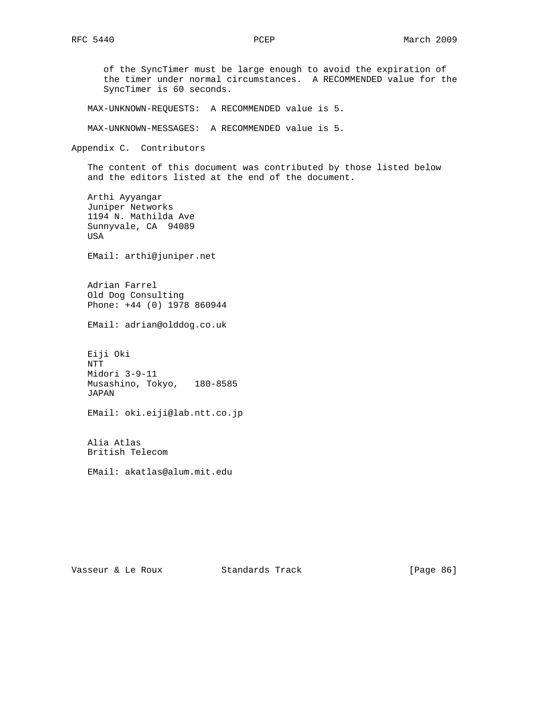of the SyncTimer must be large enough to avoid the expiration of the timer under normal circumstances. A RECOMMENDED value for the SyncTimer is 60 seconds. MAX-UNKNOWN-REQUESTS: A RECOMMENDED value is 5. MAX-UNKNOWN-MESSAGES: A RECOMMENDED value is 5. Appendix C. Contributors The content of this document was contributed by those listed below and the editors listed at the end of the document. Arthi Ayyangar Juniper Networks 1194 N. Mathilda Ave Sunnyvale, CA 94089 USA EMail: arthi@juniper.net Adrian Farrel Old Dog Consulting Phone: +44 (0) 1978 860944 EMail: adrian@olddog.co.uk Eiji Oki NTT Midori 3-9-11 Musashino, Tokyo, 180-8585 JAPAN EMail: oki.eiji@lab.ntt.co.jp Alia Atlas British Telecom EMail: akatlas@alum.mit.edu

Vasseur & Le Roux Standards Track [Page 86]